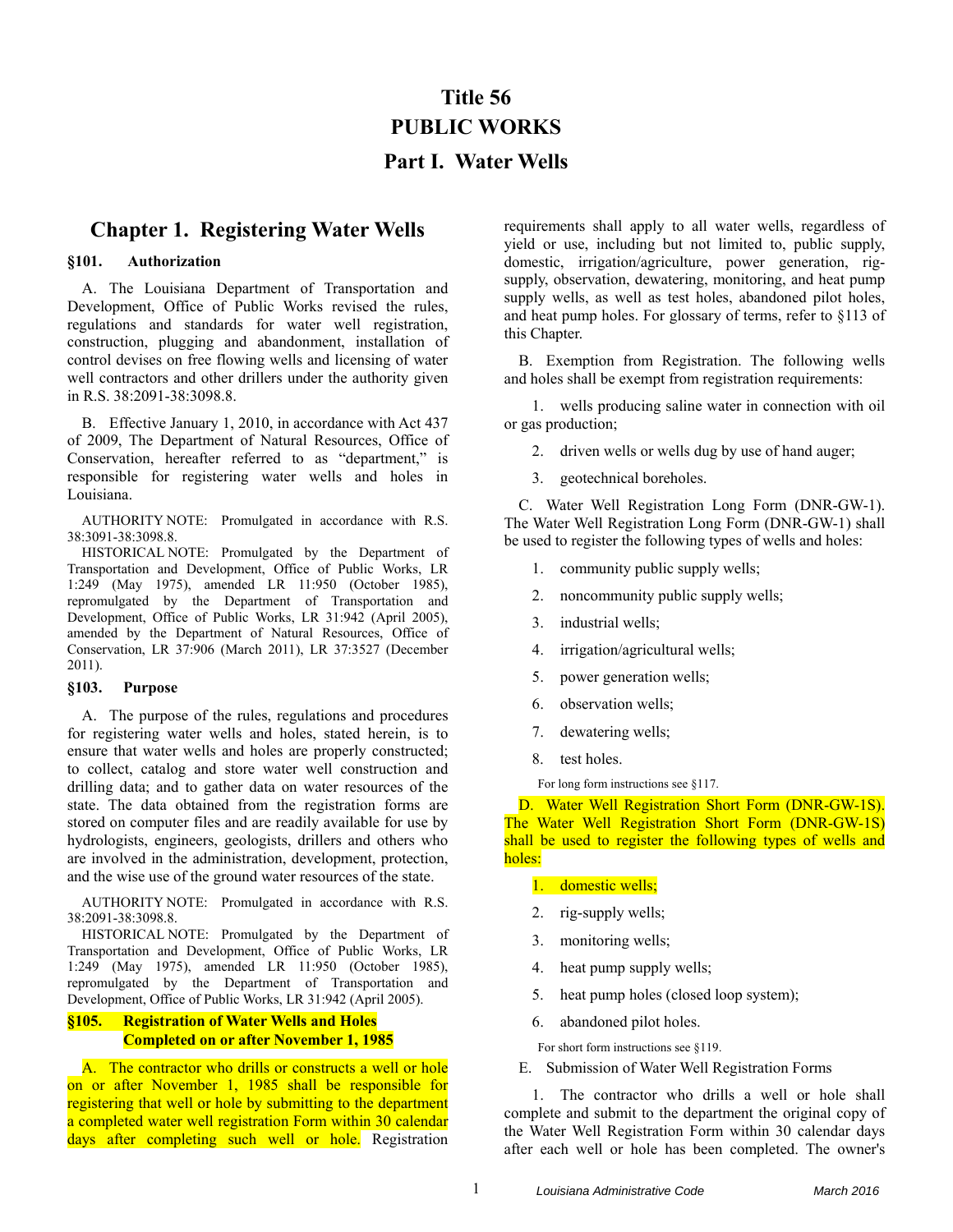# **Title 56 PUBLIC WORKS Part I. Water Wells**

## **Chapter 1. Registering Water Wells**

#### **§101. Authorization**

A. The Louisiana Department of Transportation and Development, Office of Public Works revised the rules, regulations and standards for water well registration, construction, plugging and abandonment, installation of control devises on free flowing wells and licensing of water well contractors and other drillers under the authority given in R.S. 38:2091-38:3098.8.

B. Effective January 1, 2010, in accordance with Act 437 of 2009, The Department of Natural Resources, Office of Conservation, hereafter referred to as "department," is responsible for registering water wells and holes in Louisiana.

AUTHORITY NOTE: Promulgated in accordance with R.S. 38:3091-38:3098.8.

HISTORICAL NOTE: Promulgated by the Department of Transportation and Development, Office of Public Works, LR 1:249 (May 1975), amended LR 11:950 (October 1985), repromulgated by the Department of Transportation and Development, Office of Public Works, LR 31:942 (April 2005), amended by the Department of Natural Resources, Office of Conservation, LR 37:906 (March 2011), LR 37:3527 (December 2011).

#### **§103. Purpose**

A. The purpose of the rules, regulations and procedures for registering water wells and holes, stated herein, is to ensure that water wells and holes are properly constructed; to collect, catalog and store water well construction and drilling data; and to gather data on water resources of the state. The data obtained from the registration forms are stored on computer files and are readily available for use by hydrologists, engineers, geologists, drillers and others who are involved in the administration, development, protection, and the wise use of the ground water resources of the state.

AUTHORITY NOTE: Promulgated in accordance with R.S. 38:2091-38:3098.8.

HISTORICAL NOTE: Promulgated by the Department of Transportation and Development, Office of Public Works, LR 1:249 (May 1975), amended LR 11:950 (October 1985), repromulgated by the Department of Transportation and Development, Office of Public Works, LR 31:942 (April 2005).

## **§105. Registration of Water Wells and Holes Completed on or after November 1, 1985**

A. The contractor who drills or constructs a well or hole on or after November 1, 1985 shall be responsible for registering that well or hole by submitting to the department a completed water well registration Form within 30 calendar days after completing such well or hole. Registration requirements shall apply to all water wells, regardless of yield or use, including but not limited to, public supply, domestic, irrigation/agriculture, power generation, rigsupply, observation, dewatering, monitoring, and heat pump supply wells, as well as test holes, abandoned pilot holes, and heat pump holes. For glossary of terms, refer to §113 of this Chapter.

B. Exemption from Registration. The following wells and holes shall be exempt from registration requirements:

1. wells producing saline water in connection with oil or gas production;

- 2. driven wells or wells dug by use of hand auger;
- 3. geotechnical boreholes.

C. Water Well Registration Long Form (DNR-GW-1). The Water Well Registration Long Form (DNR-GW-1) shall be used to register the following types of wells and holes:

- 1. community public supply wells;
- 2. noncommunity public supply wells;
- 3. industrial wells;
- 4. irrigation/agricultural wells;
- 5. power generation wells;
- 6. observation wells;
- 7. dewatering wells;
- 8. test holes.

For long form instructions see §117.

D. Water Well Registration Short Form (DNR-GW-1S). The Water Well Registration Short Form (DNR-GW-1S) shall be used to register the following types of wells and holes:

- 1. domestic wells;
- 2. rig-supply wells;
- 3. monitoring wells;
- 4. heat pump supply wells;
- 5. heat pump holes (closed loop system);
- 6. abandoned pilot holes.

For short form instructions see §119.

E. Submission of Water Well Registration Forms

1. The contractor who drills a well or hole shall complete and submit to the department the original copy of the Water Well Registration Form within 30 calendar days after each well or hole has been completed. The owner's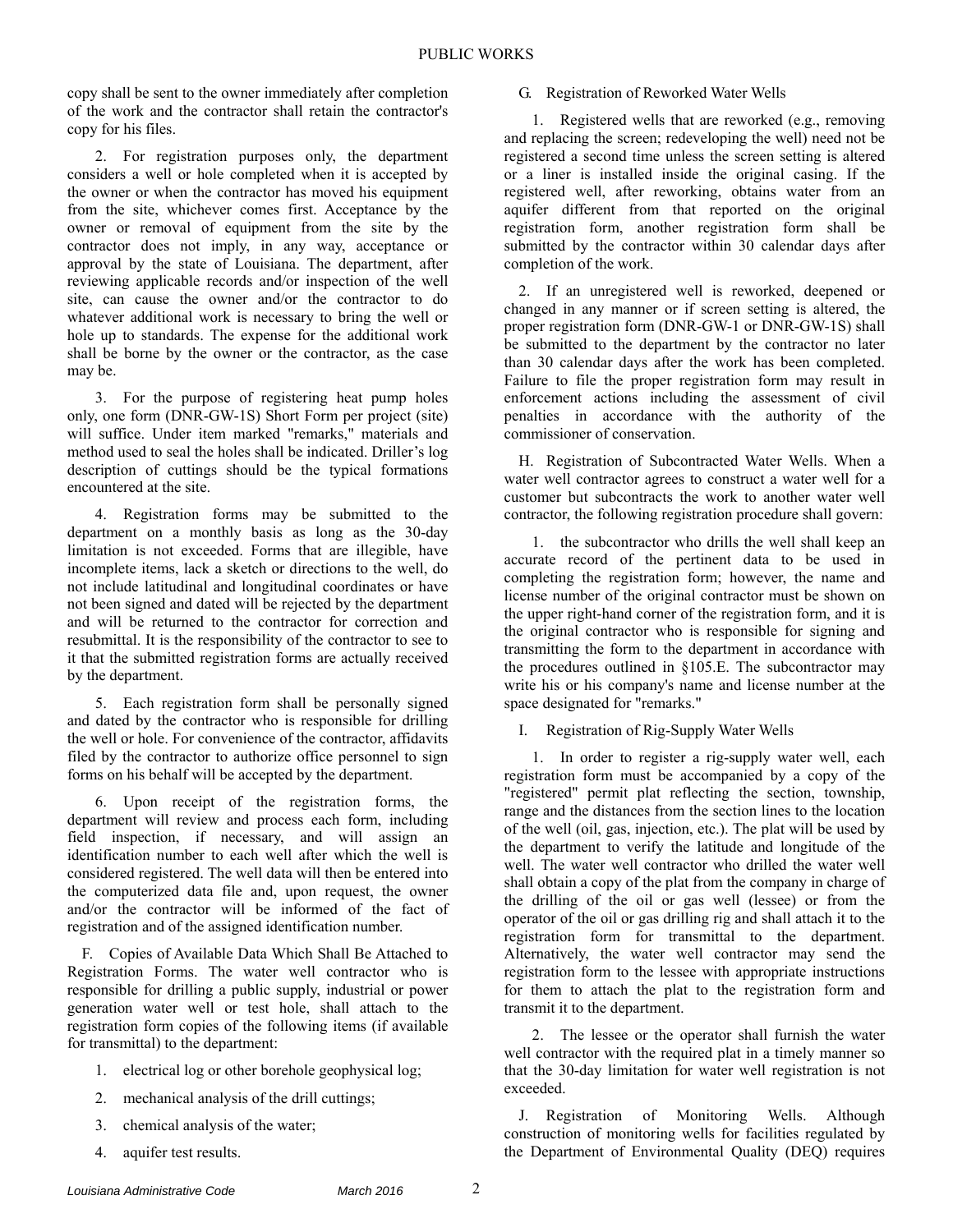copy shall be sent to the owner immediately after completion of the work and the contractor shall retain the contractor's copy for his files.

2. For registration purposes only, the department considers a well or hole completed when it is accepted by the owner or when the contractor has moved his equipment from the site, whichever comes first. Acceptance by the owner or removal of equipment from the site by the contractor does not imply, in any way, acceptance or approval by the state of Louisiana. The department, after reviewing applicable records and/or inspection of the well site, can cause the owner and/or the contractor to do whatever additional work is necessary to bring the well or hole up to standards. The expense for the additional work shall be borne by the owner or the contractor, as the case may be.

3. For the purpose of registering heat pump holes only, one form (DNR-GW-1S) Short Form per project (site) will suffice. Under item marked "remarks," materials and method used to seal the holes shall be indicated. Driller's log description of cuttings should be the typical formations encountered at the site.

4. Registration forms may be submitted to the department on a monthly basis as long as the 30-day limitation is not exceeded. Forms that are illegible, have incomplete items, lack a sketch or directions to the well, do not include latitudinal and longitudinal coordinates or have not been signed and dated will be rejected by the department and will be returned to the contractor for correction and resubmittal. It is the responsibility of the contractor to see to it that the submitted registration forms are actually received by the department.

5. Each registration form shall be personally signed and dated by the contractor who is responsible for drilling the well or hole. For convenience of the contractor, affidavits filed by the contractor to authorize office personnel to sign forms on his behalf will be accepted by the department.

6. Upon receipt of the registration forms, the department will review and process each form, including field inspection, if necessary, and will assign an identification number to each well after which the well is considered registered. The well data will then be entered into the computerized data file and, upon request, the owner and/or the contractor will be informed of the fact of registration and of the assigned identification number.

F. Copies of Available Data Which Shall Be Attached to Registration Forms. The water well contractor who is responsible for drilling a public supply, industrial or power generation water well or test hole, shall attach to the registration form copies of the following items (if available for transmittal) to the department:

- 1. electrical log or other borehole geophysical log;
- 2. mechanical analysis of the drill cuttings;
- 3. chemical analysis of the water;
- 4. aquifer test results.

## G. Registration of Reworked Water Wells

1. Registered wells that are reworked (e.g., removing and replacing the screen; redeveloping the well) need not be registered a second time unless the screen setting is altered or a liner is installed inside the original casing. If the registered well, after reworking, obtains water from an aquifer different from that reported on the original registration form, another registration form shall be submitted by the contractor within 30 calendar days after completion of the work.

2. If an unregistered well is reworked, deepened or changed in any manner or if screen setting is altered, the proper registration form (DNR-GW-1 or DNR-GW-1S) shall be submitted to the department by the contractor no later than 30 calendar days after the work has been completed. Failure to file the proper registration form may result in enforcement actions including the assessment of civil penalties in accordance with the authority of the commissioner of conservation.

H. Registration of Subcontracted Water Wells. When a water well contractor agrees to construct a water well for a customer but subcontracts the work to another water well contractor, the following registration procedure shall govern:

1. the subcontractor who drills the well shall keep an accurate record of the pertinent data to be used in completing the registration form; however, the name and license number of the original contractor must be shown on the upper right-hand corner of the registration form, and it is the original contractor who is responsible for signing and transmitting the form to the department in accordance with the procedures outlined in §105.E. The subcontractor may write his or his company's name and license number at the space designated for "remarks."

I. Registration of Rig-Supply Water Wells

1. In order to register a rig-supply water well, each registration form must be accompanied by a copy of the "registered" permit plat reflecting the section, township, range and the distances from the section lines to the location of the well (oil, gas, injection, etc.). The plat will be used by the department to verify the latitude and longitude of the well. The water well contractor who drilled the water well shall obtain a copy of the plat from the company in charge of the drilling of the oil or gas well (lessee) or from the operator of the oil or gas drilling rig and shall attach it to the registration form for transmittal to the department. Alternatively, the water well contractor may send the registration form to the lessee with appropriate instructions for them to attach the plat to the registration form and transmit it to the department.

2. The lessee or the operator shall furnish the water well contractor with the required plat in a timely manner so that the 30-day limitation for water well registration is not exceeded.

J. Registration of Monitoring Wells. Although construction of monitoring wells for facilities regulated by the Department of Environmental Quality (DEQ) requires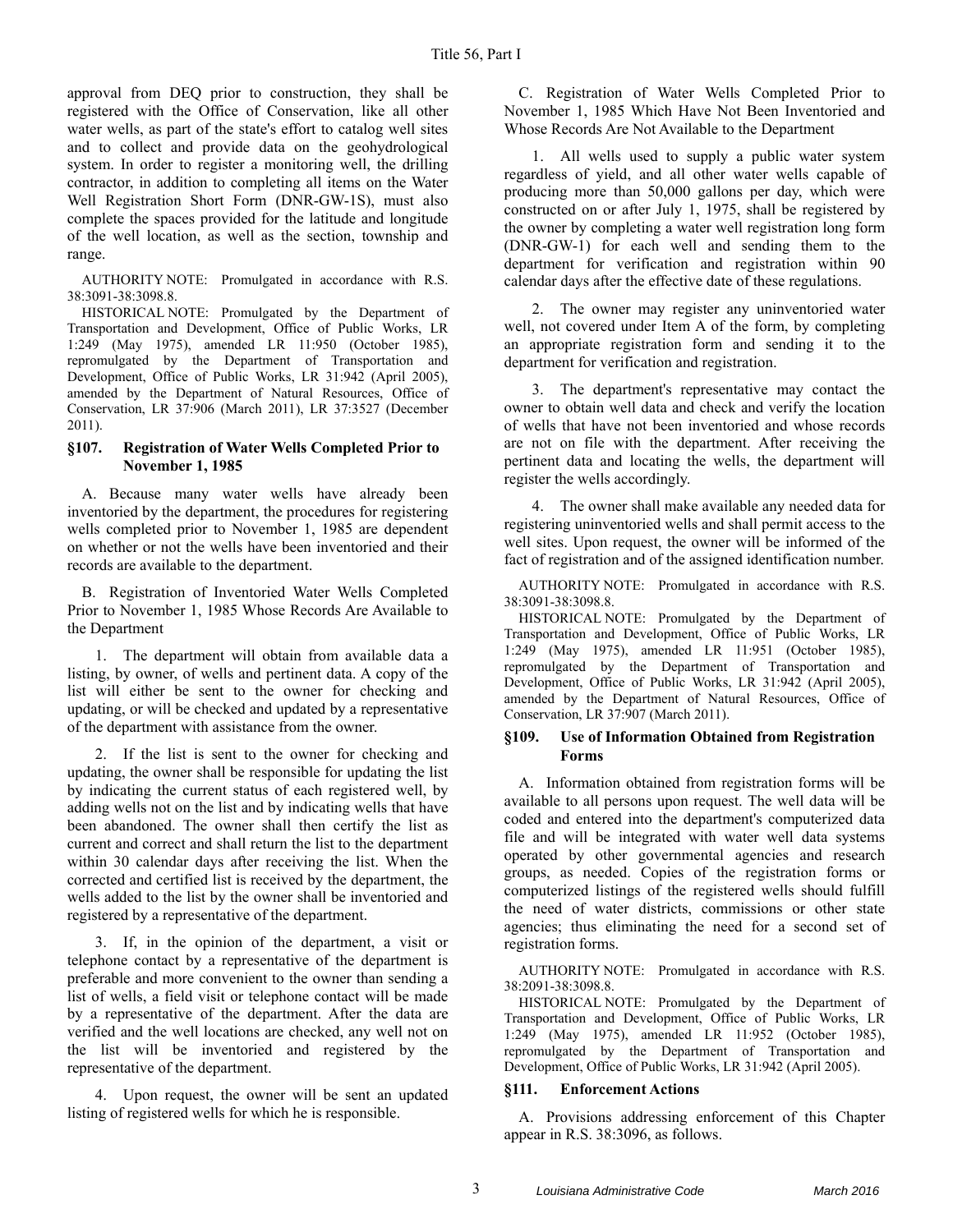approval from DEQ prior to construction, they shall be registered with the Office of Conservation, like all other water wells, as part of the state's effort to catalog well sites and to collect and provide data on the geohydrological system. In order to register a monitoring well, the drilling contractor, in addition to completing all items on the Water Well Registration Short Form (DNR-GW-1S), must also complete the spaces provided for the latitude and longitude of the well location, as well as the section, township and range.

AUTHORITY NOTE: Promulgated in accordance with R.S. 38:3091-38:3098.8.

HISTORICAL NOTE: Promulgated by the Department of Transportation and Development, Office of Public Works, LR 1:249 (May 1975), amended LR 11:950 (October 1985), repromulgated by the Department of Transportation and Development, Office of Public Works, LR 31:942 (April 2005), amended by the Department of Natural Resources, Office of Conservation, LR 37:906 (March 2011), LR 37:3527 (December 2011).

## **§107. Registration of Water Wells Completed Prior to November 1, 1985**

A. Because many water wells have already been inventoried by the department, the procedures for registering wells completed prior to November 1, 1985 are dependent on whether or not the wells have been inventoried and their records are available to the department.

B. Registration of Inventoried Water Wells Completed Prior to November 1, 1985 Whose Records Are Available to the Department

1. The department will obtain from available data a listing, by owner, of wells and pertinent data. A copy of the list will either be sent to the owner for checking and updating, or will be checked and updated by a representative of the department with assistance from the owner.

2. If the list is sent to the owner for checking and updating, the owner shall be responsible for updating the list by indicating the current status of each registered well, by adding wells not on the list and by indicating wells that have been abandoned. The owner shall then certify the list as current and correct and shall return the list to the department within 30 calendar days after receiving the list. When the corrected and certified list is received by the department, the wells added to the list by the owner shall be inventoried and registered by a representative of the department.

3. If, in the opinion of the department, a visit or telephone contact by a representative of the department is preferable and more convenient to the owner than sending a list of wells, a field visit or telephone contact will be made by a representative of the department. After the data are verified and the well locations are checked, any well not on the list will be inventoried and registered by the representative of the department.

4. Upon request, the owner will be sent an updated listing of registered wells for which he is responsible.

C. Registration of Water Wells Completed Prior to November 1, 1985 Which Have Not Been Inventoried and Whose Records Are Not Available to the Department

1. All wells used to supply a public water system regardless of yield, and all other water wells capable of producing more than 50,000 gallons per day, which were constructed on or after July 1, 1975, shall be registered by the owner by completing a water well registration long form (DNR-GW-1) for each well and sending them to the department for verification and registration within 90 calendar days after the effective date of these regulations.

2. The owner may register any uninventoried water well, not covered under Item A of the form, by completing an appropriate registration form and sending it to the department for verification and registration.

3. The department's representative may contact the owner to obtain well data and check and verify the location of wells that have not been inventoried and whose records are not on file with the department. After receiving the pertinent data and locating the wells, the department will register the wells accordingly.

4. The owner shall make available any needed data for registering uninventoried wells and shall permit access to the well sites. Upon request, the owner will be informed of the fact of registration and of the assigned identification number.

AUTHORITY NOTE: Promulgated in accordance with R.S. 38:3091-38:3098.8.

HISTORICAL NOTE: Promulgated by the Department of Transportation and Development, Office of Public Works, LR 1:249 (May 1975), amended LR 11:951 (October 1985), repromulgated by the Department of Transportation and Development, Office of Public Works, LR 31:942 (April 2005), amended by the Department of Natural Resources, Office of Conservation, LR 37:907 (March 2011).

#### **§109. Use of Information Obtained from Registration Forms**

A. Information obtained from registration forms will be available to all persons upon request. The well data will be coded and entered into the department's computerized data file and will be integrated with water well data systems operated by other governmental agencies and research groups, as needed. Copies of the registration forms or computerized listings of the registered wells should fulfill the need of water districts, commissions or other state agencies; thus eliminating the need for a second set of registration forms.

AUTHORITY NOTE: Promulgated in accordance with R.S. 38:2091-38:3098.8.

HISTORICAL NOTE: Promulgated by the Department of Transportation and Development, Office of Public Works, LR 1:249 (May 1975), amended LR 11:952 (October 1985), repromulgated by the Department of Transportation and Development, Office of Public Works, LR 31:942 (April 2005).

## **§111. Enforcement Actions**

A. Provisions addressing enforcement of this Chapter appear in R.S. 38:3096, as follows.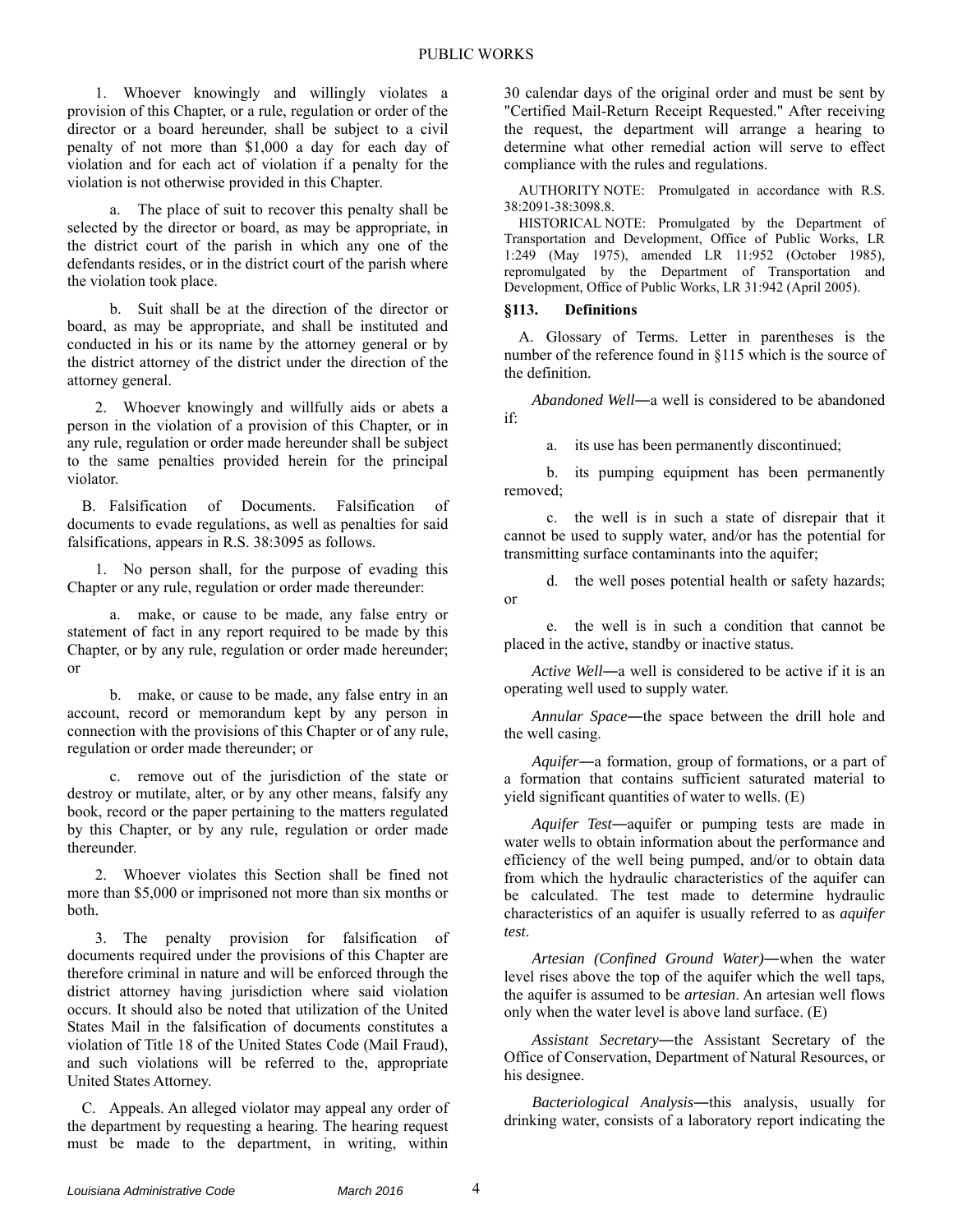1. Whoever knowingly and willingly violates a provision of this Chapter, or a rule, regulation or order of the director or a board hereunder, shall be subject to a civil penalty of not more than \$1,000 a day for each day of violation and for each act of violation if a penalty for the violation is not otherwise provided in this Chapter.

a. The place of suit to recover this penalty shall be selected by the director or board, as may be appropriate, in the district court of the parish in which any one of the defendants resides, or in the district court of the parish where the violation took place.

b. Suit shall be at the direction of the director or board, as may be appropriate, and shall be instituted and conducted in his or its name by the attorney general or by the district attorney of the district under the direction of the attorney general.

2. Whoever knowingly and willfully aids or abets a person in the violation of a provision of this Chapter, or in any rule, regulation or order made hereunder shall be subject to the same penalties provided herein for the principal violator.

B. Falsification of Documents. Falsification of documents to evade regulations, as well as penalties for said falsifications, appears in R.S. 38:3095 as follows.

1. No person shall, for the purpose of evading this Chapter or any rule, regulation or order made thereunder:

a. make, or cause to be made, any false entry or statement of fact in any report required to be made by this Chapter, or by any rule, regulation or order made hereunder; or

b. make, or cause to be made, any false entry in an account, record or memorandum kept by any person in connection with the provisions of this Chapter or of any rule, regulation or order made thereunder; or

c. remove out of the jurisdiction of the state or destroy or mutilate, alter, or by any other means, falsify any book, record or the paper pertaining to the matters regulated by this Chapter, or by any rule, regulation or order made thereunder.

2. Whoever violates this Section shall be fined not more than \$5,000 or imprisoned not more than six months or both.

3. The penalty provision for falsification of documents required under the provisions of this Chapter are therefore criminal in nature and will be enforced through the district attorney having jurisdiction where said violation occurs. It should also be noted that utilization of the United States Mail in the falsification of documents constitutes a violation of Title 18 of the United States Code (Mail Fraud), and such violations will be referred to the, appropriate United States Attorney.

C. Appeals. An alleged violator may appeal any order of the department by requesting a hearing. The hearing request must be made to the department, in writing, within

30 calendar days of the original order and must be sent by "Certified Mail-Return Receipt Requested." After receiving the request, the department will arrange a hearing to determine what other remedial action will serve to effect compliance with the rules and regulations.

AUTHORITY NOTE: Promulgated in accordance with R.S. 38:2091-38:3098.8.

HISTORICAL NOTE: Promulgated by the Department of Transportation and Development, Office of Public Works, LR 1:249 (May 1975), amended LR 11:952 (October 1985), repromulgated by the Department of Transportation and Development, Office of Public Works, LR 31:942 (April 2005).

## **§113. Definitions**

A. Glossary of Terms. Letter in parentheses is the number of the reference found in §115 which is the source of the definition.

*Abandoned Well*―a well is considered to be abandoned if:

a. its use has been permanently discontinued;

b. its pumping equipment has been permanently removed;

c. the well is in such a state of disrepair that it cannot be used to supply water, and/or has the potential for transmitting surface contaminants into the aquifer;

d. the well poses potential health or safety hazards; or

e. the well is in such a condition that cannot be placed in the active, standby or inactive status.

*Active Well*―a well is considered to be active if it is an operating well used to supply water.

*Annular Space*―the space between the drill hole and the well casing.

*Aquifer*―a formation, group of formations, or a part of a formation that contains sufficient saturated material to yield significant quantities of water to wells. (E)

*Aquifer Test*―aquifer or pumping tests are made in water wells to obtain information about the performance and efficiency of the well being pumped, and/or to obtain data from which the hydraulic characteristics of the aquifer can be calculated. The test made to determine hydraulic characteristics of an aquifer is usually referred to as *aquifer test*.

*Artesian (Confined Ground Water)*―when the water level rises above the top of the aquifer which the well taps, the aquifer is assumed to be *artesian*. An artesian well flows only when the water level is above land surface. (E)

*Assistant Secretary*―the Assistant Secretary of the Office of Conservation, Department of Natural Resources, or his designee.

*Bacteriological Analysis*―this analysis, usually for drinking water, consists of a laboratory report indicating the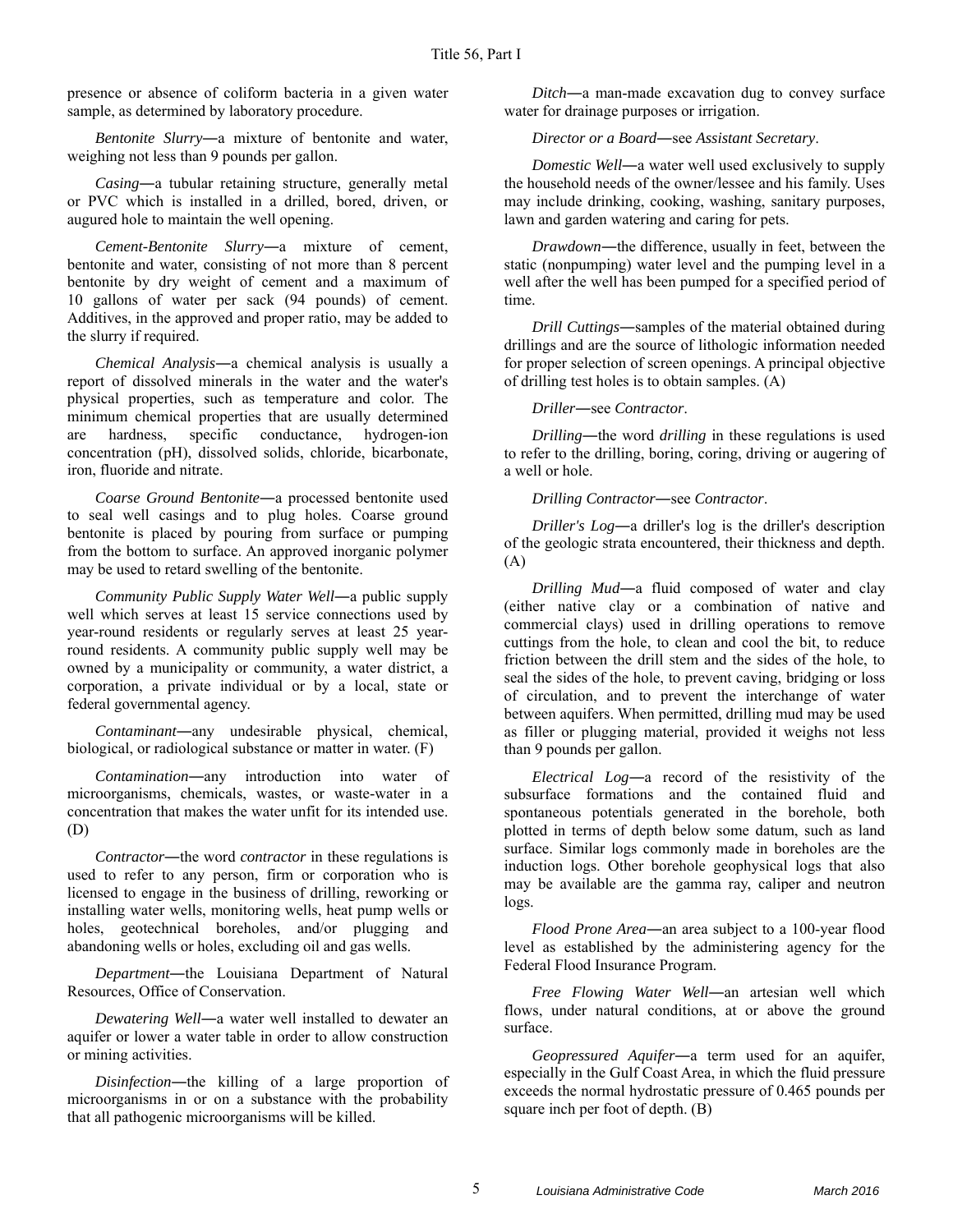presence or absence of coliform bacteria in a given water sample, as determined by laboratory procedure.

*Bentonite Slurry*―a mixture of bentonite and water, weighing not less than 9 pounds per gallon.

*Casing*―a tubular retaining structure, generally metal or PVC which is installed in a drilled, bored, driven, or augured hole to maintain the well opening.

*Cement-Bentonite Slurry*―a mixture of cement, bentonite and water, consisting of not more than 8 percent bentonite by dry weight of cement and a maximum of 10 gallons of water per sack (94 pounds) of cement. Additives, in the approved and proper ratio, may be added to the slurry if required.

*Chemical Analysis*―a chemical analysis is usually a report of dissolved minerals in the water and the water's physical properties, such as temperature and color. The minimum chemical properties that are usually determined are hardness, specific conductance, hydrogen-ion concentration (pH), dissolved solids, chloride, bicarbonate, iron, fluoride and nitrate.

*Coarse Ground Bentonite*―a processed bentonite used to seal well casings and to plug holes. Coarse ground bentonite is placed by pouring from surface or pumping from the bottom to surface. An approved inorganic polymer may be used to retard swelling of the bentonite.

*Community Public Supply Water Well*―a public supply well which serves at least 15 service connections used by year-round residents or regularly serves at least 25 yearround residents. A community public supply well may be owned by a municipality or community, a water district, a corporation, a private individual or by a local, state or federal governmental agency.

*Contaminant*―any undesirable physical, chemical, biological, or radiological substance or matter in water. (F)

*Contamination*―any introduction into water of microorganisms, chemicals, wastes, or waste-water in a concentration that makes the water unfit for its intended use. (D)

*Contractor*―the word *contractor* in these regulations is used to refer to any person, firm or corporation who is licensed to engage in the business of drilling, reworking or installing water wells, monitoring wells, heat pump wells or holes, geotechnical boreholes, and/or plugging and abandoning wells or holes, excluding oil and gas wells.

*Department*―the Louisiana Department of Natural Resources, Office of Conservation.

*Dewatering Well*―a water well installed to dewater an aquifer or lower a water table in order to allow construction or mining activities.

*Disinfection*―the killing of a large proportion of microorganisms in or on a substance with the probability that all pathogenic microorganisms will be killed.

*Ditch*―a man-made excavation dug to convey surface water for drainage purposes or irrigation.

*Director or a Board*―see *Assistant Secretary*.

*Domestic Well—a* water well used exclusively to supply the household needs of the owner/lessee and his family. Uses may include drinking, cooking, washing, sanitary purposes, lawn and garden watering and caring for pets.

*Drawdown*―the difference, usually in feet, between the static (nonpumping) water level and the pumping level in a well after the well has been pumped for a specified period of time.

*Drill Cuttings*―samples of the material obtained during drillings and are the source of lithologic information needed for proper selection of screen openings. A principal objective of drilling test holes is to obtain samples. (A)

*Driller*―see *Contractor*.

*Drilling*―the word *drilling* in these regulations is used to refer to the drilling, boring, coring, driving or augering of a well or hole.

*Drilling Contractor*―see *Contractor*.

*Driller's Log*―a driller's log is the driller's description of the geologic strata encountered, their thickness and depth. (A)

*Drilling Mud*―a fluid composed of water and clay (either native clay or a combination of native and commercial clays) used in drilling operations to remove cuttings from the hole, to clean and cool the bit, to reduce friction between the drill stem and the sides of the hole, to seal the sides of the hole, to prevent caving, bridging or loss of circulation, and to prevent the interchange of water between aquifers. When permitted, drilling mud may be used as filler or plugging material, provided it weighs not less than 9 pounds per gallon.

*Electrical Log*―a record of the resistivity of the subsurface formations and the contained fluid and spontaneous potentials generated in the borehole, both plotted in terms of depth below some datum, such as land surface. Similar logs commonly made in boreholes are the induction logs. Other borehole geophysical logs that also may be available are the gamma ray, caliper and neutron logs.

*Flood Prone Area*―an area subject to a 100-year flood level as established by the administering agency for the Federal Flood Insurance Program.

*Free Flowing Water Well*―an artesian well which flows, under natural conditions, at or above the ground surface.

*Geopressured Aquifer*―a term used for an aquifer, especially in the Gulf Coast Area, in which the fluid pressure exceeds the normal hydrostatic pressure of 0.465 pounds per square inch per foot of depth. (B)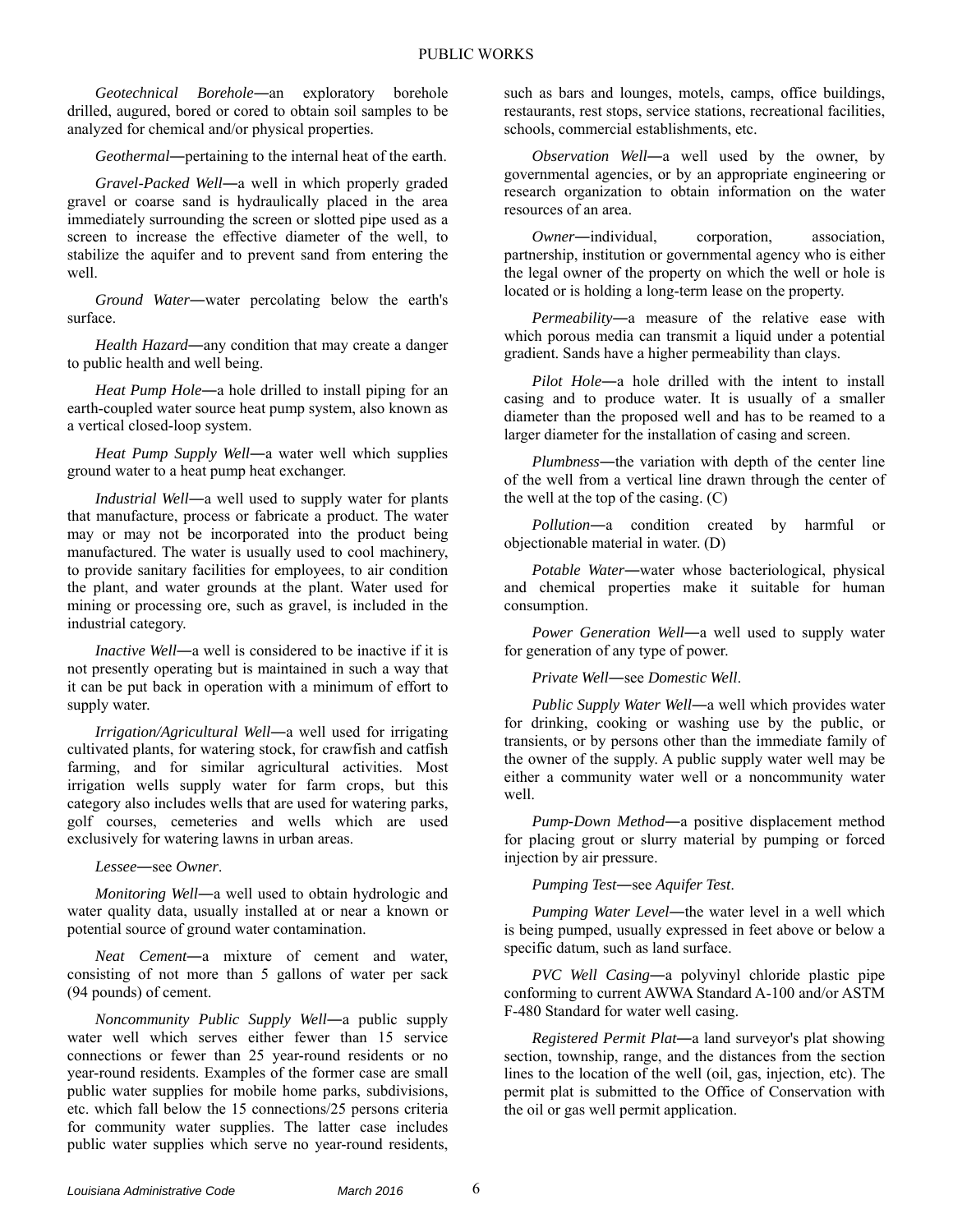*Geotechnical Borehole*―an exploratory borehole drilled, augured, bored or cored to obtain soil samples to be analyzed for chemical and/or physical properties.

*Geothermal*―pertaining to the internal heat of the earth.

*Gravel-Packed Well*―a well in which properly graded gravel or coarse sand is hydraulically placed in the area immediately surrounding the screen or slotted pipe used as a screen to increase the effective diameter of the well, to stabilize the aquifer and to prevent sand from entering the well.

*Ground Water*―water percolating below the earth's surface.

*Health Hazard*―any condition that may create a danger to public health and well being.

*Heat Pump Hole*―a hole drilled to install piping for an earth-coupled water source heat pump system, also known as a vertical closed-loop system.

*Heat Pump Supply Well*―a water well which supplies ground water to a heat pump heat exchanger.

*Industrial Well*―a well used to supply water for plants that manufacture, process or fabricate a product. The water may or may not be incorporated into the product being manufactured. The water is usually used to cool machinery, to provide sanitary facilities for employees, to air condition the plant, and water grounds at the plant. Water used for mining or processing ore, such as gravel, is included in the industrial category.

*Inactive Well*―a well is considered to be inactive if it is not presently operating but is maintained in such a way that it can be put back in operation with a minimum of effort to supply water.

*Irrigation/Agricultural Well*―a well used for irrigating cultivated plants, for watering stock, for crawfish and catfish farming, and for similar agricultural activities. Most irrigation wells supply water for farm crops, but this category also includes wells that are used for watering parks, golf courses, cemeteries and wells which are used exclusively for watering lawns in urban areas.

*Lessee*―see *Owner*.

*Monitoring Well*―a well used to obtain hydrologic and water quality data, usually installed at or near a known or potential source of ground water contamination.

*Neat Cement*―a mixture of cement and water, consisting of not more than 5 gallons of water per sack (94 pounds) of cement.

*Noncommunity Public Supply Well*―a public supply water well which serves either fewer than 15 service connections or fewer than 25 year-round residents or no year-round residents. Examples of the former case are small public water supplies for mobile home parks, subdivisions, etc. which fall below the 15 connections/25 persons criteria for community water supplies. The latter case includes public water supplies which serve no year-round residents, such as bars and lounges, motels, camps, office buildings, restaurants, rest stops, service stations, recreational facilities, schools, commercial establishments, etc.

*Observation Well*―a well used by the owner, by governmental agencies, or by an appropriate engineering or research organization to obtain information on the water resources of an area.

*Owner*―individual, corporation, association, partnership, institution or governmental agency who is either the legal owner of the property on which the well or hole is located or is holding a long-term lease on the property.

*Permeability*―a measure of the relative ease with which porous media can transmit a liquid under a potential gradient. Sands have a higher permeability than clays.

*Pilot Hole*―a hole drilled with the intent to install casing and to produce water. It is usually of a smaller diameter than the proposed well and has to be reamed to a larger diameter for the installation of casing and screen.

*Plumbness*―the variation with depth of the center line of the well from a vertical line drawn through the center of the well at the top of the casing. (C)

*Pollution*―a condition created by harmful or objectionable material in water. (D)

*Potable Water*―water whose bacteriological, physical and chemical properties make it suitable for human consumption.

*Power Generation Well*―a well used to supply water for generation of any type of power.

*Private Well*―see *Domestic Well*.

*Public Supply Water Well*―a well which provides water for drinking, cooking or washing use by the public, or transients, or by persons other than the immediate family of the owner of the supply. A public supply water well may be either a community water well or a noncommunity water well.

*Pump-Down Method*―a positive displacement method for placing grout or slurry material by pumping or forced injection by air pressure.

*Pumping Test*―see *Aquifer Test*.

*Pumping Water Level*―the water level in a well which is being pumped, usually expressed in feet above or below a specific datum, such as land surface.

*PVC Well Casing*―a polyvinyl chloride plastic pipe conforming to current AWWA Standard A-100 and/or ASTM F-480 Standard for water well casing.

*Registered Permit Plat*―a land surveyor's plat showing section, township, range, and the distances from the section lines to the location of the well (oil, gas, injection, etc). The permit plat is submitted to the Office of Conservation with the oil or gas well permit application.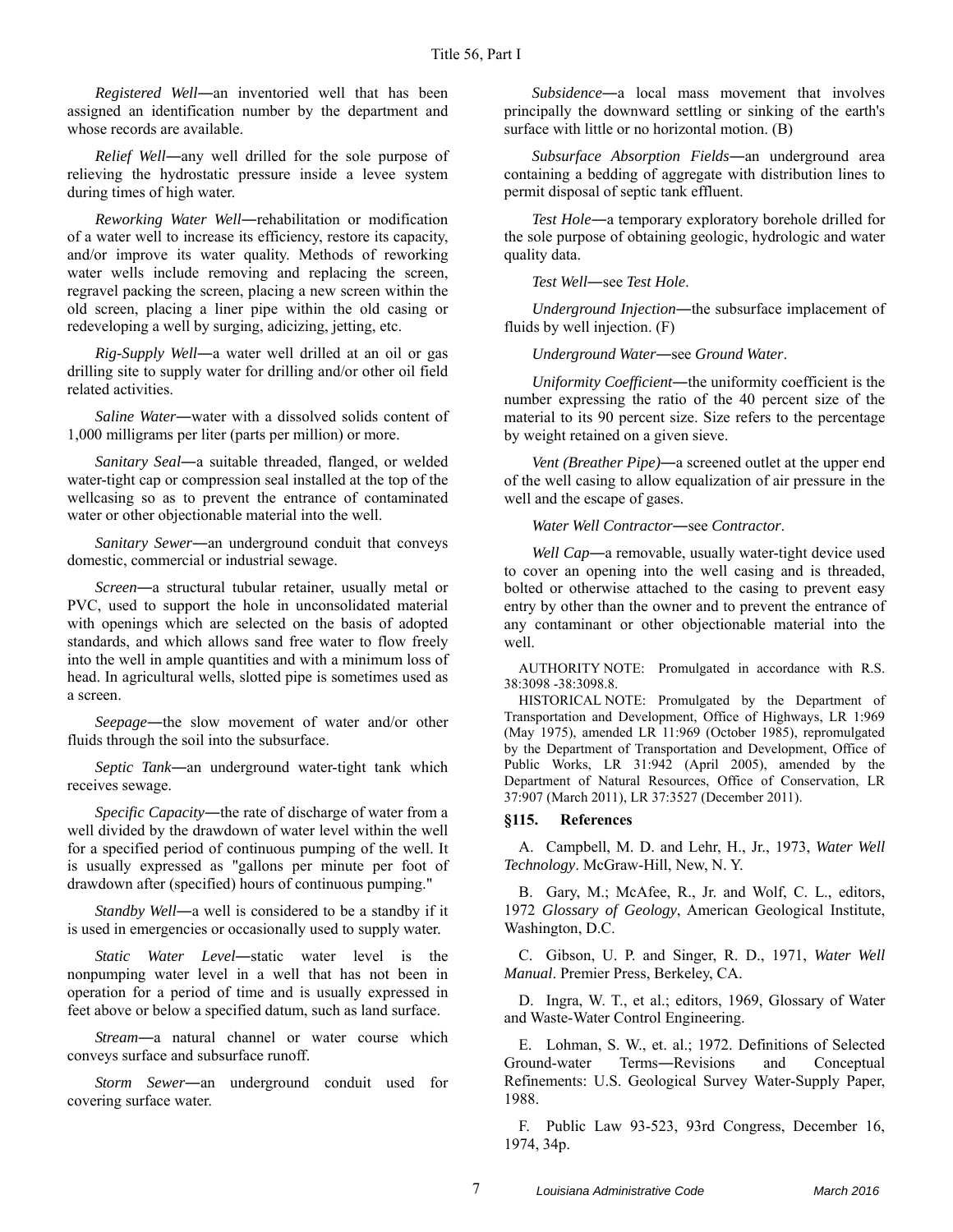*Registered Well*―an inventoried well that has been assigned an identification number by the department and whose records are available.

*Relief Well*―any well drilled for the sole purpose of relieving the hydrostatic pressure inside a levee system during times of high water.

*Reworking Water Well*―rehabilitation or modification of a water well to increase its efficiency, restore its capacity, and/or improve its water quality. Methods of reworking water wells include removing and replacing the screen, regravel packing the screen, placing a new screen within the old screen, placing a liner pipe within the old casing or redeveloping a well by surging, adicizing, jetting, etc.

*Rig-Supply Well*―a water well drilled at an oil or gas drilling site to supply water for drilling and/or other oil field related activities.

*Saline Water*―water with a dissolved solids content of 1,000 milligrams per liter (parts per million) or more.

*Sanitary Seal*―a suitable threaded, flanged, or welded water-tight cap or compression seal installed at the top of the wellcasing so as to prevent the entrance of contaminated water or other objectionable material into the well.

*Sanitary Sewer*―an underground conduit that conveys domestic, commercial or industrial sewage.

*Screen*―a structural tubular retainer, usually metal or PVC, used to support the hole in unconsolidated material with openings which are selected on the basis of adopted standards, and which allows sand free water to flow freely into the well in ample quantities and with a minimum loss of head. In agricultural wells, slotted pipe is sometimes used as a screen.

*Seepage*―the slow movement of water and/or other fluids through the soil into the subsurface.

*Septic Tank*―an underground water-tight tank which receives sewage.

*Specific Capacity*―the rate of discharge of water from a well divided by the drawdown of water level within the well for a specified period of continuous pumping of the well. It is usually expressed as "gallons per minute per foot of drawdown after (specified) hours of continuous pumping."

*Standby Well*―a well is considered to be a standby if it is used in emergencies or occasionally used to supply water.

*Static Water Level*―static water level is the nonpumping water level in a well that has not been in operation for a period of time and is usually expressed in feet above or below a specified datum, such as land surface.

*Stream*―a natural channel or water course which conveys surface and subsurface runoff.

*Storm Sewer*―an underground conduit used for covering surface water.

*Subsidence*―a local mass movement that involves principally the downward settling or sinking of the earth's surface with little or no horizontal motion. (B)

*Subsurface Absorption Fields*―an underground area containing a bedding of aggregate with distribution lines to permit disposal of septic tank effluent.

*Test Hole*―a temporary exploratory borehole drilled for the sole purpose of obtaining geologic, hydrologic and water quality data.

*Test Well*―see *Test Hole*.

*Underground Injection*―the subsurface implacement of fluids by well injection. (F)

*Underground Water*―see *Ground Water*.

*Uniformity Coefficient*―the uniformity coefficient is the number expressing the ratio of the 40 percent size of the material to its 90 percent size. Size refers to the percentage by weight retained on a given sieve.

*Vent (Breather Pipe)*―a screened outlet at the upper end of the well casing to allow equalization of air pressure in the well and the escape of gases.

*Water Well Contractor*―see *Contractor*.

*Well Cap*―a removable, usually water-tight device used to cover an opening into the well casing and is threaded, bolted or otherwise attached to the casing to prevent easy entry by other than the owner and to prevent the entrance of any contaminant or other objectionable material into the well.

AUTHORITY NOTE: Promulgated in accordance with R.S. 38:3098 -38:3098.8.

HISTORICAL NOTE: Promulgated by the Department of Transportation and Development, Office of Highways, LR 1:969 (May 1975), amended LR 11:969 (October 1985), repromulgated by the Department of Transportation and Development, Office of Public Works, LR 31:942 (April 2005), amended by the Department of Natural Resources, Office of Conservation, LR 37:907 (March 2011), LR 37:3527 (December 2011).

## **§115. References**

A. Campbell, M. D. and Lehr, H., Jr., 1973, *Water Well Technology*. McGraw-Hill, New, N. Y.

B. Gary, M.; McAfee, R., Jr. and Wolf, C. L., editors, 1972 *Glossary of Geology*, American Geological Institute, Washington, D.C.

C. Gibson, U. P. and Singer, R. D., 1971, *Water Well Manual*. Premier Press, Berkeley, CA.

D. Ingra, W. T., et al.; editors, 1969, Glossary of Water and Waste-Water Control Engineering.

E. Lohman, S. W., et. al.; 1972. Definitions of Selected Ground-water Terms―Revisions and Conceptual Refinements: U.S. Geological Survey Water-Supply Paper, 1988.

F. Public Law 93-523, 93rd Congress, December 16, 1974, 34p.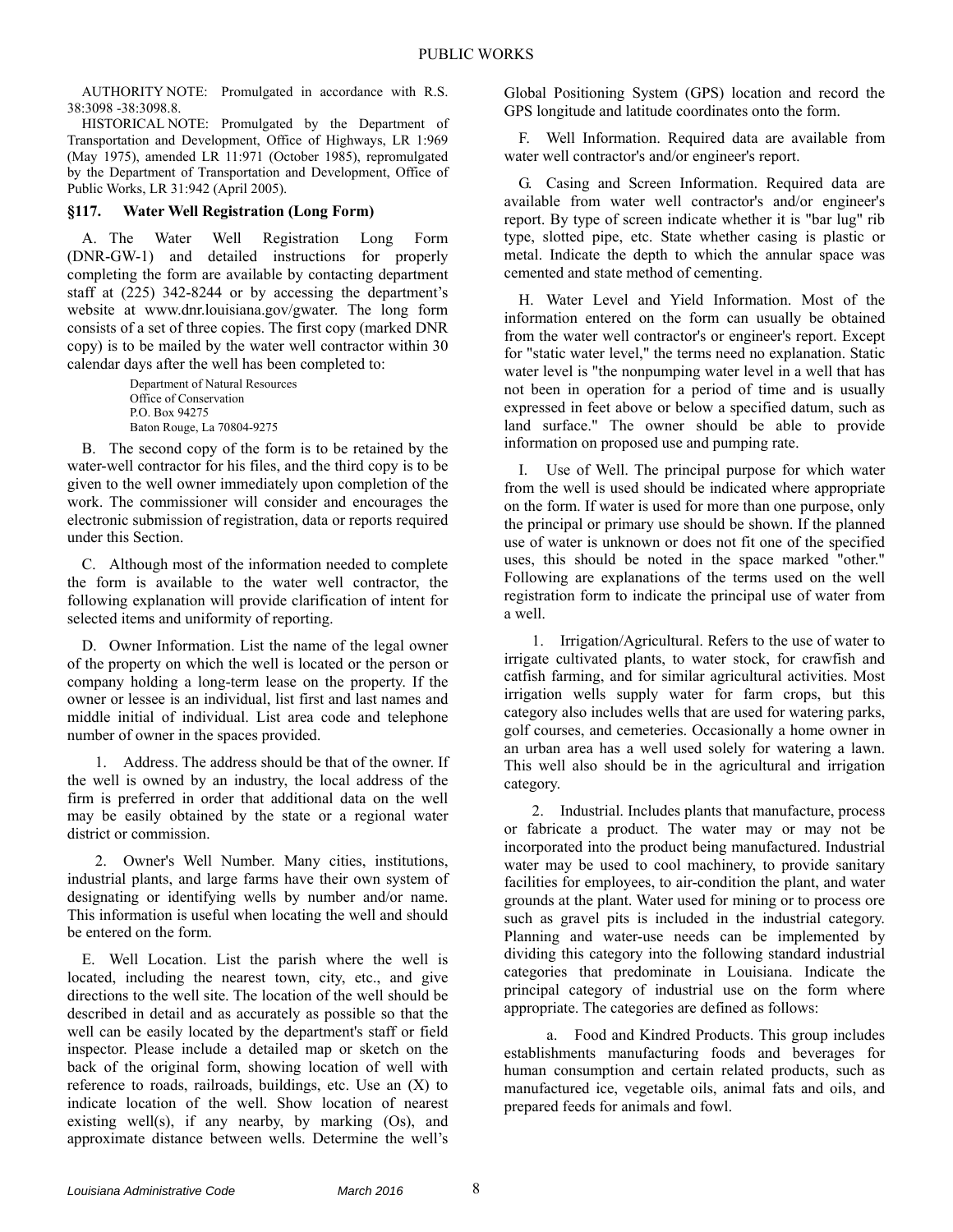AUTHORITY NOTE: Promulgated in accordance with R.S. 38:3098 -38:3098.8.

HISTORICAL NOTE: Promulgated by the Department of Transportation and Development, Office of Highways, LR 1:969 (May 1975), amended LR 11:971 (October 1985), repromulgated by the Department of Transportation and Development, Office of Public Works, LR 31:942 (April 2005).

## **§117. Water Well Registration (Long Form)**

A. The Water Well Registration Long Form (DNR-GW-1) and detailed instructions for properly completing the form are available by contacting department staff at (225) 342-8244 or by accessing the department's website at www.dnr.louisiana.gov/gwater. The long form consists of a set of three copies. The first copy (marked DNR copy) is to be mailed by the water well contractor within 30 calendar days after the well has been completed to:

> Department of Natural Resources Office of Conservation P.O. Box 94275 Baton Rouge, La 70804-9275

B. The second copy of the form is to be retained by the water-well contractor for his files, and the third copy is to be given to the well owner immediately upon completion of the work. The commissioner will consider and encourages the electronic submission of registration, data or reports required under this Section.

C. Although most of the information needed to complete the form is available to the water well contractor, the following explanation will provide clarification of intent for selected items and uniformity of reporting.

D. Owner Information. List the name of the legal owner of the property on which the well is located or the person or company holding a long-term lease on the property. If the owner or lessee is an individual, list first and last names and middle initial of individual. List area code and telephone number of owner in the spaces provided.

1. Address. The address should be that of the owner. If the well is owned by an industry, the local address of the firm is preferred in order that additional data on the well may be easily obtained by the state or a regional water district or commission.

2. Owner's Well Number. Many cities, institutions, industrial plants, and large farms have their own system of designating or identifying wells by number and/or name. This information is useful when locating the well and should be entered on the form.

E. Well Location. List the parish where the well is located, including the nearest town, city, etc., and give directions to the well site. The location of the well should be described in detail and as accurately as possible so that the well can be easily located by the department's staff or field inspector. Please include a detailed map or sketch on the back of the original form, showing location of well with reference to roads, railroads, buildings, etc. Use an (X) to indicate location of the well. Show location of nearest existing well(s), if any nearby, by marking (Os), and approximate distance between wells. Determine the well's

Global Positioning System (GPS) location and record the GPS longitude and latitude coordinates onto the form.

F. Well Information. Required data are available from water well contractor's and/or engineer's report.

G. Casing and Screen Information. Required data are available from water well contractor's and/or engineer's report. By type of screen indicate whether it is "bar lug" rib type, slotted pipe, etc. State whether casing is plastic or metal. Indicate the depth to which the annular space was cemented and state method of cementing.

H. Water Level and Yield Information. Most of the information entered on the form can usually be obtained from the water well contractor's or engineer's report. Except for "static water level," the terms need no explanation. Static water level is "the nonpumping water level in a well that has not been in operation for a period of time and is usually expressed in feet above or below a specified datum, such as land surface." The owner should be able to provide information on proposed use and pumping rate.

I. Use of Well. The principal purpose for which water from the well is used should be indicated where appropriate on the form. If water is used for more than one purpose, only the principal or primary use should be shown. If the planned use of water is unknown or does not fit one of the specified uses, this should be noted in the space marked "other." Following are explanations of the terms used on the well registration form to indicate the principal use of water from a well.

1. Irrigation/Agricultural. Refers to the use of water to irrigate cultivated plants, to water stock, for crawfish and catfish farming, and for similar agricultural activities. Most irrigation wells supply water for farm crops, but this category also includes wells that are used for watering parks, golf courses, and cemeteries. Occasionally a home owner in an urban area has a well used solely for watering a lawn. This well also should be in the agricultural and irrigation category.

2. Industrial. Includes plants that manufacture, process or fabricate a product. The water may or may not be incorporated into the product being manufactured. Industrial water may be used to cool machinery, to provide sanitary facilities for employees, to air-condition the plant, and water grounds at the plant. Water used for mining or to process ore such as gravel pits is included in the industrial category. Planning and water-use needs can be implemented by dividing this category into the following standard industrial categories that predominate in Louisiana. Indicate the principal category of industrial use on the form where appropriate. The categories are defined as follows:

a. Food and Kindred Products. This group includes establishments manufacturing foods and beverages for human consumption and certain related products, such as manufactured ice, vegetable oils, animal fats and oils, and prepared feeds for animals and fowl.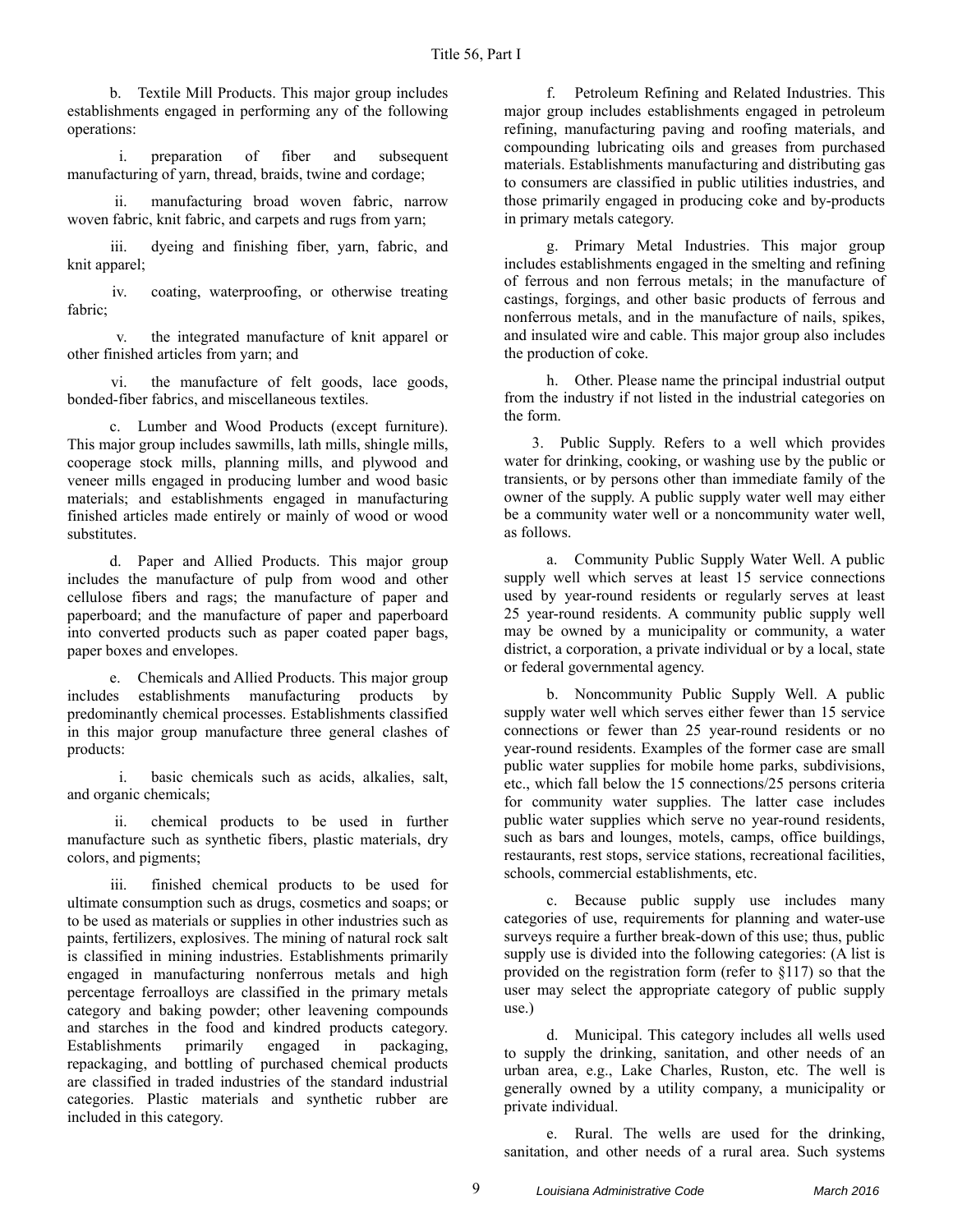b. Textile Mill Products. This major group includes establishments engaged in performing any of the following operations:

 i. preparation of fiber and subsequent manufacturing of yarn, thread, braids, twine and cordage;

 ii. manufacturing broad woven fabric, narrow woven fabric, knit fabric, and carpets and rugs from yarn;

 iii. dyeing and finishing fiber, yarn, fabric, and knit apparel;

 iv. coating, waterproofing, or otherwise treating fabric;

 v. the integrated manufacture of knit apparel or other finished articles from yarn; and

 vi. the manufacture of felt goods, lace goods, bonded-fiber fabrics, and miscellaneous textiles.

c. Lumber and Wood Products (except furniture). This major group includes sawmills, lath mills, shingle mills, cooperage stock mills, planning mills, and plywood and veneer mills engaged in producing lumber and wood basic materials; and establishments engaged in manufacturing finished articles made entirely or mainly of wood or wood substitutes.

d. Paper and Allied Products. This major group includes the manufacture of pulp from wood and other cellulose fibers and rags; the manufacture of paper and paperboard; and the manufacture of paper and paperboard into converted products such as paper coated paper bags, paper boxes and envelopes.

e. Chemicals and Allied Products. This major group includes establishments manufacturing products by predominantly chemical processes. Establishments classified in this major group manufacture three general clashes of products:

 i. basic chemicals such as acids, alkalies, salt, and organic chemicals;

 ii. chemical products to be used in further manufacture such as synthetic fibers, plastic materials, dry colors, and pigments;

 iii. finished chemical products to be used for ultimate consumption such as drugs, cosmetics and soaps; or to be used as materials or supplies in other industries such as paints, fertilizers, explosives. The mining of natural rock salt is classified in mining industries. Establishments primarily engaged in manufacturing nonferrous metals and high percentage ferroalloys are classified in the primary metals category and baking powder; other leavening compounds and starches in the food and kindred products category.<br>Establishments primarily engaged in packaging, Establishments primarily engaged in packaging, repackaging, and bottling of purchased chemical products are classified in traded industries of the standard industrial categories. Plastic materials and synthetic rubber are included in this category.

f. Petroleum Refining and Related Industries. This major group includes establishments engaged in petroleum refining, manufacturing paving and roofing materials, and compounding lubricating oils and greases from purchased materials. Establishments manufacturing and distributing gas to consumers are classified in public utilities industries, and those primarily engaged in producing coke and by-products in primary metals category.

g. Primary Metal Industries. This major group includes establishments engaged in the smelting and refining of ferrous and non ferrous metals; in the manufacture of castings, forgings, and other basic products of ferrous and nonferrous metals, and in the manufacture of nails, spikes, and insulated wire and cable. This major group also includes the production of coke.

h. Other. Please name the principal industrial output from the industry if not listed in the industrial categories on the form.

3. Public Supply. Refers to a well which provides water for drinking, cooking, or washing use by the public or transients, or by persons other than immediate family of the owner of the supply. A public supply water well may either be a community water well or a noncommunity water well, as follows.

a. Community Public Supply Water Well. A public supply well which serves at least 15 service connections used by year-round residents or regularly serves at least 25 year-round residents. A community public supply well may be owned by a municipality or community, a water district, a corporation, a private individual or by a local, state or federal governmental agency.

b. Noncommunity Public Supply Well. A public supply water well which serves either fewer than 15 service connections or fewer than 25 year-round residents or no year-round residents. Examples of the former case are small public water supplies for mobile home parks, subdivisions, etc., which fall below the 15 connections/25 persons criteria for community water supplies. The latter case includes public water supplies which serve no year-round residents, such as bars and lounges, motels, camps, office buildings, restaurants, rest stops, service stations, recreational facilities, schools, commercial establishments, etc.

c. Because public supply use includes many categories of use, requirements for planning and water-use surveys require a further break-down of this use; thus, public supply use is divided into the following categories: (A list is provided on the registration form (refer to §117) so that the user may select the appropriate category of public supply use.)

d. Municipal. This category includes all wells used to supply the drinking, sanitation, and other needs of an urban area, e.g., Lake Charles, Ruston, etc. The well is generally owned by a utility company, a municipality or private individual.

e. Rural. The wells are used for the drinking, sanitation, and other needs of a rural area. Such systems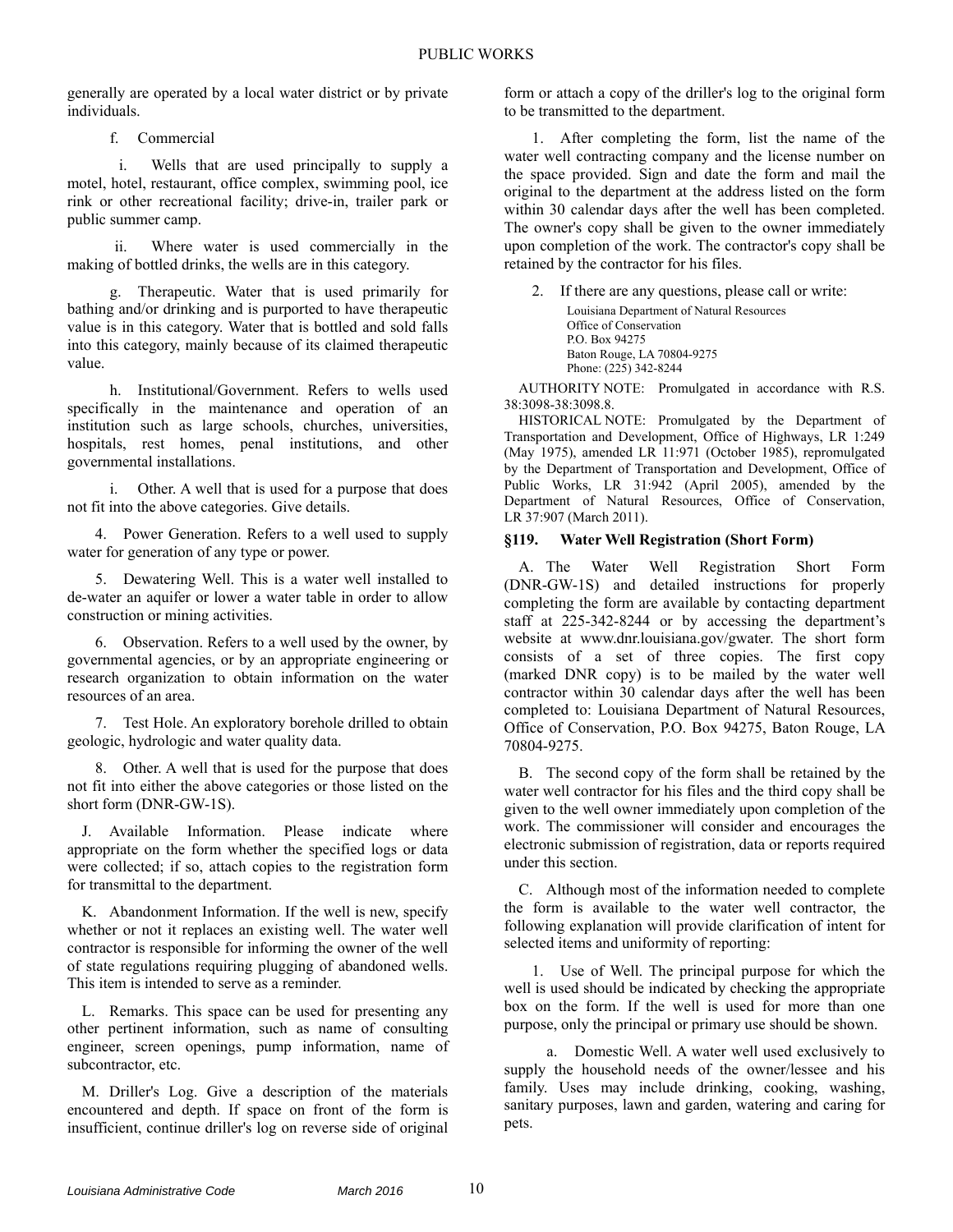generally are operated by a local water district or by private individuals.

f. Commercial

 i. Wells that are used principally to supply a motel, hotel, restaurant, office complex, swimming pool, ice rink or other recreational facility; drive-in, trailer park or public summer camp.

 ii. Where water is used commercially in the making of bottled drinks, the wells are in this category.

g. Therapeutic. Water that is used primarily for bathing and/or drinking and is purported to have therapeutic value is in this category. Water that is bottled and sold falls into this category, mainly because of its claimed therapeutic value.

h. Institutional/Government. Refers to wells used specifically in the maintenance and operation of an institution such as large schools, churches, universities, hospitals, rest homes, penal institutions, and other governmental installations.

i. Other. A well that is used for a purpose that does not fit into the above categories. Give details.

4. Power Generation. Refers to a well used to supply water for generation of any type or power.

5. Dewatering Well. This is a water well installed to de-water an aquifer or lower a water table in order to allow construction or mining activities.

6. Observation. Refers to a well used by the owner, by governmental agencies, or by an appropriate engineering or research organization to obtain information on the water resources of an area.

7. Test Hole. An exploratory borehole drilled to obtain geologic, hydrologic and water quality data.

8. Other. A well that is used for the purpose that does not fit into either the above categories or those listed on the short form (DNR-GW-1S).

J. Available Information. Please indicate where appropriate on the form whether the specified logs or data were collected; if so, attach copies to the registration form for transmittal to the department.

K. Abandonment Information. If the well is new, specify whether or not it replaces an existing well. The water well contractor is responsible for informing the owner of the well of state regulations requiring plugging of abandoned wells. This item is intended to serve as a reminder.

L. Remarks. This space can be used for presenting any other pertinent information, such as name of consulting engineer, screen openings, pump information, name of subcontractor, etc.

M. Driller's Log. Give a description of the materials encountered and depth. If space on front of the form is insufficient, continue driller's log on reverse side of original form or attach a copy of the driller's log to the original form to be transmitted to the department.

1. After completing the form, list the name of the water well contracting company and the license number on the space provided. Sign and date the form and mail the original to the department at the address listed on the form within 30 calendar days after the well has been completed. The owner's copy shall be given to the owner immediately upon completion of the work. The contractor's copy shall be retained by the contractor for his files.

2. If there are any questions, please call or write: Louisiana Department of Natural Resources Office of Conservation P.O. Box 94275 Baton Rouge, LA 70804-9275 Phone: (225) 342-8244

AUTHORITY NOTE: Promulgated in accordance with R.S. 38:3098-38:3098.8.

HISTORICAL NOTE: Promulgated by the Department of Transportation and Development, Office of Highways, LR 1:249 (May 1975), amended LR 11:971 (October 1985), repromulgated by the Department of Transportation and Development, Office of Public Works, LR 31:942 (April 2005), amended by the Department of Natural Resources, Office of Conservation, LR 37:907 (March 2011).

## **§119. Water Well Registration (Short Form)**

A. The Water Well Registration Short Form (DNR-GW-1S) and detailed instructions for properly completing the form are available by contacting department staff at 225-342-8244 or by accessing the department's website at www.dnr.louisiana.gov/gwater. The short form consists of a set of three copies. The first copy (marked DNR copy) is to be mailed by the water well contractor within 30 calendar days after the well has been completed to: Louisiana Department of Natural Resources, Office of Conservation, P.O. Box 94275, Baton Rouge, LA 70804-9275.

B. The second copy of the form shall be retained by the water well contractor for his files and the third copy shall be given to the well owner immediately upon completion of the work. The commissioner will consider and encourages the electronic submission of registration, data or reports required under this section.

C. Although most of the information needed to complete the form is available to the water well contractor, the following explanation will provide clarification of intent for selected items and uniformity of reporting:

1. Use of Well. The principal purpose for which the well is used should be indicated by checking the appropriate box on the form. If the well is used for more than one purpose, only the principal or primary use should be shown.

a. Domestic Well. A water well used exclusively to supply the household needs of the owner/lessee and his family. Uses may include drinking, cooking, washing, sanitary purposes, lawn and garden, watering and caring for pets.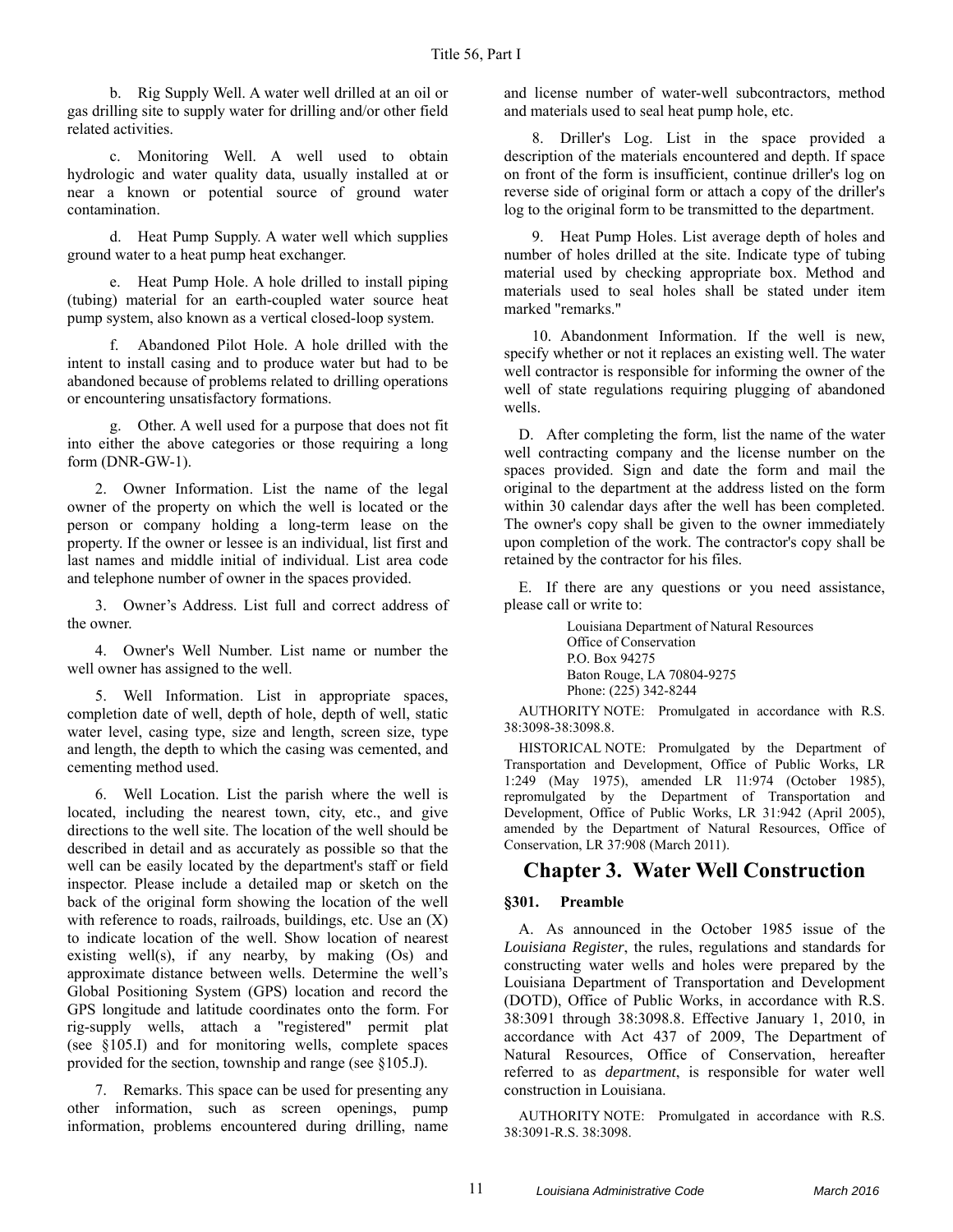b. Rig Supply Well. A water well drilled at an oil or gas drilling site to supply water for drilling and/or other field related activities.

c. Monitoring Well. A well used to obtain hydrologic and water quality data, usually installed at or near a known or potential source of ground water contamination.

d. Heat Pump Supply. A water well which supplies ground water to a heat pump heat exchanger.

e. Heat Pump Hole. A hole drilled to install piping (tubing) material for an earth-coupled water source heat pump system, also known as a vertical closed-loop system.

f. Abandoned Pilot Hole. A hole drilled with the intent to install casing and to produce water but had to be abandoned because of problems related to drilling operations or encountering unsatisfactory formations.

g. Other. A well used for a purpose that does not fit into either the above categories or those requiring a long form (DNR-GW-1).

2. Owner Information. List the name of the legal owner of the property on which the well is located or the person or company holding a long-term lease on the property. If the owner or lessee is an individual, list first and last names and middle initial of individual. List area code and telephone number of owner in the spaces provided.

3. Owner's Address. List full and correct address of the owner.

4. Owner's Well Number. List name or number the well owner has assigned to the well.

5. Well Information. List in appropriate spaces, completion date of well, depth of hole, depth of well, static water level, casing type, size and length, screen size, type and length, the depth to which the casing was cemented, and cementing method used.

6. Well Location. List the parish where the well is located, including the nearest town, city, etc., and give directions to the well site. The location of the well should be described in detail and as accurately as possible so that the well can be easily located by the department's staff or field inspector. Please include a detailed map or sketch on the back of the original form showing the location of the well with reference to roads, railroads, buildings, etc. Use an  $(X)$ to indicate location of the well. Show location of nearest existing well(s), if any nearby, by making (Os) and approximate distance between wells. Determine the well's Global Positioning System (GPS) location and record the GPS longitude and latitude coordinates onto the form. For rig-supply wells, attach a "registered" permit plat (see §105.I) and for monitoring wells, complete spaces provided for the section, township and range (see §105.J).

7. Remarks. This space can be used for presenting any other information, such as screen openings, pump information, problems encountered during drilling, name and license number of water-well subcontractors, method and materials used to seal heat pump hole, etc.

8. Driller's Log. List in the space provided a description of the materials encountered and depth. If space on front of the form is insufficient, continue driller's log on reverse side of original form or attach a copy of the driller's log to the original form to be transmitted to the department.

9. Heat Pump Holes. List average depth of holes and number of holes drilled at the site. Indicate type of tubing material used by checking appropriate box. Method and materials used to seal holes shall be stated under item marked "remarks."

10. Abandonment Information. If the well is new, specify whether or not it replaces an existing well. The water well contractor is responsible for informing the owner of the well of state regulations requiring plugging of abandoned wells.

D. After completing the form, list the name of the water well contracting company and the license number on the spaces provided. Sign and date the form and mail the original to the department at the address listed on the form within 30 calendar days after the well has been completed. The owner's copy shall be given to the owner immediately upon completion of the work. The contractor's copy shall be retained by the contractor for his files.

E. If there are any questions or you need assistance, please call or write to:

> Louisiana Department of Natural Resources Office of Conservation P.O. Box 94275 Baton Rouge, LA 70804-9275 Phone: (225) 342-8244

AUTHORITY NOTE: Promulgated in accordance with R.S. 38:3098-38:3098.8.

HISTORICAL NOTE: Promulgated by the Department of Transportation and Development, Office of Public Works, LR 1:249 (May 1975), amended LR 11:974 (October 1985), repromulgated by the Department of Transportation and Development, Office of Public Works, LR 31:942 (April 2005), amended by the Department of Natural Resources, Office of Conservation, LR 37:908 (March 2011).

## **Chapter 3. Water Well Construction**

## **§301. Preamble**

A. As announced in the October 1985 issue of the *Louisiana Register*, the rules, regulations and standards for constructing water wells and holes were prepared by the Louisiana Department of Transportation and Development (DOTD), Office of Public Works, in accordance with R.S. 38:3091 through 38:3098.8. Effective January 1, 2010, in accordance with Act 437 of 2009, The Department of Natural Resources, Office of Conservation, hereafter referred to as *department*, is responsible for water well construction in Louisiana.

AUTHORITY NOTE: Promulgated in accordance with R.S. 38:3091-R.S. 38:3098.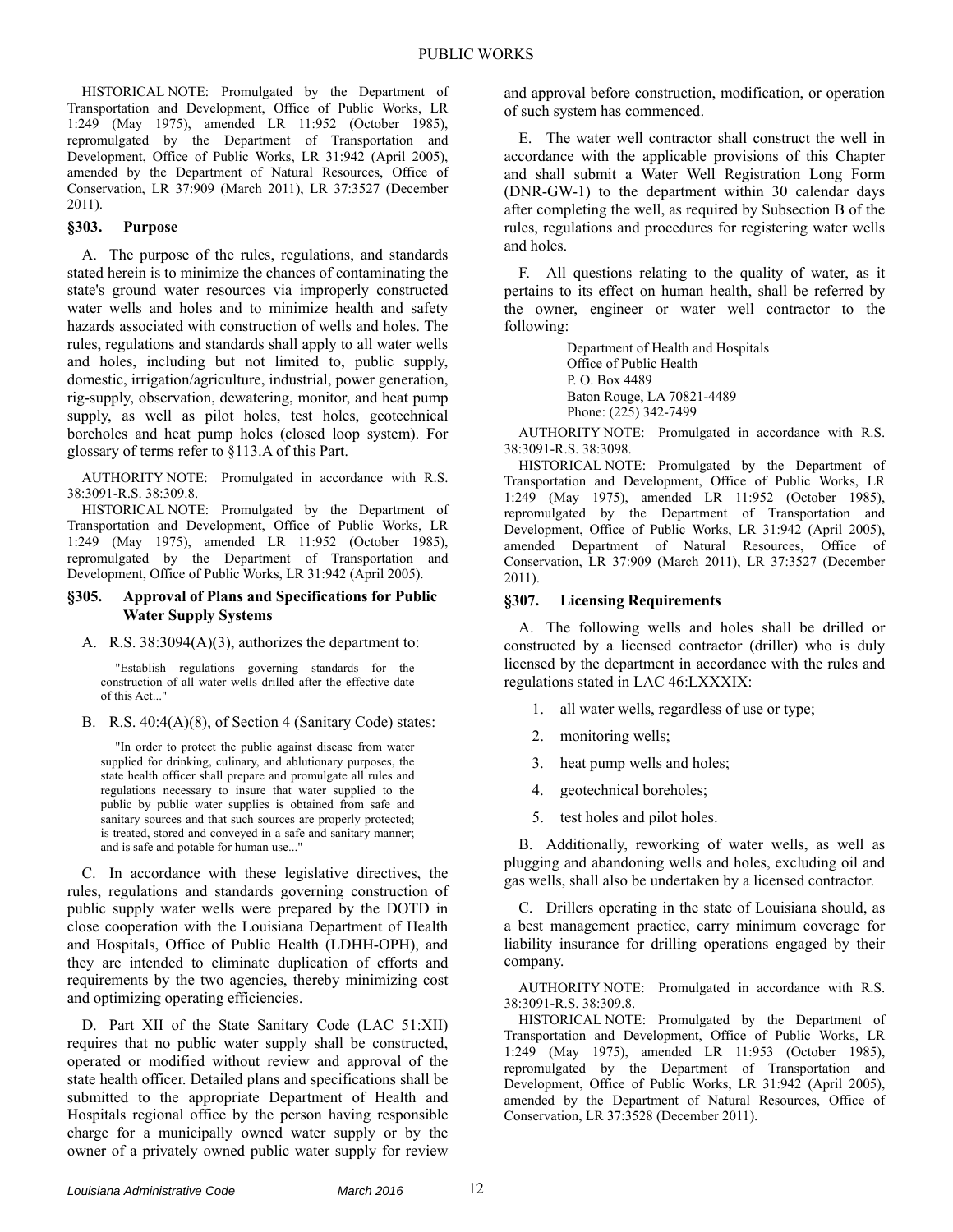HISTORICAL NOTE: Promulgated by the Department of Transportation and Development, Office of Public Works, LR 1:249 (May 1975), amended LR 11:952 (October 1985), repromulgated by the Department of Transportation and Development, Office of Public Works, LR 31:942 (April 2005), amended by the Department of Natural Resources, Office of Conservation, LR 37:909 (March 2011), LR 37:3527 (December 2011).

## **§303. Purpose**

A. The purpose of the rules, regulations, and standards stated herein is to minimize the chances of contaminating the state's ground water resources via improperly constructed water wells and holes and to minimize health and safety hazards associated with construction of wells and holes. The rules, regulations and standards shall apply to all water wells and holes, including but not limited to, public supply, domestic, irrigation/agriculture, industrial, power generation, rig-supply, observation, dewatering, monitor, and heat pump supply, as well as pilot holes, test holes, geotechnical boreholes and heat pump holes (closed loop system). For glossary of terms refer to §113.A of this Part.

AUTHORITY NOTE: Promulgated in accordance with R.S. 38:3091-R.S. 38:309.8.

HISTORICAL NOTE: Promulgated by the Department of Transportation and Development, Office of Public Works, LR 1:249 (May 1975), amended LR 11:952 (October 1985), repromulgated by the Department of Transportation and Development, Office of Public Works, LR 31:942 (April 2005).

#### **§305. Approval of Plans and Specifications for Public Water Supply Systems**

#### A. R.S. 38:3094(A)(3), authorizes the department to:

"Establish regulations governing standards for the construction of all water wells drilled after the effective date of this Act..."

B. R.S. 40:4(A)(8), of Section 4 (Sanitary Code) states:

"In order to protect the public against disease from water supplied for drinking, culinary, and ablutionary purposes, the state health officer shall prepare and promulgate all rules and regulations necessary to insure that water supplied to the public by public water supplies is obtained from safe and sanitary sources and that such sources are properly protected; is treated, stored and conveyed in a safe and sanitary manner; and is safe and potable for human use..."

C. In accordance with these legislative directives, the rules, regulations and standards governing construction of public supply water wells were prepared by the DOTD in close cooperation with the Louisiana Department of Health and Hospitals, Office of Public Health (LDHH-OPH), and they are intended to eliminate duplication of efforts and requirements by the two agencies, thereby minimizing cost and optimizing operating efficiencies.

D. Part XII of the State Sanitary Code (LAC 51:XII) requires that no public water supply shall be constructed, operated or modified without review and approval of the state health officer. Detailed plans and specifications shall be submitted to the appropriate Department of Health and Hospitals regional office by the person having responsible charge for a municipally owned water supply or by the owner of a privately owned public water supply for review

and approval before construction, modification, or operation of such system has commenced.

E. The water well contractor shall construct the well in accordance with the applicable provisions of this Chapter and shall submit a Water Well Registration Long Form (DNR-GW-1) to the department within 30 calendar days after completing the well, as required by Subsection B of the rules, regulations and procedures for registering water wells and holes.

F. All questions relating to the quality of water, as it pertains to its effect on human health, shall be referred by the owner, engineer or water well contractor to the following:

> Department of Health and Hospitals Office of Public Health P. O. Box 4489 Baton Rouge, LA 70821-4489 Phone: (225) 342-7499

AUTHORITY NOTE: Promulgated in accordance with R.S. 38:3091-R.S. 38:3098.

HISTORICAL NOTE: Promulgated by the Department of Transportation and Development, Office of Public Works, LR 1:249 (May 1975), amended LR 11:952 (October 1985), repromulgated by the Department of Transportation and Development, Office of Public Works, LR 31:942 (April 2005), amended Department of Natural Resources, Office of Conservation, LR 37:909 (March 2011), LR 37:3527 (December 2011).

#### **§307. Licensing Requirements**

A. The following wells and holes shall be drilled or constructed by a licensed contractor (driller) who is duly licensed by the department in accordance with the rules and regulations stated in LAC 46:LXXXIX:

- 1. all water wells, regardless of use or type;
- 2. monitoring wells;
- 3. heat pump wells and holes;
- 4. geotechnical boreholes;
- 5. test holes and pilot holes.

B. Additionally, reworking of water wells, as well as plugging and abandoning wells and holes, excluding oil and gas wells, shall also be undertaken by a licensed contractor.

C. Drillers operating in the state of Louisiana should, as a best management practice, carry minimum coverage for liability insurance for drilling operations engaged by their company.

AUTHORITY NOTE: Promulgated in accordance with R.S. 38:3091-R.S. 38:309.8.

HISTORICAL NOTE: Promulgated by the Department of Transportation and Development, Office of Public Works, LR 1:249 (May 1975), amended LR 11:953 (October 1985), repromulgated by the Department of Transportation and Development, Office of Public Works, LR 31:942 (April 2005), amended by the Department of Natural Resources, Office of Conservation, LR 37:3528 (December 2011).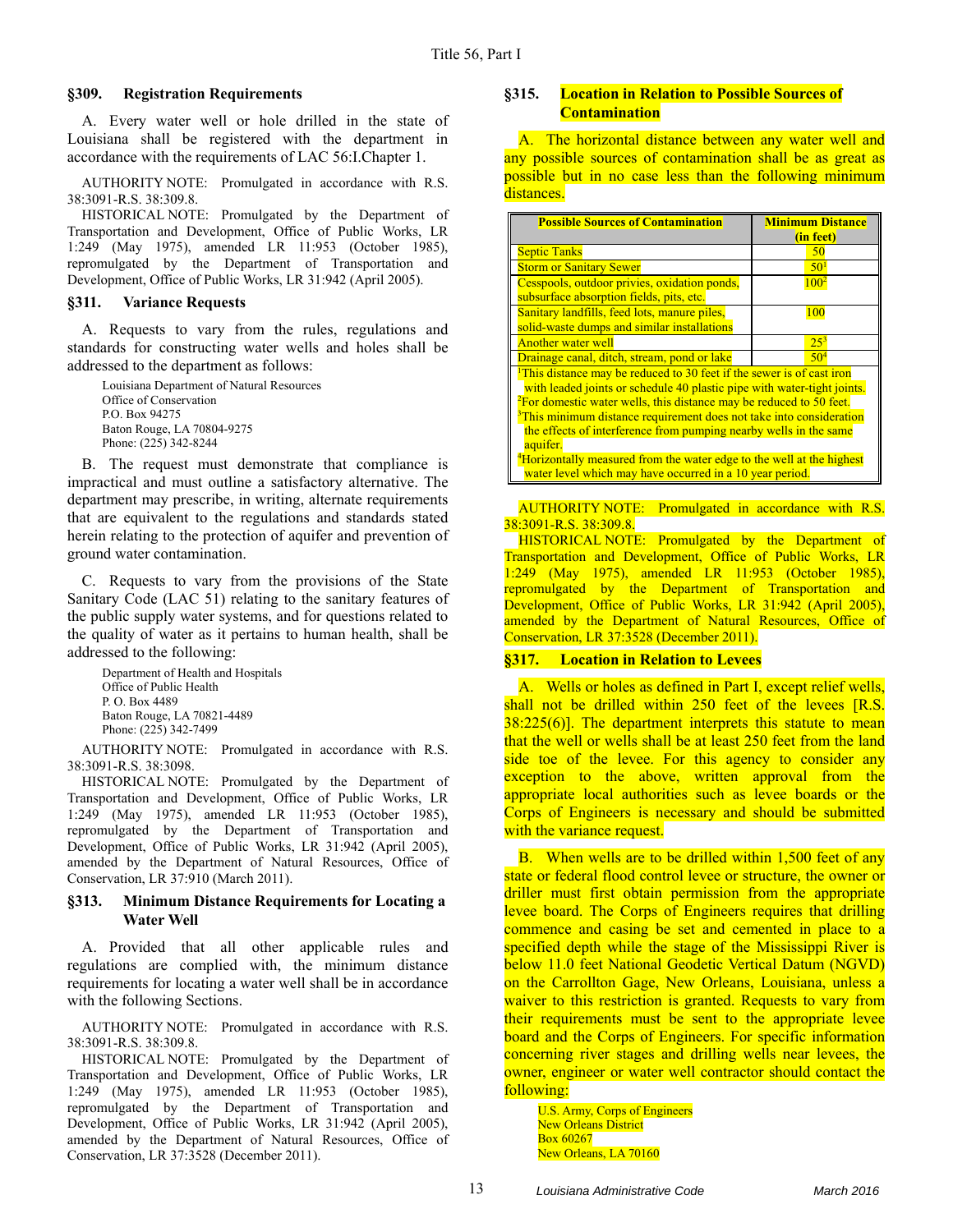#### **§309. Registration Requirements**

A. Every water well or hole drilled in the state of Louisiana shall be registered with the department in accordance with the requirements of LAC 56:I.Chapter 1.

AUTHORITY NOTE: Promulgated in accordance with R.S. 38:3091-R.S. 38:309.8.

HISTORICAL NOTE: Promulgated by the Department of Transportation and Development, Office of Public Works, LR 1:249 (May 1975), amended LR 11:953 (October 1985), repromulgated by the Department of Transportation and Development, Office of Public Works, LR 31:942 (April 2005).

#### **§311. Variance Requests**

A. Requests to vary from the rules, regulations and standards for constructing water wells and holes shall be addressed to the department as follows:

Louisiana Department of Natural Resources Office of Conservation P.O. Box 94275 Baton Rouge, LA 70804-9275 Phone: (225) 342-8244

B. The request must demonstrate that compliance is impractical and must outline a satisfactory alternative. The department may prescribe, in writing, alternate requirements that are equivalent to the regulations and standards stated herein relating to the protection of aquifer and prevention of ground water contamination.

C. Requests to vary from the provisions of the State Sanitary Code (LAC 51) relating to the sanitary features of the public supply water systems, and for questions related to the quality of water as it pertains to human health, shall be addressed to the following:

Department of Health and Hospitals Office of Public Health P. O. Box 4489 Baton Rouge, LA 70821-4489 Phone: (225) 342-7499

AUTHORITY NOTE: Promulgated in accordance with R.S. 38:3091-R.S. 38:3098.

HISTORICAL NOTE: Promulgated by the Department of Transportation and Development, Office of Public Works, LR 1:249 (May 1975), amended LR 11:953 (October 1985), repromulgated by the Department of Transportation and Development, Office of Public Works, LR 31:942 (April 2005), amended by the Department of Natural Resources, Office of Conservation, LR 37:910 (March 2011).

#### **§313. Minimum Distance Requirements for Locating a Water Well**

A. Provided that all other applicable rules and regulations are complied with, the minimum distance requirements for locating a water well shall be in accordance with the following Sections.

AUTHORITY NOTE: Promulgated in accordance with R.S. 38:3091-R.S. 38:309.8.

HISTORICAL NOTE: Promulgated by the Department of Transportation and Development, Office of Public Works, LR 1:249 (May 1975), amended LR 11:953 (October 1985), repromulgated by the Department of Transportation and Development, Office of Public Works, LR 31:942 (April 2005), amended by the Department of Natural Resources, Office of Conservation, LR 37:3528 (December 2011).

## **§315. Location in Relation to Possible Sources of Contamination**

A. The horizontal distance between any water well and any possible sources of contamination shall be as great as possible but in no case less than the following minimum distances.

| <b>Possible Sources of Contamination</b>                                                                                                                                                                                                                                                                                                                                                               | <b>Minimum Distance</b><br>(in feet) |
|--------------------------------------------------------------------------------------------------------------------------------------------------------------------------------------------------------------------------------------------------------------------------------------------------------------------------------------------------------------------------------------------------------|--------------------------------------|
| <b>Septic Tanks</b>                                                                                                                                                                                                                                                                                                                                                                                    | 50                                   |
| <b>Storm or Sanitary Sewer</b>                                                                                                                                                                                                                                                                                                                                                                         | 50 <sup>1</sup>                      |
| Cesspools, outdoor privies, oxidation ponds,<br>subsurface absorption fields, pits, etc.                                                                                                                                                                                                                                                                                                               | $100^2$                              |
| Sanitary landfills, feed lots, manure piles,<br>solid-waste dumps and similar installations                                                                                                                                                                                                                                                                                                            | <b>100</b>                           |
| <b>Another water well</b>                                                                                                                                                                                                                                                                                                                                                                              | $25^3$                               |
| Drainage canal, ditch, stream, pond or lake                                                                                                                                                                                                                                                                                                                                                            | $50^{4}$                             |
| <sup>1</sup> This distance may be reduced to 30 feet if the sewer is of cast iron<br>with leaded joints or schedule 40 plastic pipe with water-tight joints.<br>$\rm{^{2}F}$ or domestic water wells, this distance may be reduced to 50 feet.<br><sup>3</sup> This minimum distance requirement does not take into consideration<br>the effects of interference from pumping nearby wells in the same |                                      |
| aquifer.<br><sup>4</sup> Horizontally measured from the water edge to the well at the highest                                                                                                                                                                                                                                                                                                          |                                      |
| water level which may have occurred in a 10 year period.                                                                                                                                                                                                                                                                                                                                               |                                      |

AUTHORITY NOTE: Promulgated in accordance with R.S. 38:3091-R.S. 38:309.8.

HISTORICAL NOTE: Promulgated by the Department of Transportation and Development, Office of Public Works, LR 1:249 (May 1975), amended LR 11:953 (October 1985), repromulgated by the Department of Transportation and Development, Office of Public Works, LR 31:942 (April 2005), amended by the Department of Natural Resources, Office of Conservation, LR 37:3528 (December 2011).

#### **§317. Location in Relation to Levees**

A. Wells or holes as defined in Part I, except relief wells, shall not be drilled within 250 feet of the levees [R.S. 38:225(6)]. The department interprets this statute to mean that the well or wells shall be at least 250 feet from the land side toe of the levee. For this agency to consider any exception to the above, written approval from the appropriate local authorities such as levee boards or the Corps of Engineers is necessary and should be submitted with the variance request.

B. When wells are to be drilled within 1,500 feet of any state or federal flood control levee or structure, the owner or driller must first obtain permission from the appropriate levee board. The Corps of Engineers requires that drilling commence and casing be set and cemented in place to a specified depth while the stage of the Mississippi River is below 11.0 feet National Geodetic Vertical Datum (NGVD) on the Carrollton Gage, New Orleans, Louisiana, unless a waiver to this restriction is granted. Requests to vary from their requirements must be sent to the appropriate levee board and the Corps of Engineers. For specific information concerning river stages and drilling wells near levees, the owner, engineer or water well contractor should contact the following:

U.S. Army, Corps of Engineers **New Orleans District** Box 60267 New Orleans, LA 70160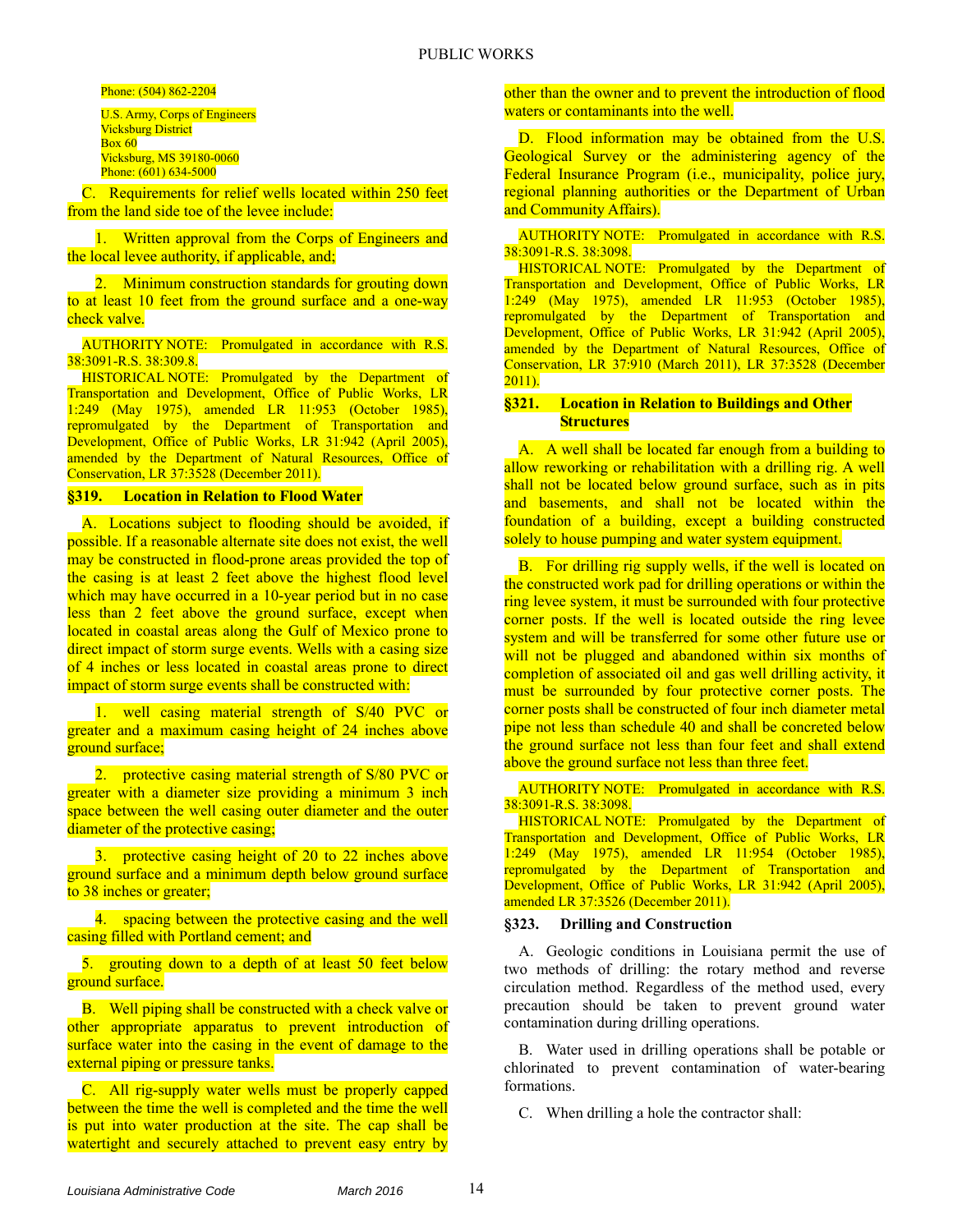Phone: (504) 862-2204

U.S. Army, Corps of Engineers Vicksburg District  $Box 60$ Vicksburg, MS 39180-0060 Phone: (601) 634-5000

C. Requirements for relief wells located within 250 feet from the land side toe of the levee include:

1. Written approval from the Corps of Engineers and the local levee authority, if applicable, and;

2. Minimum construction standards for grouting down to at least 10 feet from the ground surface and a one-way check valve.

AUTHORITY NOTE: Promulgated in accordance with R.S. 38:3091-R.S. 38:309.8.

HISTORICAL NOTE: Promulgated by the Department of Transportation and Development, Office of Public Works, LR 1:249 (May 1975), amended LR 11:953 (October 1985), repromulgated by the Department of Transportation and Development, Office of Public Works, LR 31:942 (April 2005), amended by the Department of Natural Resources, Office of Conservation, LR 37:3528 (December 2011).

**§319. Location in Relation to Flood Water** 

A. Locations subject to flooding should be avoided, if possible. If a reasonable alternate site does not exist, the well may be constructed in flood-prone areas provided the top of the casing is at least 2 feet above the highest flood level which may have occurred in a 10-year period but in no case less than 2 feet above the ground surface, except when located in coastal areas along the Gulf of Mexico prone to direct impact of storm surge events. Wells with a casing size of 4 inches or less located in coastal areas prone to direct impact of storm surge events shall be constructed with:

1. well casing material strength of S/40 PVC or greater and a maximum casing height of 24 inches above ground surface;

2. protective casing material strength of S/80 PVC or greater with a diameter size providing a minimum 3 inch space between the well casing outer diameter and the outer diameter of the protective casing;

3. protective casing height of 20 to 22 inches above ground surface and a minimum depth below ground surface to 38 inches or greater;

4. spacing between the protective casing and the well casing filled with Portland cement; and

5. grouting down to a depth of at least 50 feet below ground surface.

B. Well piping shall be constructed with a check valve or other appropriate apparatus to prevent introduction of surface water into the casing in the event of damage to the external piping or pressure tanks.

C. All rig-supply water wells must be properly capped between the time the well is completed and the time the well is put into water production at the site. The cap shall be watertight and securely attached to prevent easy entry by

other than the owner and to prevent the introduction of flood waters or contaminants into the well.

D. Flood information may be obtained from the U.S. Geological Survey or the administering agency of the Federal Insurance Program (i.e., municipality, police jury, regional planning authorities or the Department of Urban and Community Affairs).

AUTHORITY NOTE: Promulgated in accordance with R.S. 38:3091-R.S. 38:3098.

HISTORICAL NOTE: Promulgated by the Department of Transportation and Development, Office of Public Works, LR 1:249 (May 1975), amended LR 11:953 (October 1985), repromulgated by the Department of Transportation and Development, Office of Public Works, LR 31:942 (April 2005), amended by the Department of Natural Resources, Office of Conservation, LR 37:910 (March 2011), LR 37:3528 (December 2011).

#### **§321. Location in Relation to Buildings and Other Structures**

A. A well shall be located far enough from a building to allow reworking or rehabilitation with a drilling rig. A well shall not be located below ground surface, such as in pits and basements, and shall not be located within the foundation of a building, except a building constructed solely to house pumping and water system equipment.

B. For drilling rig supply wells, if the well is located on the constructed work pad for drilling operations or within the ring levee system, it must be surrounded with four protective corner posts. If the well is located outside the ring levee system and will be transferred for some other future use or will not be plugged and abandoned within six months of completion of associated oil and gas well drilling activity, it must be surrounded by four protective corner posts. The corner posts shall be constructed of four inch diameter metal pipe not less than schedule 40 and shall be concreted below the ground surface not less than four feet and shall extend above the ground surface not less than three feet.

AUTHORITY NOTE: Promulgated in accordance with R.S. 38:3091-R.S. 38:3098.

HISTORICAL NOTE: Promulgated by the Department of Transportation and Development, Office of Public Works, LR 1:249 (May 1975), amended LR 11:954 (October 1985), repromulgated by the Department of Transportation and Development, Office of Public Works, LR 31:942 (April 2005), amended LR 37:3526 (December 2011).

#### **§323. Drilling and Construction**

A. Geologic conditions in Louisiana permit the use of two methods of drilling: the rotary method and reverse circulation method. Regardless of the method used, every precaution should be taken to prevent ground water contamination during drilling operations.

B. Water used in drilling operations shall be potable or chlorinated to prevent contamination of water-bearing formations.

C. When drilling a hole the contractor shall: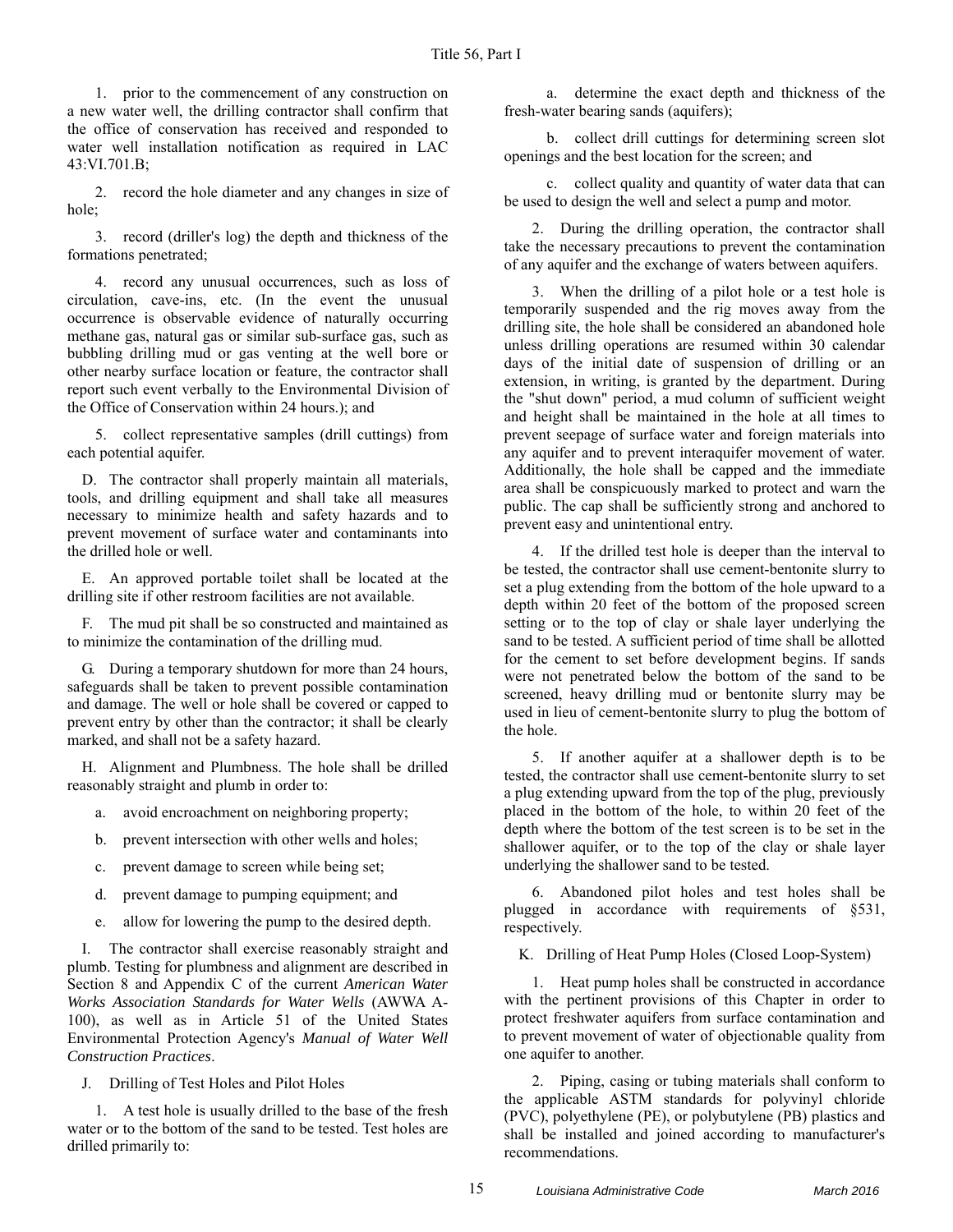1. prior to the commencement of any construction on a new water well, the drilling contractor shall confirm that the office of conservation has received and responded to water well installation notification as required in LAC 43:VI.701.B;

2. record the hole diameter and any changes in size of hole;

3. record (driller's log) the depth and thickness of the formations penetrated;

4. record any unusual occurrences, such as loss of circulation, cave-ins, etc. (In the event the unusual occurrence is observable evidence of naturally occurring methane gas, natural gas or similar sub-surface gas, such as bubbling drilling mud or gas venting at the well bore or other nearby surface location or feature, the contractor shall report such event verbally to the Environmental Division of the Office of Conservation within 24 hours.); and

5. collect representative samples (drill cuttings) from each potential aquifer.

D. The contractor shall properly maintain all materials, tools, and drilling equipment and shall take all measures necessary to minimize health and safety hazards and to prevent movement of surface water and contaminants into the drilled hole or well.

E. An approved portable toilet shall be located at the drilling site if other restroom facilities are not available.

F. The mud pit shall be so constructed and maintained as to minimize the contamination of the drilling mud.

G. During a temporary shutdown for more than 24 hours, safeguards shall be taken to prevent possible contamination and damage. The well or hole shall be covered or capped to prevent entry by other than the contractor; it shall be clearly marked, and shall not be a safety hazard.

H. Alignment and Plumbness. The hole shall be drilled reasonably straight and plumb in order to:

- a. avoid encroachment on neighboring property;
- b. prevent intersection with other wells and holes;
- c. prevent damage to screen while being set;
- d. prevent damage to pumping equipment; and
- e. allow for lowering the pump to the desired depth.

I. The contractor shall exercise reasonably straight and plumb. Testing for plumbness and alignment are described in Section 8 and Appendix C of the current *American Water Works Association Standards for Water Wells* (AWWA A-100), as well as in Article 51 of the United States Environmental Protection Agency's *Manual of Water Well Construction Practices*.

J. Drilling of Test Holes and Pilot Holes

1. A test hole is usually drilled to the base of the fresh water or to the bottom of the sand to be tested. Test holes are drilled primarily to:

a. determine the exact depth and thickness of the fresh-water bearing sands (aquifers);

b. collect drill cuttings for determining screen slot openings and the best location for the screen; and

c. collect quality and quantity of water data that can be used to design the well and select a pump and motor.

2. During the drilling operation, the contractor shall take the necessary precautions to prevent the contamination of any aquifer and the exchange of waters between aquifers.

3. When the drilling of a pilot hole or a test hole is temporarily suspended and the rig moves away from the drilling site, the hole shall be considered an abandoned hole unless drilling operations are resumed within 30 calendar days of the initial date of suspension of drilling or an extension, in writing, is granted by the department. During the "shut down" period, a mud column of sufficient weight and height shall be maintained in the hole at all times to prevent seepage of surface water and foreign materials into any aquifer and to prevent interaquifer movement of water. Additionally, the hole shall be capped and the immediate area shall be conspicuously marked to protect and warn the public. The cap shall be sufficiently strong and anchored to prevent easy and unintentional entry.

4. If the drilled test hole is deeper than the interval to be tested, the contractor shall use cement-bentonite slurry to set a plug extending from the bottom of the hole upward to a depth within 20 feet of the bottom of the proposed screen setting or to the top of clay or shale layer underlying the sand to be tested. A sufficient period of time shall be allotted for the cement to set before development begins. If sands were not penetrated below the bottom of the sand to be screened, heavy drilling mud or bentonite slurry may be used in lieu of cement-bentonite slurry to plug the bottom of the hole.

5. If another aquifer at a shallower depth is to be tested, the contractor shall use cement-bentonite slurry to set a plug extending upward from the top of the plug, previously placed in the bottom of the hole, to within 20 feet of the depth where the bottom of the test screen is to be set in the shallower aquifer, or to the top of the clay or shale layer underlying the shallower sand to be tested.

6. Abandoned pilot holes and test holes shall be plugged in accordance with requirements of §531, respectively.

K. Drilling of Heat Pump Holes (Closed Loop-System)

1. Heat pump holes shall be constructed in accordance with the pertinent provisions of this Chapter in order to protect freshwater aquifers from surface contamination and to prevent movement of water of objectionable quality from one aquifer to another.

2. Piping, casing or tubing materials shall conform to the applicable ASTM standards for polyvinyl chloride (PVC), polyethylene (PE), or polybutylene (PB) plastics and shall be installed and joined according to manufacturer's recommendations.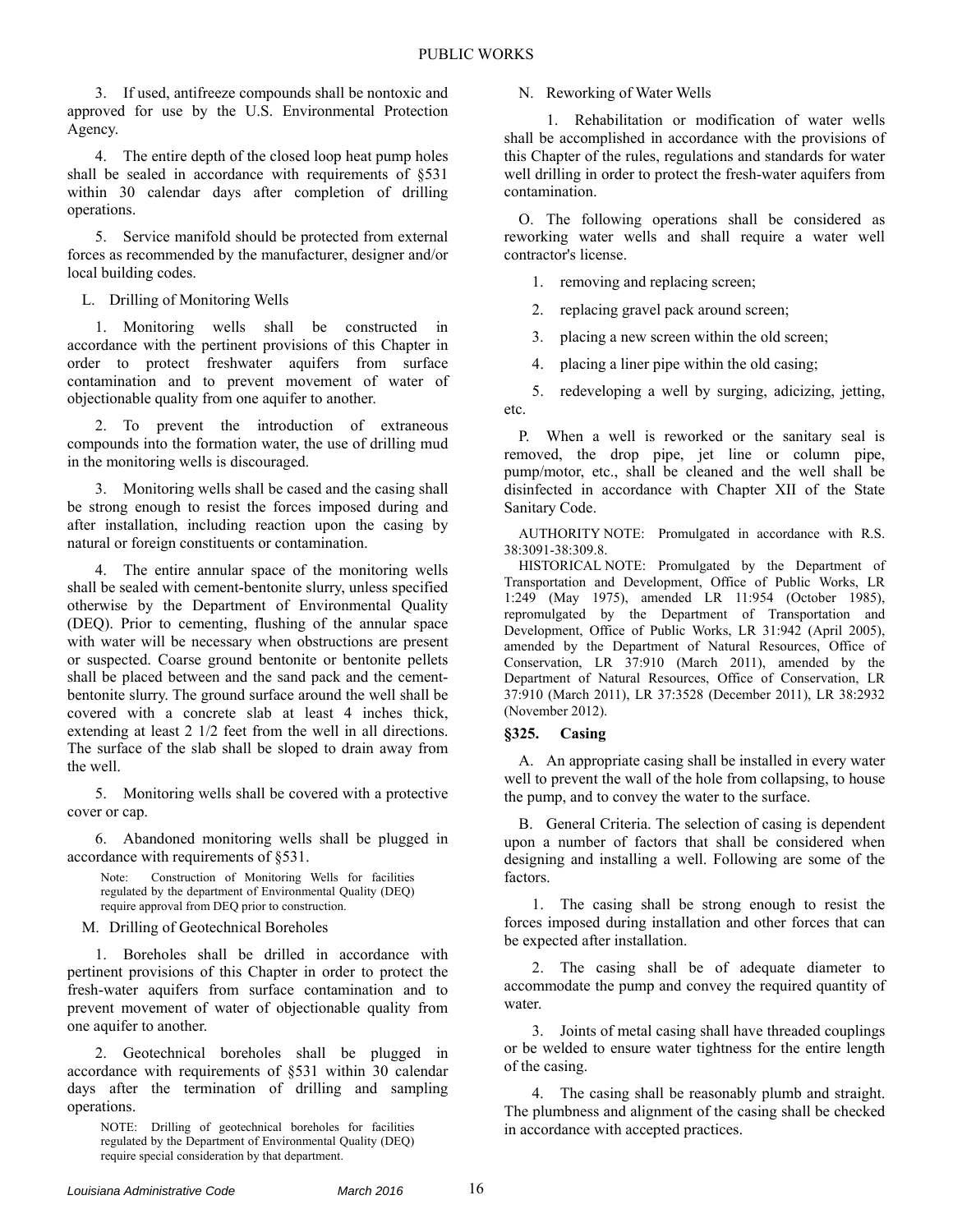3. If used, antifreeze compounds shall be nontoxic and approved for use by the U.S. Environmental Protection Agency.

4. The entire depth of the closed loop heat pump holes shall be sealed in accordance with requirements of §531 within 30 calendar days after completion of drilling operations.

5. Service manifold should be protected from external forces as recommended by the manufacturer, designer and/or local building codes.

L. Drilling of Monitoring Wells

1. Monitoring wells shall be constructed in accordance with the pertinent provisions of this Chapter in order to protect freshwater aquifers from surface contamination and to prevent movement of water of objectionable quality from one aquifer to another.

2. To prevent the introduction of extraneous compounds into the formation water, the use of drilling mud in the monitoring wells is discouraged.

3. Monitoring wells shall be cased and the casing shall be strong enough to resist the forces imposed during and after installation, including reaction upon the casing by natural or foreign constituents or contamination.

4. The entire annular space of the monitoring wells shall be sealed with cement-bentonite slurry, unless specified otherwise by the Department of Environmental Quality (DEQ). Prior to cementing, flushing of the annular space with water will be necessary when obstructions are present or suspected. Coarse ground bentonite or bentonite pellets shall be placed between and the sand pack and the cementbentonite slurry. The ground surface around the well shall be covered with a concrete slab at least 4 inches thick, extending at least 2 1/2 feet from the well in all directions. The surface of the slab shall be sloped to drain away from the well.

5. Monitoring wells shall be covered with a protective cover or cap.

6. Abandoned monitoring wells shall be plugged in accordance with requirements of §531.

Note: Construction of Monitoring Wells for facilities regulated by the department of Environmental Quality (DEQ) require approval from DEQ prior to construction.

M. Drilling of Geotechnical Boreholes

1. Boreholes shall be drilled in accordance with pertinent provisions of this Chapter in order to protect the fresh-water aquifers from surface contamination and to prevent movement of water of objectionable quality from one aquifer to another.

2. Geotechnical boreholes shall be plugged in accordance with requirements of §531 within 30 calendar days after the termination of drilling and sampling operations.

NOTE: Drilling of geotechnical boreholes for facilities regulated by the Department of Environmental Quality (DEQ) require special consideration by that department.

N. Reworking of Water Wells

1. Rehabilitation or modification of water wells shall be accomplished in accordance with the provisions of this Chapter of the rules, regulations and standards for water well drilling in order to protect the fresh-water aquifers from contamination.

O. The following operations shall be considered as reworking water wells and shall require a water well contractor's license.

1. removing and replacing screen;

2. replacing gravel pack around screen;

3. placing a new screen within the old screen;

4. placing a liner pipe within the old casing;

5. redeveloping a well by surging, adicizing, jetting, etc.

P. When a well is reworked or the sanitary seal is removed, the drop pipe, jet line or column pipe, pump/motor, etc., shall be cleaned and the well shall be disinfected in accordance with Chapter XII of the State Sanitary Code.

AUTHORITY NOTE: Promulgated in accordance with R.S. 38:3091-38:309.8.

HISTORICAL NOTE: Promulgated by the Department of Transportation and Development, Office of Public Works, LR 1:249 (May 1975), amended LR 11:954 (October 1985), repromulgated by the Department of Transportation and Development, Office of Public Works, LR 31:942 (April 2005), amended by the Department of Natural Resources, Office of Conservation, LR 37:910 (March 2011), amended by the Department of Natural Resources, Office of Conservation, LR 37:910 (March 2011), LR 37:3528 (December 2011), LR 38:2932 (November 2012).

## **§325. Casing**

A. An appropriate casing shall be installed in every water well to prevent the wall of the hole from collapsing, to house the pump, and to convey the water to the surface.

B. General Criteria. The selection of casing is dependent upon a number of factors that shall be considered when designing and installing a well. Following are some of the factors.

1. The casing shall be strong enough to resist the forces imposed during installation and other forces that can be expected after installation.

2. The casing shall be of adequate diameter to accommodate the pump and convey the required quantity of water.

3. Joints of metal casing shall have threaded couplings or be welded to ensure water tightness for the entire length of the casing.

4. The casing shall be reasonably plumb and straight. The plumbness and alignment of the casing shall be checked in accordance with accepted practices.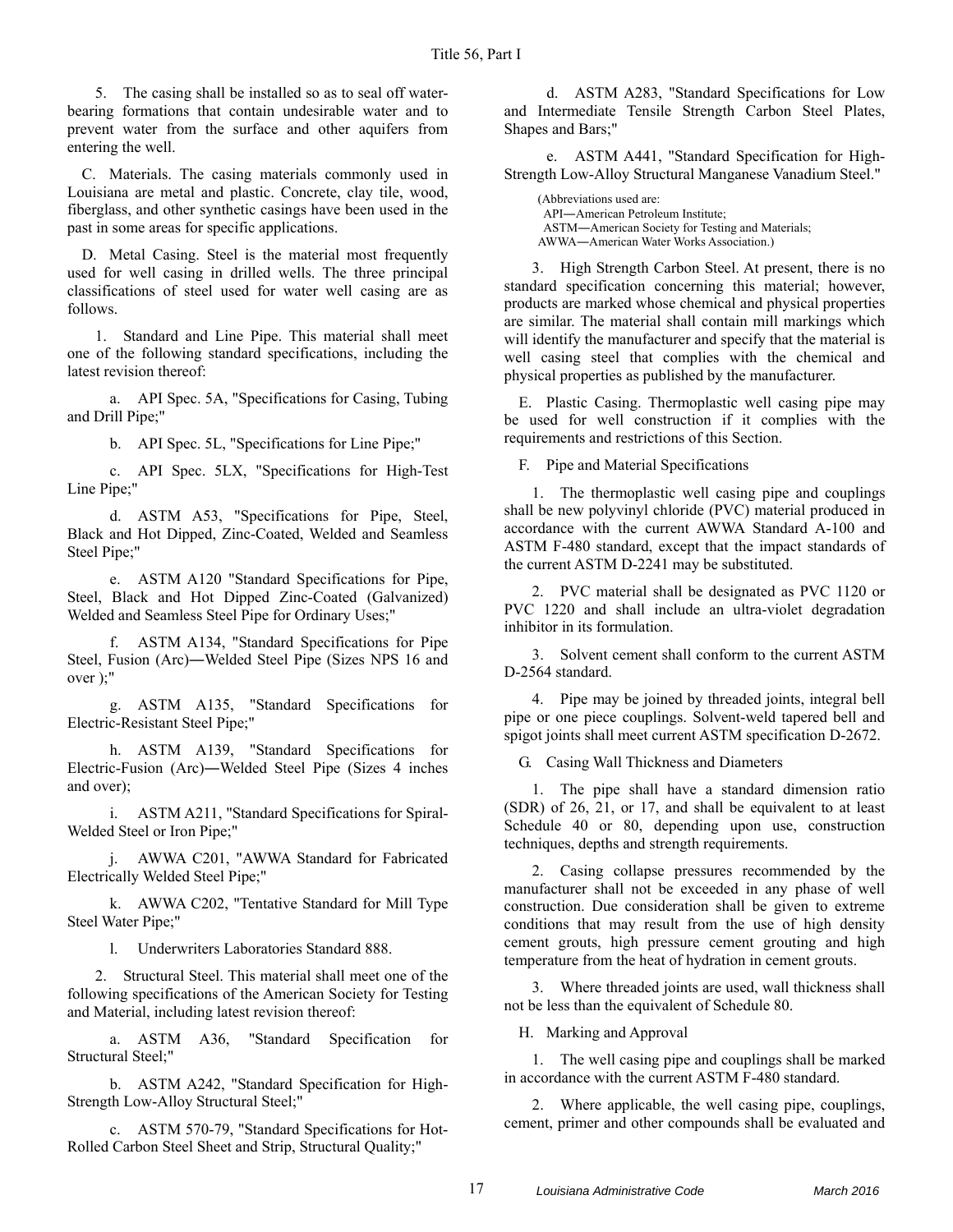5. The casing shall be installed so as to seal off waterbearing formations that contain undesirable water and to prevent water from the surface and other aquifers from entering the well.

C. Materials. The casing materials commonly used in Louisiana are metal and plastic. Concrete, clay tile, wood, fiberglass, and other synthetic casings have been used in the past in some areas for specific applications.

D. Metal Casing. Steel is the material most frequently used for well casing in drilled wells. The three principal classifications of steel used for water well casing are as follows.

1. Standard and Line Pipe. This material shall meet one of the following standard specifications, including the latest revision thereof:

a. API Spec. 5A, "Specifications for Casing, Tubing and Drill Pipe;"

b. API Spec. 5L, "Specifications for Line Pipe;"

c. API Spec. 5LX, "Specifications for High-Test Line Pipe;"

d. ASTM A53, "Specifications for Pipe, Steel, Black and Hot Dipped, Zinc-Coated, Welded and Seamless Steel Pipe;"

e. ASTM A120 "Standard Specifications for Pipe, Steel, Black and Hot Dipped Zinc-Coated (Galvanized) Welded and Seamless Steel Pipe for Ordinary Uses;"

f. ASTM A134, "Standard Specifications for Pipe Steel, Fusion (Arc)―Welded Steel Pipe (Sizes NPS 16 and over );"

g. ASTM A135, "Standard Specifications for Electric-Resistant Steel Pipe;"

h. ASTM A139, "Standard Specifications for Electric-Fusion (Arc)―Welded Steel Pipe (Sizes 4 inches and over);

i. ASTM A211, "Standard Specifications for Spiral-Welded Steel or Iron Pipe;"

j. AWWA C201, "AWWA Standard for Fabricated Electrically Welded Steel Pipe;"

k. AWWA C202, "Tentative Standard for Mill Type Steel Water Pipe;"

l. Underwriters Laboratories Standard 888.

2. Structural Steel. This material shall meet one of the following specifications of the American Society for Testing and Material, including latest revision thereof:

a. ASTM A36, "Standard Specification for Structural Steel;"

b. ASTM A242, "Standard Specification for High-Strength Low-Alloy Structural Steel;"

c. ASTM 570-79, "Standard Specifications for Hot-Rolled Carbon Steel Sheet and Strip, Structural Quality;"

d. ASTM A283, "Standard Specifications for Low and Intermediate Tensile Strength Carbon Steel Plates, Shapes and Bars;"

e. ASTM A441, "Standard Specification for High-Strength Low-Alloy Structural Manganese Vanadium Steel."

(Abbreviations used are: API―American Petroleum Institute; ASTM―American Society for Testing and Materials; AWWA―American Water Works Association.)

3. High Strength Carbon Steel. At present, there is no standard specification concerning this material; however, products are marked whose chemical and physical properties are similar. The material shall contain mill markings which will identify the manufacturer and specify that the material is well casing steel that complies with the chemical and physical properties as published by the manufacturer.

E. Plastic Casing. Thermoplastic well casing pipe may be used for well construction if it complies with the requirements and restrictions of this Section.

F. Pipe and Material Specifications

1. The thermoplastic well casing pipe and couplings shall be new polyvinyl chloride (PVC) material produced in accordance with the current AWWA Standard A-100 and ASTM F-480 standard, except that the impact standards of the current ASTM D-2241 may be substituted.

2. PVC material shall be designated as PVC 1120 or PVC 1220 and shall include an ultra-violet degradation inhibitor in its formulation.

3. Solvent cement shall conform to the current ASTM D-2564 standard.

4. Pipe may be joined by threaded joints, integral bell pipe or one piece couplings. Solvent-weld tapered bell and spigot joints shall meet current ASTM specification D-2672.

G. Casing Wall Thickness and Diameters

1. The pipe shall have a standard dimension ratio (SDR) of 26, 21, or 17, and shall be equivalent to at least Schedule 40 or 80, depending upon use, construction techniques, depths and strength requirements.

2. Casing collapse pressures recommended by the manufacturer shall not be exceeded in any phase of well construction. Due consideration shall be given to extreme conditions that may result from the use of high density cement grouts, high pressure cement grouting and high temperature from the heat of hydration in cement grouts.

3. Where threaded joints are used, wall thickness shall not be less than the equivalent of Schedule 80.

H. Marking and Approval

1. The well casing pipe and couplings shall be marked in accordance with the current ASTM F-480 standard.

2. Where applicable, the well casing pipe, couplings, cement, primer and other compounds shall be evaluated and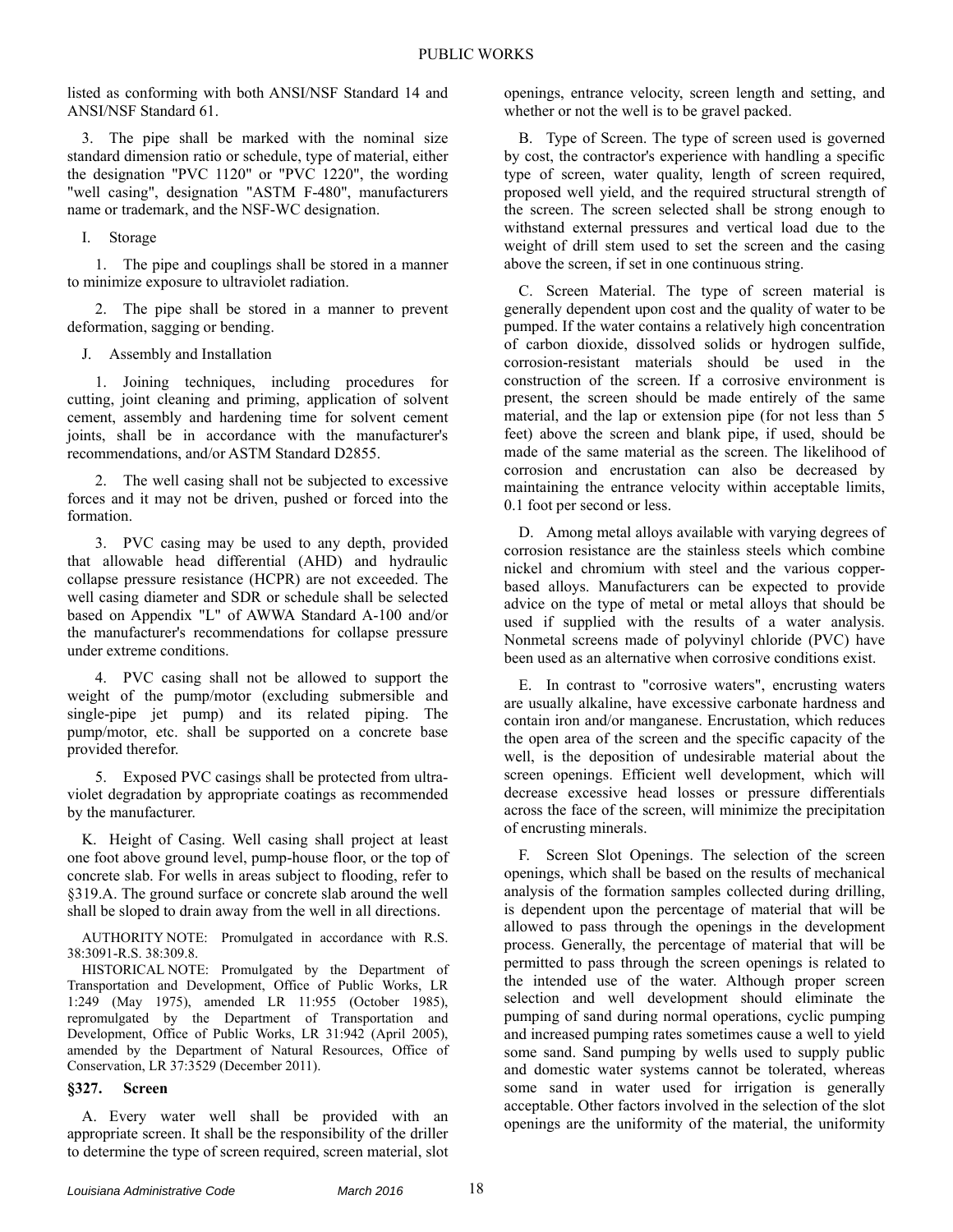listed as conforming with both ANSI/NSF Standard 14 and ANSI/NSF Standard 61.

3. The pipe shall be marked with the nominal size standard dimension ratio or schedule, type of material, either the designation "PVC 1120" or "PVC 1220", the wording "well casing", designation "ASTM F-480", manufacturers name or trademark, and the NSF-WC designation.

I. Storage

1. The pipe and couplings shall be stored in a manner to minimize exposure to ultraviolet radiation.

2. The pipe shall be stored in a manner to prevent deformation, sagging or bending.

J. Assembly and Installation

1. Joining techniques, including procedures for cutting, joint cleaning and priming, application of solvent cement, assembly and hardening time for solvent cement joints, shall be in accordance with the manufacturer's recommendations, and/or ASTM Standard D2855.

2. The well casing shall not be subjected to excessive forces and it may not be driven, pushed or forced into the formation.

3. PVC casing may be used to any depth, provided that allowable head differential (AHD) and hydraulic collapse pressure resistance (HCPR) are not exceeded. The well casing diameter and SDR or schedule shall be selected based on Appendix "L" of AWWA Standard A-100 and/or the manufacturer's recommendations for collapse pressure under extreme conditions.

4. PVC casing shall not be allowed to support the weight of the pump/motor (excluding submersible and single-pipe jet pump) and its related piping. The pump/motor, etc. shall be supported on a concrete base provided therefor.

5. Exposed PVC casings shall be protected from ultraviolet degradation by appropriate coatings as recommended by the manufacturer.

K. Height of Casing. Well casing shall project at least one foot above ground level, pump-house floor, or the top of concrete slab. For wells in areas subject to flooding, refer to §319.A. The ground surface or concrete slab around the well shall be sloped to drain away from the well in all directions.

AUTHORITY NOTE: Promulgated in accordance with R.S. 38:3091-R.S. 38:309.8.

HISTORICAL NOTE: Promulgated by the Department of Transportation and Development, Office of Public Works, LR 1:249 (May 1975), amended LR 11:955 (October 1985), repromulgated by the Department of Transportation and Development, Office of Public Works, LR 31:942 (April 2005), amended by the Department of Natural Resources, Office of Conservation, LR 37:3529 (December 2011).

#### **§327. Screen**

A. Every water well shall be provided with an appropriate screen. It shall be the responsibility of the driller to determine the type of screen required, screen material, slot openings, entrance velocity, screen length and setting, and whether or not the well is to be gravel packed.

B. Type of Screen. The type of screen used is governed by cost, the contractor's experience with handling a specific type of screen, water quality, length of screen required, proposed well yield, and the required structural strength of the screen. The screen selected shall be strong enough to withstand external pressures and vertical load due to the weight of drill stem used to set the screen and the casing above the screen, if set in one continuous string.

C. Screen Material. The type of screen material is generally dependent upon cost and the quality of water to be pumped. If the water contains a relatively high concentration of carbon dioxide, dissolved solids or hydrogen sulfide, corrosion-resistant materials should be used in the construction of the screen. If a corrosive environment is present, the screen should be made entirely of the same material, and the lap or extension pipe (for not less than 5 feet) above the screen and blank pipe, if used, should be made of the same material as the screen. The likelihood of corrosion and encrustation can also be decreased by maintaining the entrance velocity within acceptable limits, 0.1 foot per second or less.

D. Among metal alloys available with varying degrees of corrosion resistance are the stainless steels which combine nickel and chromium with steel and the various copperbased alloys. Manufacturers can be expected to provide advice on the type of metal or metal alloys that should be used if supplied with the results of a water analysis. Nonmetal screens made of polyvinyl chloride (PVC) have been used as an alternative when corrosive conditions exist.

E. In contrast to "corrosive waters", encrusting waters are usually alkaline, have excessive carbonate hardness and contain iron and/or manganese. Encrustation, which reduces the open area of the screen and the specific capacity of the well, is the deposition of undesirable material about the screen openings. Efficient well development, which will decrease excessive head losses or pressure differentials across the face of the screen, will minimize the precipitation of encrusting minerals.

F. Screen Slot Openings. The selection of the screen openings, which shall be based on the results of mechanical analysis of the formation samples collected during drilling, is dependent upon the percentage of material that will be allowed to pass through the openings in the development process. Generally, the percentage of material that will be permitted to pass through the screen openings is related to the intended use of the water. Although proper screen selection and well development should eliminate the pumping of sand during normal operations, cyclic pumping and increased pumping rates sometimes cause a well to yield some sand. Sand pumping by wells used to supply public and domestic water systems cannot be tolerated, whereas some sand in water used for irrigation is generally acceptable. Other factors involved in the selection of the slot openings are the uniformity of the material, the uniformity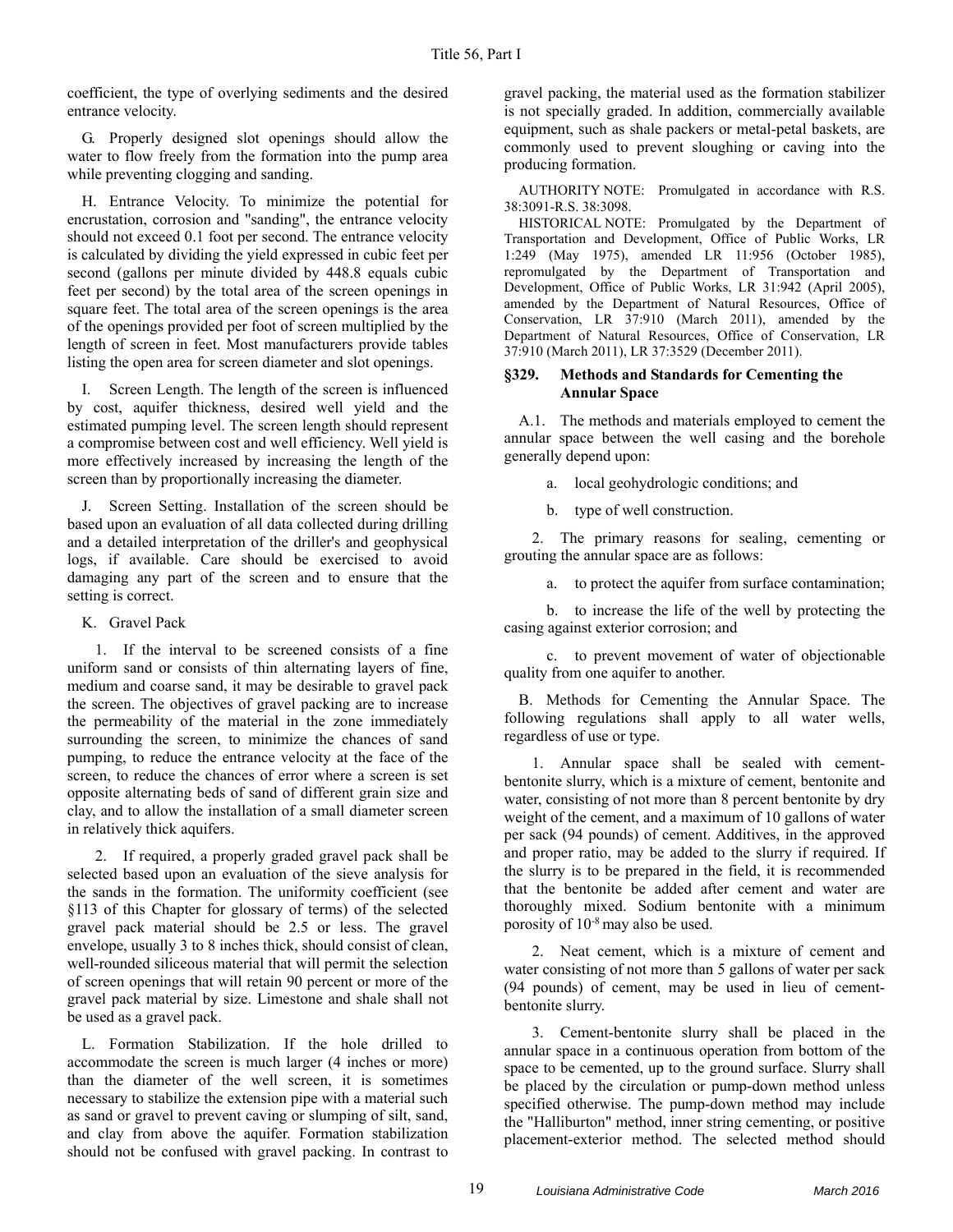coefficient, the type of overlying sediments and the desired entrance velocity.

G. Properly designed slot openings should allow the water to flow freely from the formation into the pump area while preventing clogging and sanding.

H. Entrance Velocity. To minimize the potential for encrustation, corrosion and "sanding", the entrance velocity should not exceed 0.1 foot per second. The entrance velocity is calculated by dividing the yield expressed in cubic feet per second (gallons per minute divided by 448.8 equals cubic feet per second) by the total area of the screen openings in square feet. The total area of the screen openings is the area of the openings provided per foot of screen multiplied by the length of screen in feet. Most manufacturers provide tables listing the open area for screen diameter and slot openings.

I. Screen Length. The length of the screen is influenced by cost, aquifer thickness, desired well yield and the estimated pumping level. The screen length should represent a compromise between cost and well efficiency. Well yield is more effectively increased by increasing the length of the screen than by proportionally increasing the diameter.

J. Screen Setting. Installation of the screen should be based upon an evaluation of all data collected during drilling and a detailed interpretation of the driller's and geophysical logs, if available. Care should be exercised to avoid damaging any part of the screen and to ensure that the setting is correct.

## K. Gravel Pack

1. If the interval to be screened consists of a fine uniform sand or consists of thin alternating layers of fine, medium and coarse sand, it may be desirable to gravel pack the screen. The objectives of gravel packing are to increase the permeability of the material in the zone immediately surrounding the screen, to minimize the chances of sand pumping, to reduce the entrance velocity at the face of the screen, to reduce the chances of error where a screen is set opposite alternating beds of sand of different grain size and clay, and to allow the installation of a small diameter screen in relatively thick aquifers.

2. If required, a properly graded gravel pack shall be selected based upon an evaluation of the sieve analysis for the sands in the formation. The uniformity coefficient (see §113 of this Chapter for glossary of terms) of the selected gravel pack material should be 2.5 or less. The gravel envelope, usually 3 to 8 inches thick, should consist of clean, well-rounded siliceous material that will permit the selection of screen openings that will retain 90 percent or more of the gravel pack material by size. Limestone and shale shall not be used as a gravel pack.

L. Formation Stabilization. If the hole drilled to accommodate the screen is much larger (4 inches or more) than the diameter of the well screen, it is sometimes necessary to stabilize the extension pipe with a material such as sand or gravel to prevent caving or slumping of silt, sand, and clay from above the aquifer. Formation stabilization should not be confused with gravel packing. In contrast to gravel packing, the material used as the formation stabilizer is not specially graded. In addition, commercially available equipment, such as shale packers or metal-petal baskets, are commonly used to prevent sloughing or caving into the producing formation.

AUTHORITY NOTE: Promulgated in accordance with R.S. 38:3091-R.S. 38:3098.

HISTORICAL NOTE: Promulgated by the Department of Transportation and Development, Office of Public Works, LR 1:249 (May 1975), amended LR 11:956 (October 1985), repromulgated by the Department of Transportation and Development, Office of Public Works, LR 31:942 (April 2005), amended by the Department of Natural Resources, Office of Conservation, LR 37:910 (March 2011), amended by the Department of Natural Resources, Office of Conservation, LR 37:910 (March 2011), LR 37:3529 (December 2011).

## **§329. Methods and Standards for Cementing the Annular Space**

A.1. The methods and materials employed to cement the annular space between the well casing and the borehole generally depend upon:

a. local geohydrologic conditions; and

b. type of well construction.

2. The primary reasons for sealing, cementing or grouting the annular space are as follows:

a. to protect the aquifer from surface contamination;

b. to increase the life of the well by protecting the casing against exterior corrosion; and

c. to prevent movement of water of objectionable quality from one aquifer to another.

B. Methods for Cementing the Annular Space. The following regulations shall apply to all water wells, regardless of use or type.

1. Annular space shall be sealed with cementbentonite slurry, which is a mixture of cement, bentonite and water, consisting of not more than 8 percent bentonite by dry weight of the cement, and a maximum of 10 gallons of water per sack (94 pounds) of cement. Additives, in the approved and proper ratio, may be added to the slurry if required. If the slurry is to be prepared in the field, it is recommended that the bentonite be added after cement and water are thoroughly mixed. Sodium bentonite with a minimum porosity of 10-8 may also be used.

2. Neat cement, which is a mixture of cement and water consisting of not more than 5 gallons of water per sack (94 pounds) of cement, may be used in lieu of cementbentonite slurry.

3. Cement-bentonite slurry shall be placed in the annular space in a continuous operation from bottom of the space to be cemented, up to the ground surface. Slurry shall be placed by the circulation or pump-down method unless specified otherwise. The pump-down method may include the "Halliburton" method, inner string cementing, or positive placement-exterior method. The selected method should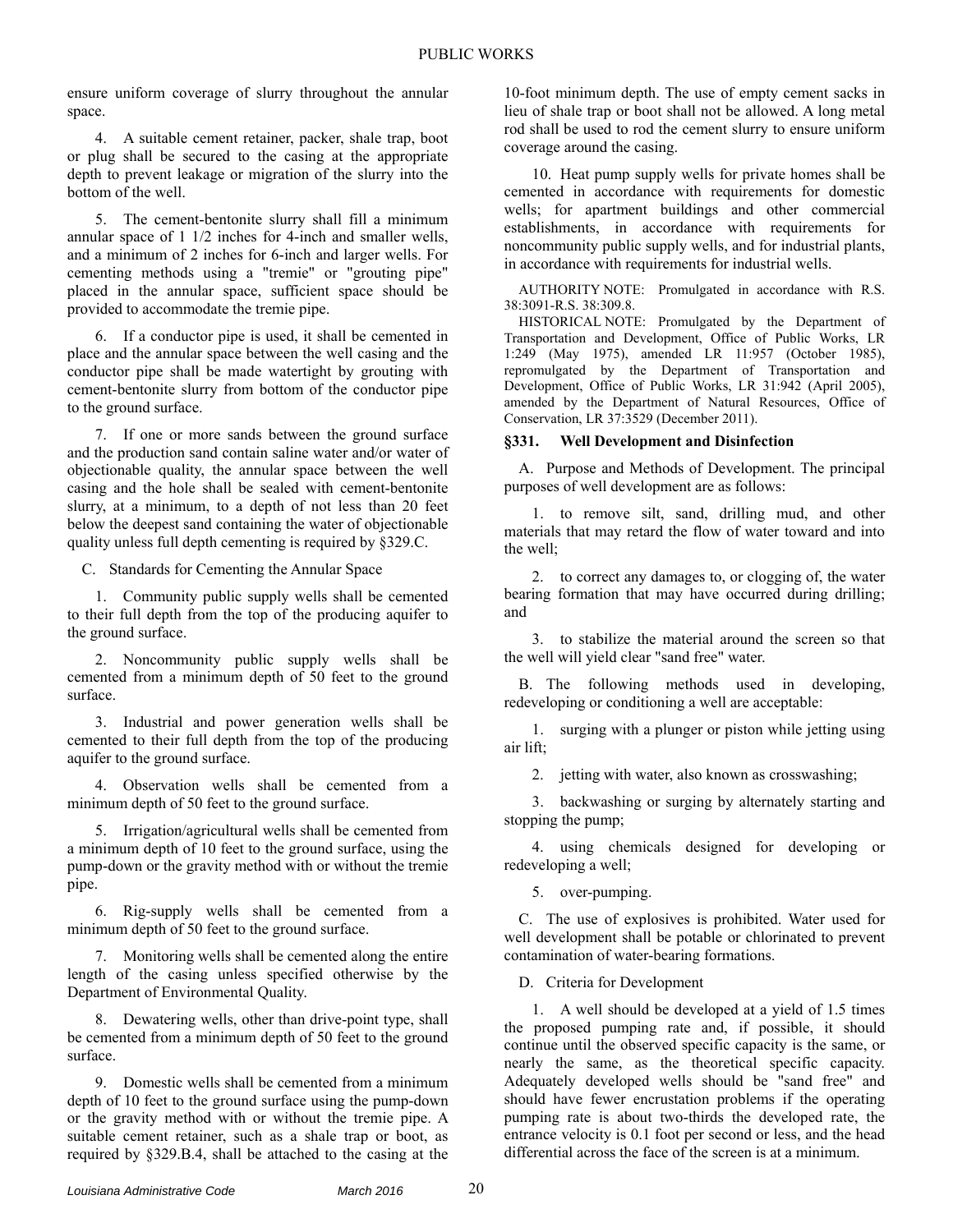ensure uniform coverage of slurry throughout the annular space.

4. A suitable cement retainer, packer, shale trap, boot or plug shall be secured to the casing at the appropriate depth to prevent leakage or migration of the slurry into the bottom of the well.

5. The cement-bentonite slurry shall fill a minimum annular space of 1 1/2 inches for 4-inch and smaller wells, and a minimum of 2 inches for 6-inch and larger wells. For cementing methods using a "tremie" or "grouting pipe" placed in the annular space, sufficient space should be provided to accommodate the tremie pipe.

6. If a conductor pipe is used, it shall be cemented in place and the annular space between the well casing and the conductor pipe shall be made watertight by grouting with cement-bentonite slurry from bottom of the conductor pipe to the ground surface.

7. If one or more sands between the ground surface and the production sand contain saline water and/or water of objectionable quality, the annular space between the well casing and the hole shall be sealed with cement-bentonite slurry, at a minimum, to a depth of not less than 20 feet below the deepest sand containing the water of objectionable quality unless full depth cementing is required by §329.C.

C. Standards for Cementing the Annular Space

1. Community public supply wells shall be cemented to their full depth from the top of the producing aquifer to the ground surface.

2. Noncommunity public supply wells shall be cemented from a minimum depth of 50 feet to the ground surface.

3. Industrial and power generation wells shall be cemented to their full depth from the top of the producing aquifer to the ground surface.

4. Observation wells shall be cemented from a minimum depth of 50 feet to the ground surface.

5. Irrigation/agricultural wells shall be cemented from a minimum depth of 10 feet to the ground surface, using the pump-down or the gravity method with or without the tremie pipe.

6. Rig-supply wells shall be cemented from a minimum depth of 50 feet to the ground surface.

7. Monitoring wells shall be cemented along the entire length of the casing unless specified otherwise by the Department of Environmental Quality.

8. Dewatering wells, other than drive-point type, shall be cemented from a minimum depth of 50 feet to the ground surface.

9. Domestic wells shall be cemented from a minimum depth of 10 feet to the ground surface using the pump-down or the gravity method with or without the tremie pipe. A suitable cement retainer, such as a shale trap or boot, as required by §329.B.4, shall be attached to the casing at the 10-foot minimum depth. The use of empty cement sacks in lieu of shale trap or boot shall not be allowed. A long metal rod shall be used to rod the cement slurry to ensure uniform coverage around the casing.

10. Heat pump supply wells for private homes shall be cemented in accordance with requirements for domestic wells; for apartment buildings and other commercial establishments, in accordance with requirements for noncommunity public supply wells, and for industrial plants, in accordance with requirements for industrial wells.

AUTHORITY NOTE: Promulgated in accordance with R.S. 38:3091-R.S. 38:309.8.

HISTORICAL NOTE: Promulgated by the Department of Transportation and Development, Office of Public Works, LR 1:249 (May 1975), amended LR 11:957 (October 1985), repromulgated by the Department of Transportation and Development, Office of Public Works, LR 31:942 (April 2005), amended by the Department of Natural Resources, Office of Conservation, LR 37:3529 (December 2011).

## **§331. Well Development and Disinfection**

A. Purpose and Methods of Development. The principal purposes of well development are as follows:

1. to remove silt, sand, drilling mud, and other materials that may retard the flow of water toward and into the well;

2. to correct any damages to, or clogging of, the water bearing formation that may have occurred during drilling; and

3. to stabilize the material around the screen so that the well will yield clear "sand free" water.

B. The following methods used in developing, redeveloping or conditioning a well are acceptable:

1. surging with a plunger or piston while jetting using air lift;

2. jetting with water, also known as crosswashing;

3. backwashing or surging by alternately starting and stopping the pump;

4. using chemicals designed for developing or redeveloping a well;

5. over-pumping.

C. The use of explosives is prohibited. Water used for well development shall be potable or chlorinated to prevent contamination of water-bearing formations.

D. Criteria for Development

1. A well should be developed at a yield of 1.5 times the proposed pumping rate and, if possible, it should continue until the observed specific capacity is the same, or nearly the same, as the theoretical specific capacity. Adequately developed wells should be "sand free" and should have fewer encrustation problems if the operating pumping rate is about two-thirds the developed rate, the entrance velocity is 0.1 foot per second or less, and the head differential across the face of the screen is at a minimum.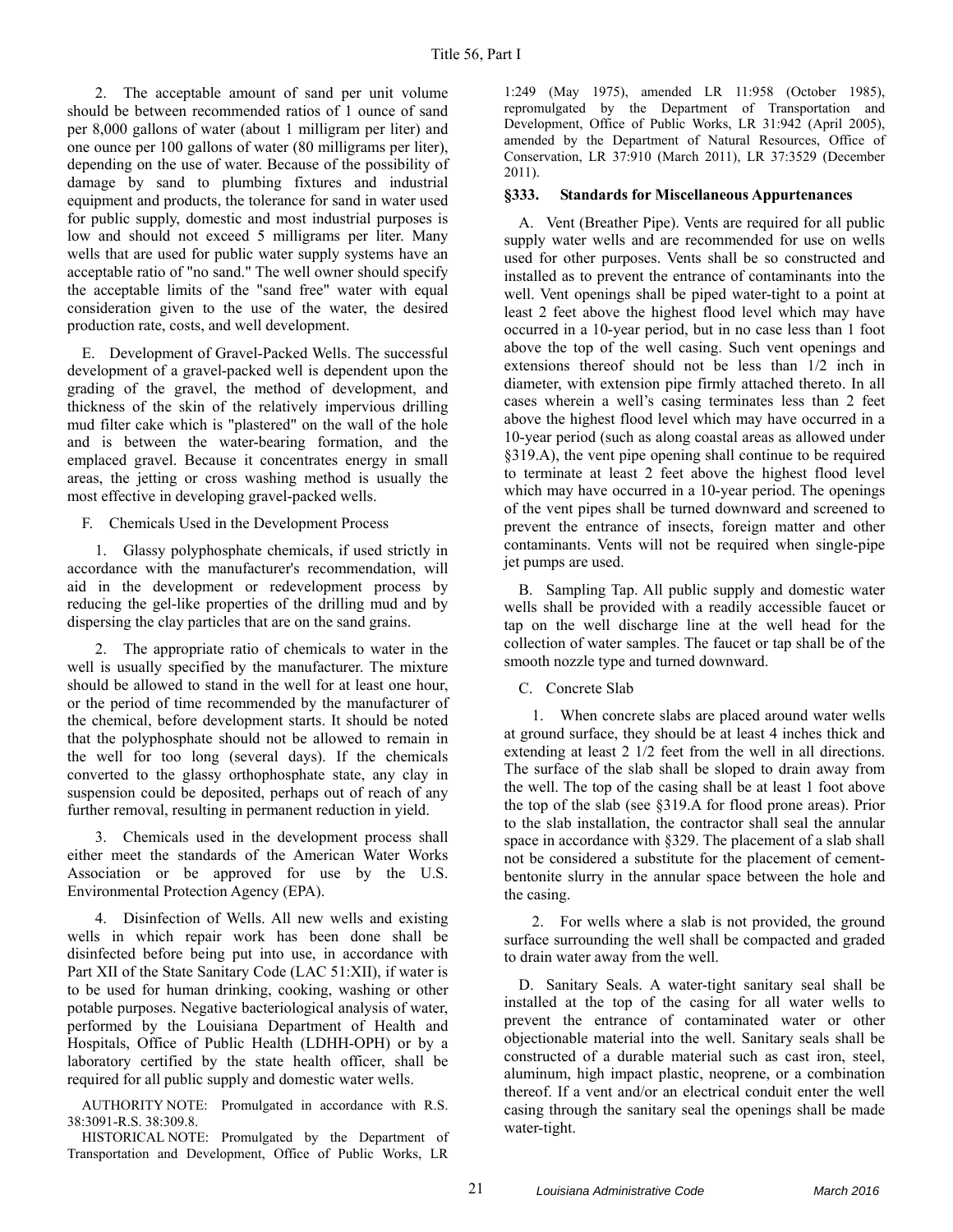2. The acceptable amount of sand per unit volume should be between recommended ratios of 1 ounce of sand per 8,000 gallons of water (about 1 milligram per liter) and one ounce per 100 gallons of water (80 milligrams per liter), depending on the use of water. Because of the possibility of damage by sand to plumbing fixtures and industrial equipment and products, the tolerance for sand in water used for public supply, domestic and most industrial purposes is low and should not exceed 5 milligrams per liter. Many wells that are used for public water supply systems have an acceptable ratio of "no sand." The well owner should specify the acceptable limits of the "sand free" water with equal consideration given to the use of the water, the desired production rate, costs, and well development.

E. Development of Gravel-Packed Wells. The successful development of a gravel-packed well is dependent upon the grading of the gravel, the method of development, and thickness of the skin of the relatively impervious drilling mud filter cake which is "plastered" on the wall of the hole and is between the water-bearing formation, and the emplaced gravel. Because it concentrates energy in small areas, the jetting or cross washing method is usually the most effective in developing gravel-packed wells.

F. Chemicals Used in the Development Process

1. Glassy polyphosphate chemicals, if used strictly in accordance with the manufacturer's recommendation, will aid in the development or redevelopment process by reducing the gel-like properties of the drilling mud and by dispersing the clay particles that are on the sand grains.

2. The appropriate ratio of chemicals to water in the well is usually specified by the manufacturer. The mixture should be allowed to stand in the well for at least one hour, or the period of time recommended by the manufacturer of the chemical, before development starts. It should be noted that the polyphosphate should not be allowed to remain in the well for too long (several days). If the chemicals converted to the glassy orthophosphate state, any clay in suspension could be deposited, perhaps out of reach of any further removal, resulting in permanent reduction in yield.

3. Chemicals used in the development process shall either meet the standards of the American Water Works Association or be approved for use by the U.S. Environmental Protection Agency (EPA).

4. Disinfection of Wells. All new wells and existing wells in which repair work has been done shall be disinfected before being put into use, in accordance with Part XII of the State Sanitary Code (LAC 51:XII), if water is to be used for human drinking, cooking, washing or other potable purposes. Negative bacteriological analysis of water, performed by the Louisiana Department of Health and Hospitals, Office of Public Health (LDHH-OPH) or by a laboratory certified by the state health officer, shall be required for all public supply and domestic water wells.

AUTHORITY NOTE: Promulgated in accordance with R.S. 38:3091-R.S. 38:309.8.

HISTORICAL NOTE: Promulgated by the Department of Transportation and Development, Office of Public Works, LR 1:249 (May 1975), amended LR 11:958 (October 1985), repromulgated by the Department of Transportation and Development, Office of Public Works, LR 31:942 (April 2005), amended by the Department of Natural Resources, Office of Conservation, LR 37:910 (March 2011), LR 37:3529 (December 2011).

## **§333. Standards for Miscellaneous Appurtenances**

A. Vent (Breather Pipe). Vents are required for all public supply water wells and are recommended for use on wells used for other purposes. Vents shall be so constructed and installed as to prevent the entrance of contaminants into the well. Vent openings shall be piped water-tight to a point at least 2 feet above the highest flood level which may have occurred in a 10-year period, but in no case less than 1 foot above the top of the well casing. Such vent openings and extensions thereof should not be less than 1/2 inch in diameter, with extension pipe firmly attached thereto. In all cases wherein a well's casing terminates less than 2 feet above the highest flood level which may have occurred in a 10-year period (such as along coastal areas as allowed under §319.A), the vent pipe opening shall continue to be required to terminate at least 2 feet above the highest flood level which may have occurred in a 10-year period. The openings of the vent pipes shall be turned downward and screened to prevent the entrance of insects, foreign matter and other contaminants. Vents will not be required when single-pipe jet pumps are used.

B. Sampling Tap. All public supply and domestic water wells shall be provided with a readily accessible faucet or tap on the well discharge line at the well head for the collection of water samples. The faucet or tap shall be of the smooth nozzle type and turned downward.

C. Concrete Slab

1. When concrete slabs are placed around water wells at ground surface, they should be at least 4 inches thick and extending at least 2 1/2 feet from the well in all directions. The surface of the slab shall be sloped to drain away from the well. The top of the casing shall be at least 1 foot above the top of the slab (see §319.A for flood prone areas). Prior to the slab installation, the contractor shall seal the annular space in accordance with §329. The placement of a slab shall not be considered a substitute for the placement of cementbentonite slurry in the annular space between the hole and the casing.

2. For wells where a slab is not provided, the ground surface surrounding the well shall be compacted and graded to drain water away from the well.

D. Sanitary Seals. A water-tight sanitary seal shall be installed at the top of the casing for all water wells to prevent the entrance of contaminated water or other objectionable material into the well. Sanitary seals shall be constructed of a durable material such as cast iron, steel, aluminum, high impact plastic, neoprene, or a combination thereof. If a vent and/or an electrical conduit enter the well casing through the sanitary seal the openings shall be made water-tight.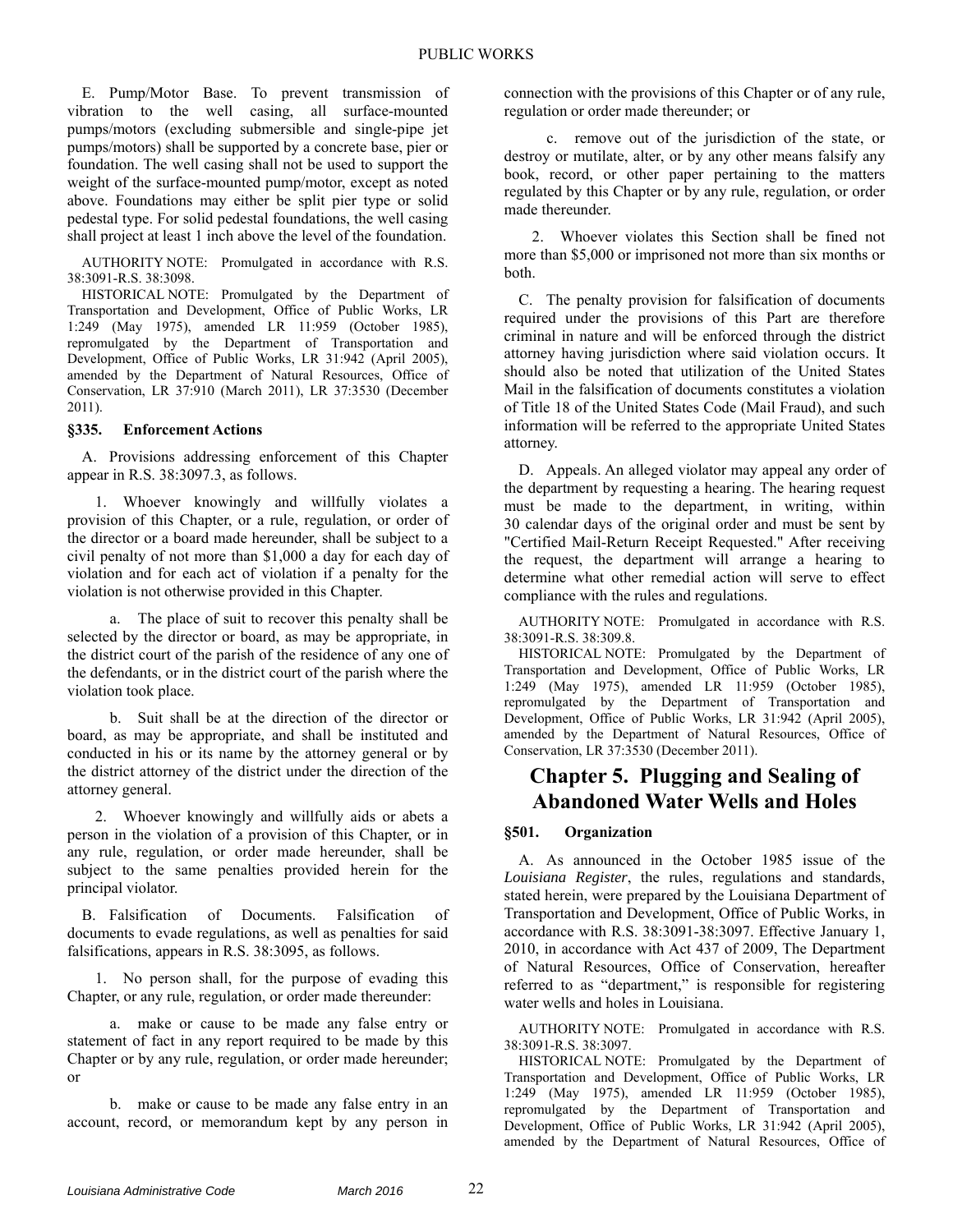E. Pump/Motor Base. To prevent transmission of vibration to the well casing, all surface-mounted pumps/motors (excluding submersible and single-pipe jet pumps/motors) shall be supported by a concrete base, pier or foundation. The well casing shall not be used to support the weight of the surface-mounted pump/motor, except as noted above. Foundations may either be split pier type or solid pedestal type. For solid pedestal foundations, the well casing shall project at least 1 inch above the level of the foundation.

AUTHORITY NOTE: Promulgated in accordance with R.S. 38:3091-R.S. 38:3098.

HISTORICAL NOTE: Promulgated by the Department of Transportation and Development, Office of Public Works, LR 1:249 (May 1975), amended LR 11:959 (October 1985), repromulgated by the Department of Transportation and Development, Office of Public Works, LR 31:942 (April 2005), amended by the Department of Natural Resources, Office of Conservation, LR 37:910 (March 2011), LR 37:3530 (December 2011).

## **§335. Enforcement Actions**

A. Provisions addressing enforcement of this Chapter appear in R.S. 38:3097.3, as follows.

1. Whoever knowingly and willfully violates a provision of this Chapter, or a rule, regulation, or order of the director or a board made hereunder, shall be subject to a civil penalty of not more than \$1,000 a day for each day of violation and for each act of violation if a penalty for the violation is not otherwise provided in this Chapter.

a. The place of suit to recover this penalty shall be selected by the director or board, as may be appropriate, in the district court of the parish of the residence of any one of the defendants, or in the district court of the parish where the violation took place.

b. Suit shall be at the direction of the director or board, as may be appropriate, and shall be instituted and conducted in his or its name by the attorney general or by the district attorney of the district under the direction of the attorney general.

2. Whoever knowingly and willfully aids or abets a person in the violation of a provision of this Chapter, or in any rule, regulation, or order made hereunder, shall be subject to the same penalties provided herein for the principal violator.

B. Falsification of Documents. Falsification of documents to evade regulations, as well as penalties for said falsifications, appears in R.S. 38:3095, as follows.

1. No person shall, for the purpose of evading this Chapter, or any rule, regulation, or order made thereunder:

a. make or cause to be made any false entry or statement of fact in any report required to be made by this Chapter or by any rule, regulation, or order made hereunder; or

b. make or cause to be made any false entry in an account, record, or memorandum kept by any person in connection with the provisions of this Chapter or of any rule, regulation or order made thereunder; or

c. remove out of the jurisdiction of the state, or destroy or mutilate, alter, or by any other means falsify any book, record, or other paper pertaining to the matters regulated by this Chapter or by any rule, regulation, or order made thereunder.

2. Whoever violates this Section shall be fined not more than \$5,000 or imprisoned not more than six months or both.

C. The penalty provision for falsification of documents required under the provisions of this Part are therefore criminal in nature and will be enforced through the district attorney having jurisdiction where said violation occurs. It should also be noted that utilization of the United States Mail in the falsification of documents constitutes a violation of Title 18 of the United States Code (Mail Fraud), and such information will be referred to the appropriate United States attorney.

D. Appeals. An alleged violator may appeal any order of the department by requesting a hearing. The hearing request must be made to the department, in writing, within 30 calendar days of the original order and must be sent by "Certified Mail-Return Receipt Requested." After receiving the request, the department will arrange a hearing to determine what other remedial action will serve to effect compliance with the rules and regulations.

AUTHORITY NOTE: Promulgated in accordance with R.S. 38:3091-R.S. 38:309.8.

HISTORICAL NOTE: Promulgated by the Department of Transportation and Development, Office of Public Works, LR 1:249 (May 1975), amended LR 11:959 (October 1985), repromulgated by the Department of Transportation and Development, Office of Public Works, LR 31:942 (April 2005), amended by the Department of Natural Resources, Office of Conservation, LR 37:3530 (December 2011).

## **Chapter 5. Plugging and Sealing of Abandoned Water Wells and Holes**

#### **§501. Organization**

A. As announced in the October 1985 issue of the *Louisiana Register*, the rules, regulations and standards, stated herein, were prepared by the Louisiana Department of Transportation and Development, Office of Public Works, in accordance with R.S. 38:3091-38:3097. Effective January 1, 2010, in accordance with Act 437 of 2009, The Department of Natural Resources, Office of Conservation, hereafter referred to as "department," is responsible for registering water wells and holes in Louisiana.

AUTHORITY NOTE: Promulgated in accordance with R.S. 38:3091-R.S. 38:3097.

HISTORICAL NOTE: Promulgated by the Department of Transportation and Development, Office of Public Works, LR 1:249 (May 1975), amended LR 11:959 (October 1985), repromulgated by the Department of Transportation and Development, Office of Public Works, LR 31:942 (April 2005), amended by the Department of Natural Resources, Office of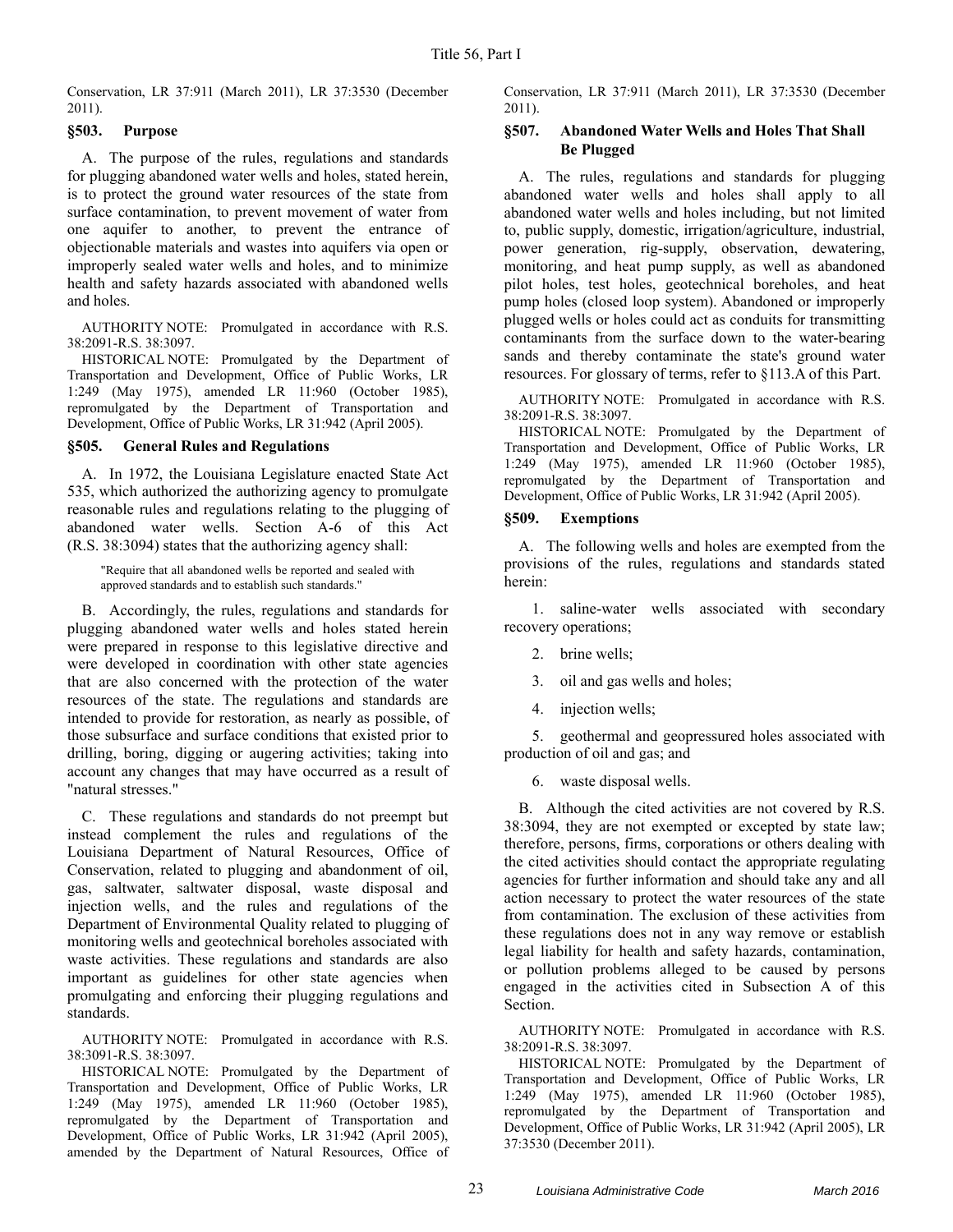Conservation, LR 37:911 (March 2011), LR 37:3530 (December 2011).

## **§503. Purpose**

A. The purpose of the rules, regulations and standards for plugging abandoned water wells and holes, stated herein, is to protect the ground water resources of the state from surface contamination, to prevent movement of water from one aquifer to another, to prevent the entrance of objectionable materials and wastes into aquifers via open or improperly sealed water wells and holes, and to minimize health and safety hazards associated with abandoned wells and holes.

AUTHORITY NOTE: Promulgated in accordance with R.S. 38:2091-R.S. 38:3097.

HISTORICAL NOTE: Promulgated by the Department of Transportation and Development, Office of Public Works, LR 1:249 (May 1975), amended LR 11:960 (October 1985), repromulgated by the Department of Transportation and Development, Office of Public Works, LR 31:942 (April 2005).

## **§505. General Rules and Regulations**

A. In 1972, the Louisiana Legislature enacted State Act 535, which authorized the authorizing agency to promulgate reasonable rules and regulations relating to the plugging of abandoned water wells. Section A-6 of this Act (R.S. 38:3094) states that the authorizing agency shall:

"Require that all abandoned wells be reported and sealed with approved standards and to establish such standards."

B. Accordingly, the rules, regulations and standards for plugging abandoned water wells and holes stated herein were prepared in response to this legislative directive and were developed in coordination with other state agencies that are also concerned with the protection of the water resources of the state. The regulations and standards are intended to provide for restoration, as nearly as possible, of those subsurface and surface conditions that existed prior to drilling, boring, digging or augering activities; taking into account any changes that may have occurred as a result of "natural stresses."

C. These regulations and standards do not preempt but instead complement the rules and regulations of the Louisiana Department of Natural Resources, Office of Conservation, related to plugging and abandonment of oil, gas, saltwater, saltwater disposal, waste disposal and injection wells, and the rules and regulations of the Department of Environmental Quality related to plugging of monitoring wells and geotechnical boreholes associated with waste activities. These regulations and standards are also important as guidelines for other state agencies when promulgating and enforcing their plugging regulations and standards.

AUTHORITY NOTE: Promulgated in accordance with R.S. 38:3091-R.S. 38:3097.

HISTORICAL NOTE: Promulgated by the Department of Transportation and Development, Office of Public Works, LR 1:249 (May 1975), amended LR 11:960 (October 1985), repromulgated by the Department of Transportation and Development, Office of Public Works, LR 31:942 (April 2005), amended by the Department of Natural Resources, Office of

Conservation, LR 37:911 (March 2011), LR 37:3530 (December 2011).

## **§507. Abandoned Water Wells and Holes That Shall Be Plugged**

A. The rules, regulations and standards for plugging abandoned water wells and holes shall apply to all abandoned water wells and holes including, but not limited to, public supply, domestic, irrigation/agriculture, industrial, power generation, rig-supply, observation, dewatering, monitoring, and heat pump supply, as well as abandoned pilot holes, test holes, geotechnical boreholes, and heat pump holes (closed loop system). Abandoned or improperly plugged wells or holes could act as conduits for transmitting contaminants from the surface down to the water-bearing sands and thereby contaminate the state's ground water resources. For glossary of terms, refer to §113.A of this Part.

AUTHORITY NOTE: Promulgated in accordance with R.S. 38:2091-R.S. 38:3097.

HISTORICAL NOTE: Promulgated by the Department of Transportation and Development, Office of Public Works, LR 1:249 (May 1975), amended LR 11:960 (October 1985), repromulgated by the Department of Transportation and Development, Office of Public Works, LR 31:942 (April 2005).

## **§509. Exemptions**

A. The following wells and holes are exempted from the provisions of the rules, regulations and standards stated herein:

1. saline-water wells associated with secondary recovery operations;

- 2. brine wells;
- 3. oil and gas wells and holes;
- 4. injection wells;

5. geothermal and geopressured holes associated with production of oil and gas; and

6. waste disposal wells.

B. Although the cited activities are not covered by R.S. 38:3094, they are not exempted or excepted by state law; therefore, persons, firms, corporations or others dealing with the cited activities should contact the appropriate regulating agencies for further information and should take any and all action necessary to protect the water resources of the state from contamination. The exclusion of these activities from these regulations does not in any way remove or establish legal liability for health and safety hazards, contamination, or pollution problems alleged to be caused by persons engaged in the activities cited in Subsection A of this Section.

AUTHORITY NOTE: Promulgated in accordance with R.S. 38:2091-R.S. 38:3097.

HISTORICAL NOTE: Promulgated by the Department of Transportation and Development, Office of Public Works, LR 1:249 (May 1975), amended LR 11:960 (October 1985), repromulgated by the Department of Transportation and Development, Office of Public Works, LR 31:942 (April 2005), LR 37:3530 (December 2011).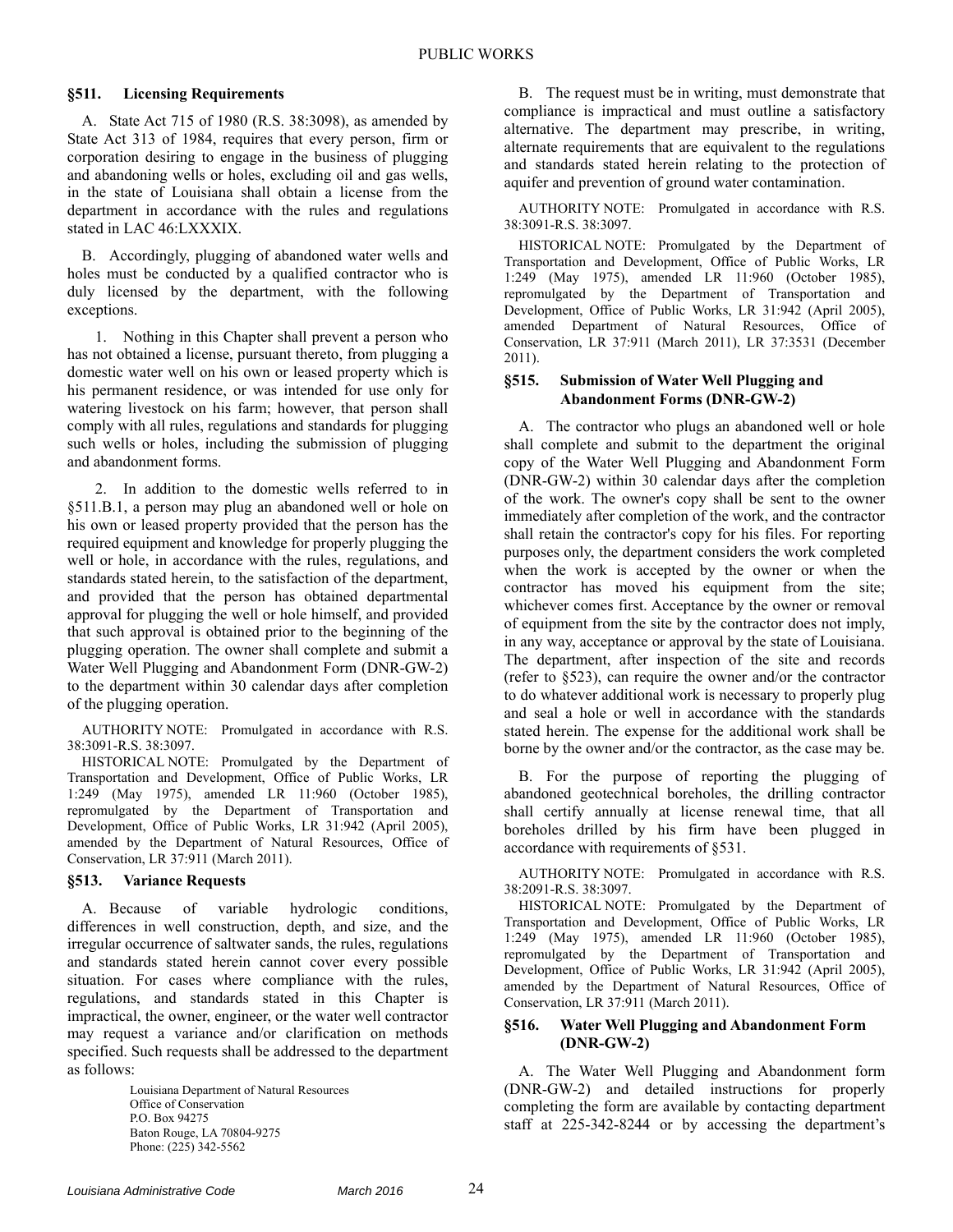## **§511. Licensing Requirements**

A. State Act 715 of 1980 (R.S. 38:3098), as amended by State Act 313 of 1984, requires that every person, firm or corporation desiring to engage in the business of plugging and abandoning wells or holes, excluding oil and gas wells, in the state of Louisiana shall obtain a license from the department in accordance with the rules and regulations stated in LAC 46:LXXXIX.

B. Accordingly, plugging of abandoned water wells and holes must be conducted by a qualified contractor who is duly licensed by the department, with the following exceptions.

1. Nothing in this Chapter shall prevent a person who has not obtained a license, pursuant thereto, from plugging a domestic water well on his own or leased property which is his permanent residence, or was intended for use only for watering livestock on his farm; however, that person shall comply with all rules, regulations and standards for plugging such wells or holes, including the submission of plugging and abandonment forms.

2. In addition to the domestic wells referred to in §511.B.1, a person may plug an abandoned well or hole on his own or leased property provided that the person has the required equipment and knowledge for properly plugging the well or hole, in accordance with the rules, regulations, and standards stated herein, to the satisfaction of the department, and provided that the person has obtained departmental approval for plugging the well or hole himself, and provided that such approval is obtained prior to the beginning of the plugging operation. The owner shall complete and submit a Water Well Plugging and Abandonment Form (DNR-GW-2) to the department within 30 calendar days after completion of the plugging operation.

AUTHORITY NOTE: Promulgated in accordance with R.S. 38:3091-R.S. 38:3097.

HISTORICAL NOTE: Promulgated by the Department of Transportation and Development, Office of Public Works, LR 1:249 (May 1975), amended LR 11:960 (October 1985), repromulgated by the Department of Transportation and Development, Office of Public Works, LR 31:942 (April 2005), amended by the Department of Natural Resources, Office of Conservation, LR 37:911 (March 2011).

## **§513. Variance Requests**

A. Because of variable hydrologic conditions, differences in well construction, depth, and size, and the irregular occurrence of saltwater sands, the rules, regulations and standards stated herein cannot cover every possible situation. For cases where compliance with the rules, regulations, and standards stated in this Chapter is impractical, the owner, engineer, or the water well contractor may request a variance and/or clarification on methods specified. Such requests shall be addressed to the department as follows:

> Louisiana Department of Natural Resources Office of Conservation P.O. Box 94275 Baton Rouge, LA 70804-9275 Phone: (225) 342-5562

B. The request must be in writing, must demonstrate that compliance is impractical and must outline a satisfactory alternative. The department may prescribe, in writing, alternate requirements that are equivalent to the regulations and standards stated herein relating to the protection of aquifer and prevention of ground water contamination.

AUTHORITY NOTE: Promulgated in accordance with R.S. 38:3091-R.S. 38:3097.

HISTORICAL NOTE: Promulgated by the Department of Transportation and Development, Office of Public Works, LR 1:249 (May 1975), amended LR 11:960 (October 1985), repromulgated by the Department of Transportation and Development, Office of Public Works, LR 31:942 (April 2005), amended Department of Natural Resources, Office of Conservation, LR 37:911 (March 2011), LR 37:3531 (December 2011).

## **§515. Submission of Water Well Plugging and Abandonment Forms (DNR-GW-2)**

A. The contractor who plugs an abandoned well or hole shall complete and submit to the department the original copy of the Water Well Plugging and Abandonment Form (DNR-GW-2) within 30 calendar days after the completion of the work. The owner's copy shall be sent to the owner immediately after completion of the work, and the contractor shall retain the contractor's copy for his files. For reporting purposes only, the department considers the work completed when the work is accepted by the owner or when the contractor has moved his equipment from the site; whichever comes first. Acceptance by the owner or removal of equipment from the site by the contractor does not imply, in any way, acceptance or approval by the state of Louisiana. The department, after inspection of the site and records (refer to §523), can require the owner and/or the contractor to do whatever additional work is necessary to properly plug and seal a hole or well in accordance with the standards stated herein. The expense for the additional work shall be borne by the owner and/or the contractor, as the case may be.

B. For the purpose of reporting the plugging of abandoned geotechnical boreholes, the drilling contractor shall certify annually at license renewal time, that all boreholes drilled by his firm have been plugged in accordance with requirements of §531.

AUTHORITY NOTE: Promulgated in accordance with R.S. 38:2091-R.S. 38:3097.

HISTORICAL NOTE: Promulgated by the Department of Transportation and Development, Office of Public Works, LR 1:249 (May 1975), amended LR 11:960 (October 1985), repromulgated by the Department of Transportation and Development, Office of Public Works, LR 31:942 (April 2005), amended by the Department of Natural Resources, Office of Conservation, LR 37:911 (March 2011).

#### **§516. Water Well Plugging and Abandonment Form (DNR-GW-2)**

A. The Water Well Plugging and Abandonment form (DNR-GW-2) and detailed instructions for properly completing the form are available by contacting department staff at 225-342-8244 or by accessing the department's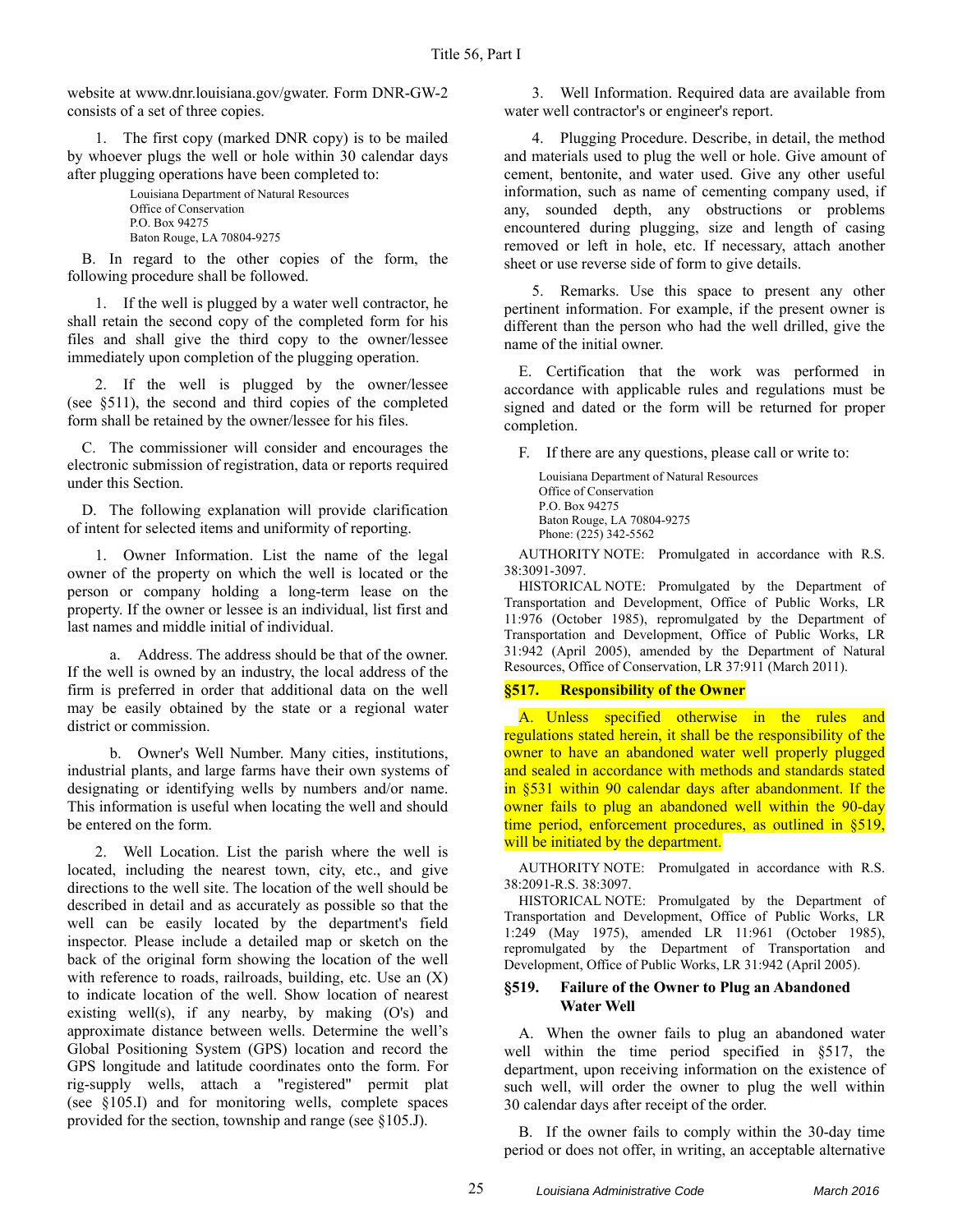website at www.dnr.louisiana.gov/gwater. Form DNR-GW-2 consists of a set of three copies.

1. The first copy (marked DNR copy) is to be mailed by whoever plugs the well or hole within 30 calendar days after plugging operations have been completed to:

Louisiana Department of Natural Resources Office of Conservation P.O. Box 94275 Baton Rouge, LA 70804-9275

B. In regard to the other copies of the form, the following procedure shall be followed.

1. If the well is plugged by a water well contractor, he shall retain the second copy of the completed form for his files and shall give the third copy to the owner/lessee immediately upon completion of the plugging operation.

2. If the well is plugged by the owner/lessee (see §511), the second and third copies of the completed form shall be retained by the owner/lessee for his files.

C. The commissioner will consider and encourages the electronic submission of registration, data or reports required under this Section.

D. The following explanation will provide clarification of intent for selected items and uniformity of reporting.

1. Owner Information. List the name of the legal owner of the property on which the well is located or the person or company holding a long-term lease on the property. If the owner or lessee is an individual, list first and last names and middle initial of individual.

a. Address. The address should be that of the owner. If the well is owned by an industry, the local address of the firm is preferred in order that additional data on the well may be easily obtained by the state or a regional water district or commission.

b. Owner's Well Number. Many cities, institutions, industrial plants, and large farms have their own systems of designating or identifying wells by numbers and/or name. This information is useful when locating the well and should be entered on the form.

2. Well Location. List the parish where the well is located, including the nearest town, city, etc., and give directions to the well site. The location of the well should be described in detail and as accurately as possible so that the well can be easily located by the department's field inspector. Please include a detailed map or sketch on the back of the original form showing the location of the well with reference to roads, railroads, building, etc. Use an  $(X)$ to indicate location of the well. Show location of nearest existing well(s), if any nearby, by making  $(O's)$  and approximate distance between wells. Determine the well's Global Positioning System (GPS) location and record the GPS longitude and latitude coordinates onto the form. For rig-supply wells, attach a "registered" permit plat (see §105.I) and for monitoring wells, complete spaces provided for the section, township and range (see §105.J).

3. Well Information. Required data are available from water well contractor's or engineer's report.

4. Plugging Procedure. Describe, in detail, the method and materials used to plug the well or hole. Give amount of cement, bentonite, and water used. Give any other useful information, such as name of cementing company used, if any, sounded depth, any obstructions or problems encountered during plugging, size and length of casing removed or left in hole, etc. If necessary, attach another sheet or use reverse side of form to give details.

5. Remarks. Use this space to present any other pertinent information. For example, if the present owner is different than the person who had the well drilled, give the name of the initial owner.

E. Certification that the work was performed in accordance with applicable rules and regulations must be signed and dated or the form will be returned for proper completion.

F. If there are any questions, please call or write to:

Louisiana Department of Natural Resources Office of Conservation P.O. Box 94275 Baton Rouge, LA 70804-9275 Phone: (225) 342-5562

AUTHORITY NOTE: Promulgated in accordance with R.S. 38:3091-3097.

HISTORICAL NOTE: Promulgated by the Department of Transportation and Development, Office of Public Works, LR 11:976 (October 1985), repromulgated by the Department of Transportation and Development, Office of Public Works, LR 31:942 (April 2005), amended by the Department of Natural Resources, Office of Conservation, LR 37:911 (March 2011).

#### **§517. Responsibility of the Owner**

A. Unless specified otherwise in the rules and regulations stated herein, it shall be the responsibility of the owner to have an abandoned water well properly plugged and sealed in accordance with methods and standards stated in §531 within 90 calendar days after abandonment. If the owner fails to plug an abandoned well within the 90-day time period, enforcement procedures, as outlined in §519, will be initiated by the department.

AUTHORITY NOTE: Promulgated in accordance with R.S. 38:2091-R.S. 38:3097.

HISTORICAL NOTE: Promulgated by the Department of Transportation and Development, Office of Public Works, LR 1:249 (May 1975), amended LR 11:961 (October 1985), repromulgated by the Department of Transportation and Development, Office of Public Works, LR 31:942 (April 2005).

## **§519. Failure of the Owner to Plug an Abandoned Water Well**

A. When the owner fails to plug an abandoned water well within the time period specified in §517, the department, upon receiving information on the existence of such well, will order the owner to plug the well within 30 calendar days after receipt of the order.

B. If the owner fails to comply within the 30-day time period or does not offer, in writing, an acceptable alternative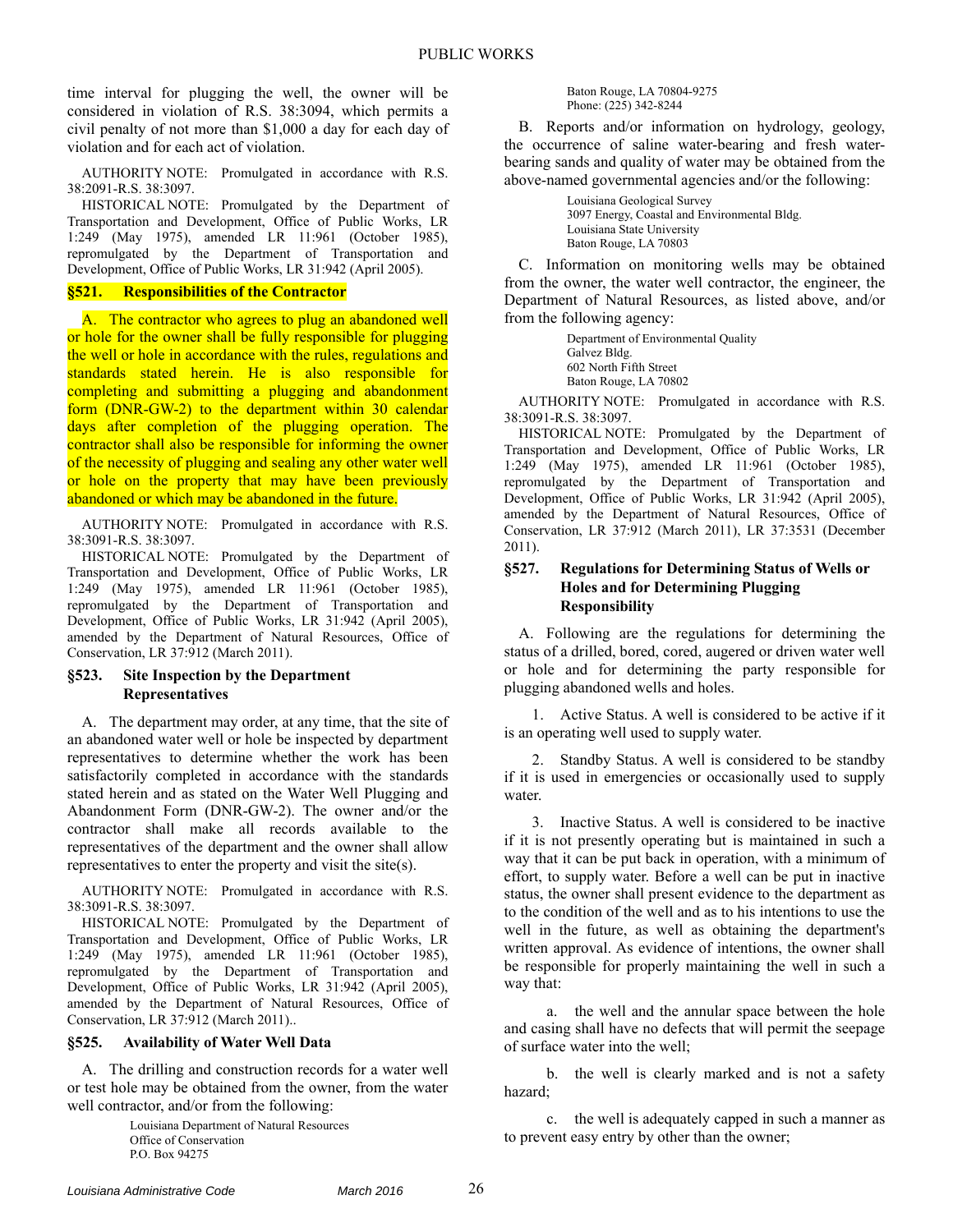time interval for plugging the well, the owner will be considered in violation of R.S. 38:3094, which permits a civil penalty of not more than \$1,000 a day for each day of violation and for each act of violation.

AUTHORITY NOTE: Promulgated in accordance with R.S. 38:2091-R.S. 38:3097.

HISTORICAL NOTE: Promulgated by the Department of Transportation and Development, Office of Public Works, LR 1:249 (May 1975), amended LR 11:961 (October 1985), repromulgated by the Department of Transportation and Development, Office of Public Works, LR 31:942 (April 2005).

#### **§521. Responsibilities of the Contractor**

A. The contractor who agrees to plug an abandoned well or hole for the owner shall be fully responsible for plugging the well or hole in accordance with the rules, regulations and standards stated herein. He is also responsible for completing and submitting a plugging and abandonment form (DNR-GW-2) to the department within 30 calendar days after completion of the plugging operation. The contractor shall also be responsible for informing the owner of the necessity of plugging and sealing any other water well or hole on the property that may have been previously abandoned or which may be abandoned in the future.

AUTHORITY NOTE: Promulgated in accordance with R.S. 38:3091-R.S. 38:3097.

HISTORICAL NOTE: Promulgated by the Department of Transportation and Development, Office of Public Works, LR 1:249 (May 1975), amended LR 11:961 (October 1985), repromulgated by the Department of Transportation and Development, Office of Public Works, LR 31:942 (April 2005), amended by the Department of Natural Resources, Office of Conservation, LR 37:912 (March 2011).

## **§523. Site Inspection by the Department Representatives**

A. The department may order, at any time, that the site of an abandoned water well or hole be inspected by department representatives to determine whether the work has been satisfactorily completed in accordance with the standards stated herein and as stated on the Water Well Plugging and Abandonment Form (DNR-GW-2). The owner and/or the contractor shall make all records available to the representatives of the department and the owner shall allow representatives to enter the property and visit the site(s).

AUTHORITY NOTE: Promulgated in accordance with R.S. 38:3091-R.S. 38:3097.

HISTORICAL NOTE: Promulgated by the Department of Transportation and Development, Office of Public Works, LR 1:249 (May 1975), amended LR 11:961 (October 1985), repromulgated by the Department of Transportation and Development, Office of Public Works, LR 31:942 (April 2005), amended by the Department of Natural Resources, Office of Conservation, LR 37:912 (March 2011)..

#### **§525. Availability of Water Well Data**

A. The drilling and construction records for a water well or test hole may be obtained from the owner, from the water well contractor, and/or from the following:

> Louisiana Department of Natural Resources Office of Conservation P.O. Box 94275

#### Baton Rouge, LA 70804-9275 Phone: (225) 342-8244

B. Reports and/or information on hydrology, geology, the occurrence of saline water-bearing and fresh waterbearing sands and quality of water may be obtained from the above-named governmental agencies and/or the following:

> Louisiana Geological Survey 3097 Energy, Coastal and Environmental Bldg. Louisiana State University Baton Rouge, LA 70803

C. Information on monitoring wells may be obtained from the owner, the water well contractor, the engineer, the Department of Natural Resources, as listed above, and/or from the following agency:

> Department of Environmental Quality Galvez Bldg. 602 North Fifth Street Baton Rouge, LA 70802

AUTHORITY NOTE: Promulgated in accordance with R.S. 38:3091-R.S. 38:3097.

HISTORICAL NOTE: Promulgated by the Department of Transportation and Development, Office of Public Works, LR 1:249 (May 1975), amended LR 11:961 (October 1985), repromulgated by the Department of Transportation and Development, Office of Public Works, LR 31:942 (April 2005), amended by the Department of Natural Resources, Office of Conservation, LR 37:912 (March 2011), LR 37:3531 (December 2011).

#### **§527. Regulations for Determining Status of Wells or Holes and for Determining Plugging Responsibility**

A. Following are the regulations for determining the status of a drilled, bored, cored, augered or driven water well or hole and for determining the party responsible for plugging abandoned wells and holes.

1. Active Status. A well is considered to be active if it is an operating well used to supply water.

2. Standby Status. A well is considered to be standby if it is used in emergencies or occasionally used to supply water.

3. Inactive Status. A well is considered to be inactive if it is not presently operating but is maintained in such a way that it can be put back in operation, with a minimum of effort, to supply water. Before a well can be put in inactive status, the owner shall present evidence to the department as to the condition of the well and as to his intentions to use the well in the future, as well as obtaining the department's written approval. As evidence of intentions, the owner shall be responsible for properly maintaining the well in such a way that:

a. the well and the annular space between the hole and casing shall have no defects that will permit the seepage of surface water into the well;

b. the well is clearly marked and is not a safety hazard;

c. the well is adequately capped in such a manner as to prevent easy entry by other than the owner;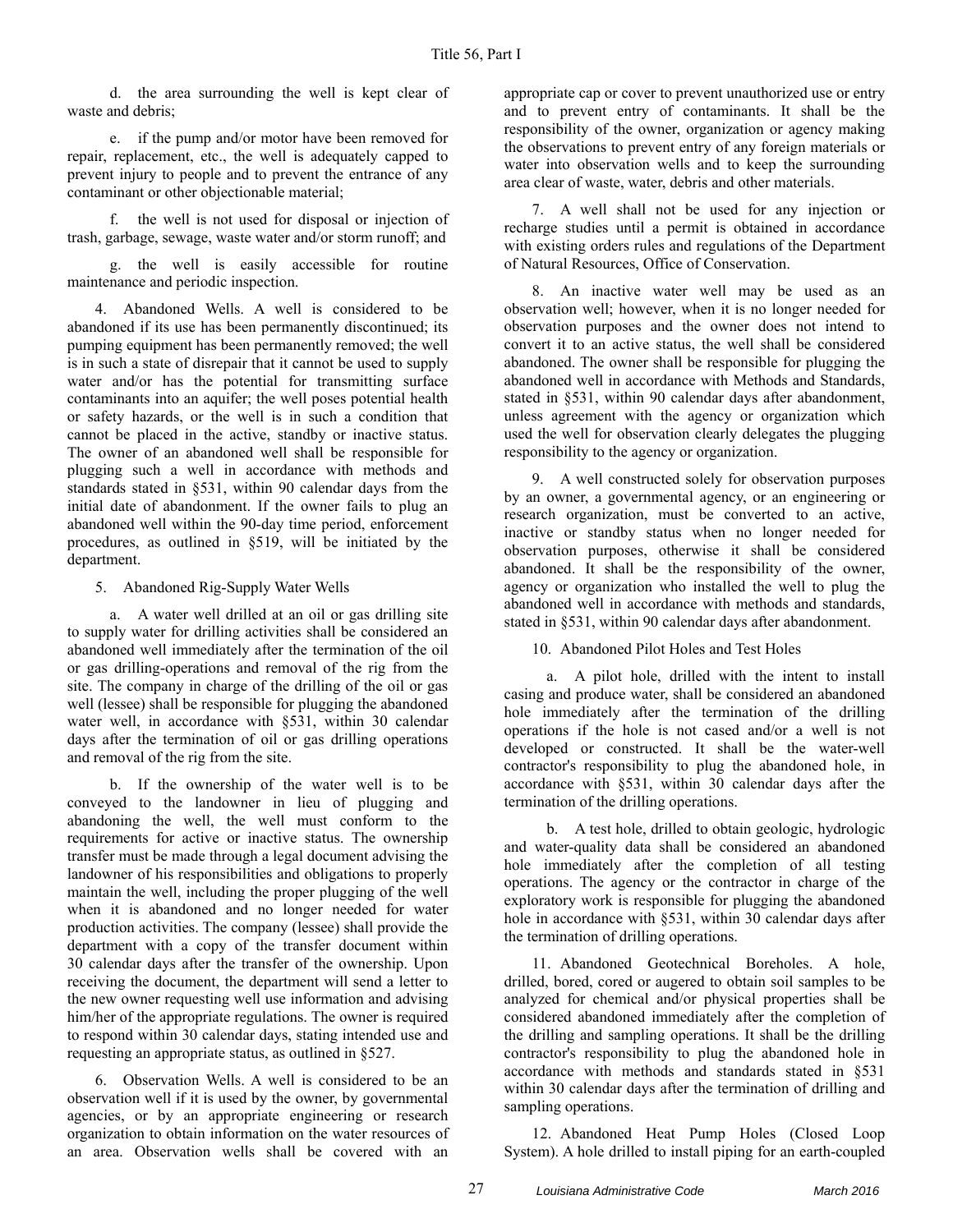d. the area surrounding the well is kept clear of waste and debris;

e. if the pump and/or motor have been removed for repair, replacement, etc., the well is adequately capped to prevent injury to people and to prevent the entrance of any contaminant or other objectionable material;

f. the well is not used for disposal or injection of trash, garbage, sewage, waste water and/or storm runoff; and

g. the well is easily accessible for routine maintenance and periodic inspection.

4. Abandoned Wells. A well is considered to be abandoned if its use has been permanently discontinued; its pumping equipment has been permanently removed; the well is in such a state of disrepair that it cannot be used to supply water and/or has the potential for transmitting surface contaminants into an aquifer; the well poses potential health or safety hazards, or the well is in such a condition that cannot be placed in the active, standby or inactive status. The owner of an abandoned well shall be responsible for plugging such a well in accordance with methods and standards stated in §531, within 90 calendar days from the initial date of abandonment. If the owner fails to plug an abandoned well within the 90-day time period, enforcement procedures, as outlined in §519, will be initiated by the department.

5. Abandoned Rig-Supply Water Wells

a. A water well drilled at an oil or gas drilling site to supply water for drilling activities shall be considered an abandoned well immediately after the termination of the oil or gas drilling-operations and removal of the rig from the site. The company in charge of the drilling of the oil or gas well (lessee) shall be responsible for plugging the abandoned water well, in accordance with §531, within 30 calendar days after the termination of oil or gas drilling operations and removal of the rig from the site.

b. If the ownership of the water well is to be conveyed to the landowner in lieu of plugging and abandoning the well, the well must conform to the requirements for active or inactive status. The ownership transfer must be made through a legal document advising the landowner of his responsibilities and obligations to properly maintain the well, including the proper plugging of the well when it is abandoned and no longer needed for water production activities. The company (lessee) shall provide the department with a copy of the transfer document within 30 calendar days after the transfer of the ownership. Upon receiving the document, the department will send a letter to the new owner requesting well use information and advising him/her of the appropriate regulations. The owner is required to respond within 30 calendar days, stating intended use and requesting an appropriate status, as outlined in §527.

6. Observation Wells. A well is considered to be an observation well if it is used by the owner, by governmental agencies, or by an appropriate engineering or research organization to obtain information on the water resources of an area. Observation wells shall be covered with an

appropriate cap or cover to prevent unauthorized use or entry and to prevent entry of contaminants. It shall be the responsibility of the owner, organization or agency making the observations to prevent entry of any foreign materials or water into observation wells and to keep the surrounding area clear of waste, water, debris and other materials.

7. A well shall not be used for any injection or recharge studies until a permit is obtained in accordance with existing orders rules and regulations of the Department of Natural Resources, Office of Conservation.

8. An inactive water well may be used as an observation well; however, when it is no longer needed for observation purposes and the owner does not intend to convert it to an active status, the well shall be considered abandoned. The owner shall be responsible for plugging the abandoned well in accordance with Methods and Standards, stated in §531, within 90 calendar days after abandonment, unless agreement with the agency or organization which used the well for observation clearly delegates the plugging responsibility to the agency or organization.

9. A well constructed solely for observation purposes by an owner, a governmental agency, or an engineering or research organization, must be converted to an active, inactive or standby status when no longer needed for observation purposes, otherwise it shall be considered abandoned. It shall be the responsibility of the owner, agency or organization who installed the well to plug the abandoned well in accordance with methods and standards, stated in §531, within 90 calendar days after abandonment.

10. Abandoned Pilot Holes and Test Holes

a. A pilot hole, drilled with the intent to install casing and produce water, shall be considered an abandoned hole immediately after the termination of the drilling operations if the hole is not cased and/or a well is not developed or constructed. It shall be the water-well contractor's responsibility to plug the abandoned hole, in accordance with §531, within 30 calendar days after the termination of the drilling operations.

b. A test hole, drilled to obtain geologic, hydrologic and water-quality data shall be considered an abandoned hole immediately after the completion of all testing operations. The agency or the contractor in charge of the exploratory work is responsible for plugging the abandoned hole in accordance with §531, within 30 calendar days after the termination of drilling operations.

11. Abandoned Geotechnical Boreholes. A hole, drilled, bored, cored or augered to obtain soil samples to be analyzed for chemical and/or physical properties shall be considered abandoned immediately after the completion of the drilling and sampling operations. It shall be the drilling contractor's responsibility to plug the abandoned hole in accordance with methods and standards stated in §531 within 30 calendar days after the termination of drilling and sampling operations.

12. Abandoned Heat Pump Holes (Closed Loop System). A hole drilled to install piping for an earth-coupled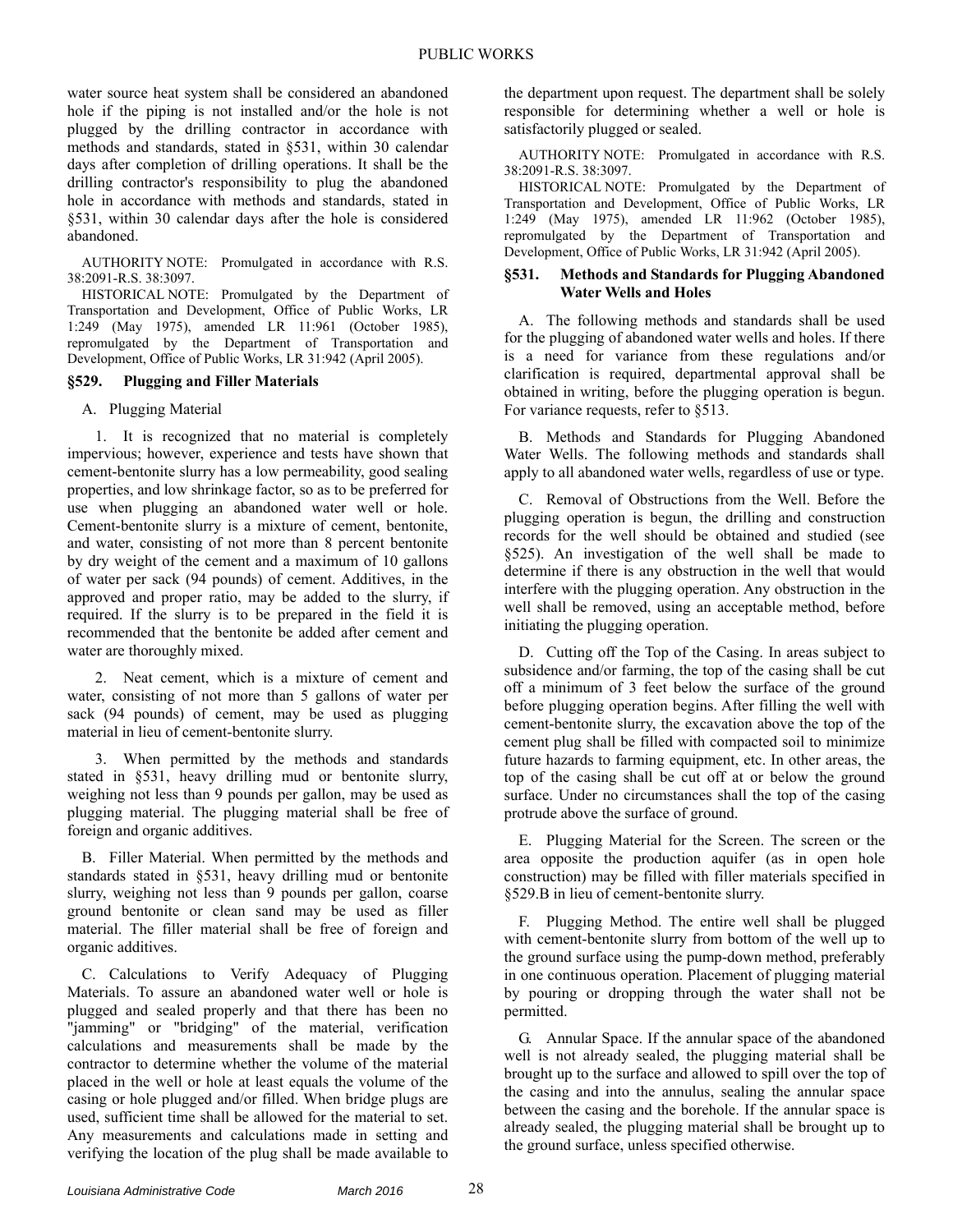water source heat system shall be considered an abandoned hole if the piping is not installed and/or the hole is not plugged by the drilling contractor in accordance with methods and standards, stated in §531, within 30 calendar days after completion of drilling operations. It shall be the drilling contractor's responsibility to plug the abandoned hole in accordance with methods and standards, stated in §531, within 30 calendar days after the hole is considered abandoned.

AUTHORITY NOTE: Promulgated in accordance with R.S. 38:2091-R.S. 38:3097.

HISTORICAL NOTE: Promulgated by the Department of Transportation and Development, Office of Public Works, LR 1:249 (May 1975), amended LR 11:961 (October 1985), repromulgated by the Department of Transportation and Development, Office of Public Works, LR 31:942 (April 2005).

## **§529. Plugging and Filler Materials**

## A. Plugging Material

1. It is recognized that no material is completely impervious; however, experience and tests have shown that cement-bentonite slurry has a low permeability, good sealing properties, and low shrinkage factor, so as to be preferred for use when plugging an abandoned water well or hole. Cement-bentonite slurry is a mixture of cement, bentonite, and water, consisting of not more than 8 percent bentonite by dry weight of the cement and a maximum of 10 gallons of water per sack (94 pounds) of cement. Additives, in the approved and proper ratio, may be added to the slurry, if required. If the slurry is to be prepared in the field it is recommended that the bentonite be added after cement and water are thoroughly mixed.

2. Neat cement, which is a mixture of cement and water, consisting of not more than 5 gallons of water per sack (94 pounds) of cement, may be used as plugging material in lieu of cement-bentonite slurry.

3. When permitted by the methods and standards stated in §531, heavy drilling mud or bentonite slurry, weighing not less than 9 pounds per gallon, may be used as plugging material. The plugging material shall be free of foreign and organic additives.

B. Filler Material. When permitted by the methods and standards stated in §531, heavy drilling mud or bentonite slurry, weighing not less than 9 pounds per gallon, coarse ground bentonite or clean sand may be used as filler material. The filler material shall be free of foreign and organic additives.

C. Calculations to Verify Adequacy of Plugging Materials. To assure an abandoned water well or hole is plugged and sealed properly and that there has been no "jamming" or "bridging" of the material, verification calculations and measurements shall be made by the contractor to determine whether the volume of the material placed in the well or hole at least equals the volume of the casing or hole plugged and/or filled. When bridge plugs are used, sufficient time shall be allowed for the material to set. Any measurements and calculations made in setting and verifying the location of the plug shall be made available to the department upon request. The department shall be solely responsible for determining whether a well or hole is satisfactorily plugged or sealed.

AUTHORITY NOTE: Promulgated in accordance with R.S. 38:2091-R.S. 38:3097.

HISTORICAL NOTE: Promulgated by the Department of Transportation and Development, Office of Public Works, LR 1:249 (May 1975), amended LR 11:962 (October 1985), repromulgated by the Department of Transportation and Development, Office of Public Works, LR 31:942 (April 2005).

## **§531. Methods and Standards for Plugging Abandoned Water Wells and Holes**

A. The following methods and standards shall be used for the plugging of abandoned water wells and holes. If there is a need for variance from these regulations and/or clarification is required, departmental approval shall be obtained in writing, before the plugging operation is begun. For variance requests, refer to §513.

B. Methods and Standards for Plugging Abandoned Water Wells. The following methods and standards shall apply to all abandoned water wells, regardless of use or type.

C. Removal of Obstructions from the Well. Before the plugging operation is begun, the drilling and construction records for the well should be obtained and studied (see §525). An investigation of the well shall be made to determine if there is any obstruction in the well that would interfere with the plugging operation. Any obstruction in the well shall be removed, using an acceptable method, before initiating the plugging operation.

D. Cutting off the Top of the Casing. In areas subject to subsidence and/or farming, the top of the casing shall be cut off a minimum of 3 feet below the surface of the ground before plugging operation begins. After filling the well with cement-bentonite slurry, the excavation above the top of the cement plug shall be filled with compacted soil to minimize future hazards to farming equipment, etc. In other areas, the top of the casing shall be cut off at or below the ground surface. Under no circumstances shall the top of the casing protrude above the surface of ground.

E. Plugging Material for the Screen. The screen or the area opposite the production aquifer (as in open hole construction) may be filled with filler materials specified in §529.B in lieu of cement-bentonite slurry.

F. Plugging Method. The entire well shall be plugged with cement-bentonite slurry from bottom of the well up to the ground surface using the pump-down method, preferably in one continuous operation. Placement of plugging material by pouring or dropping through the water shall not be permitted.

G. Annular Space. If the annular space of the abandoned well is not already sealed, the plugging material shall be brought up to the surface and allowed to spill over the top of the casing and into the annulus, sealing the annular space between the casing and the borehole. If the annular space is already sealed, the plugging material shall be brought up to the ground surface, unless specified otherwise.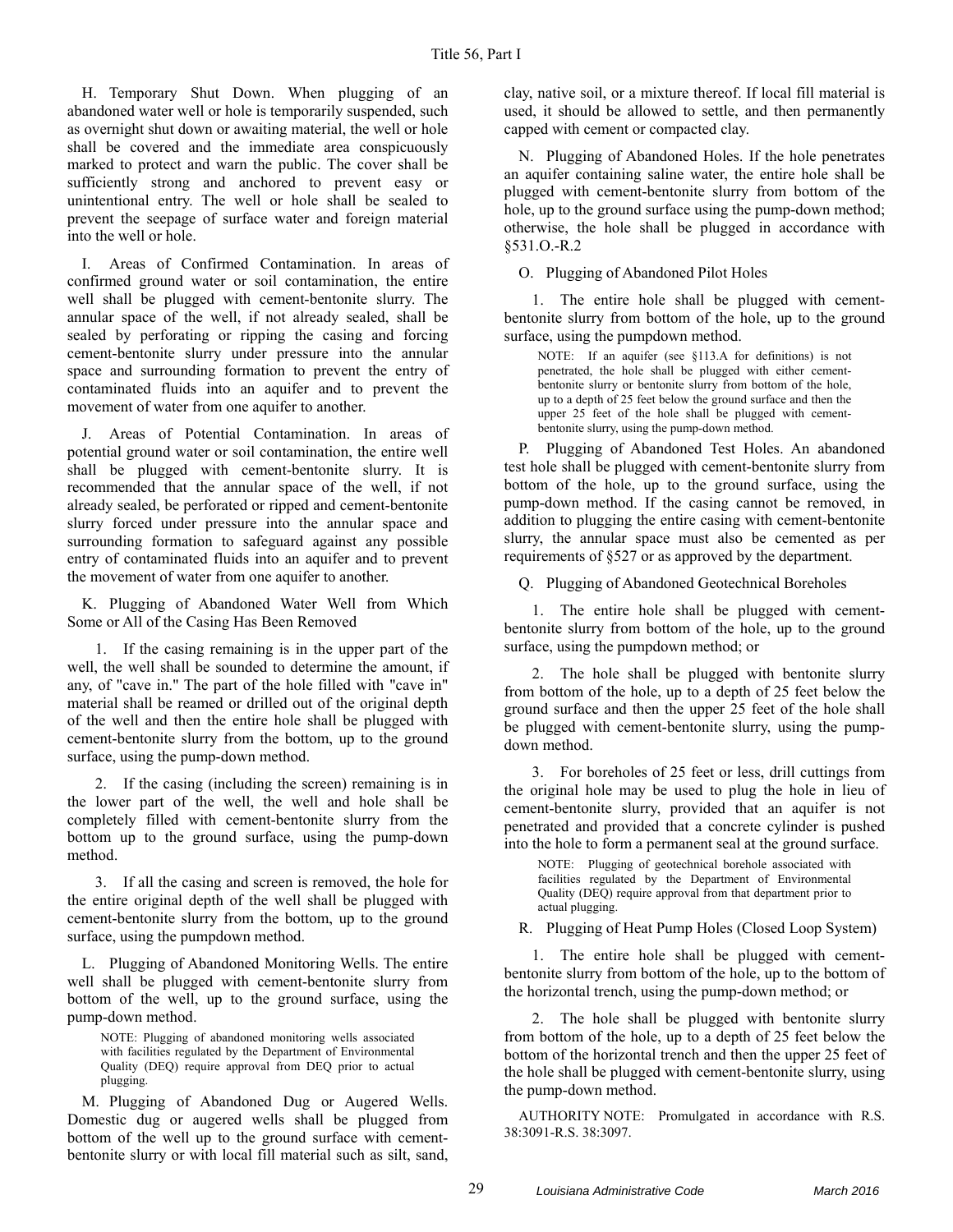H. Temporary Shut Down. When plugging of an abandoned water well or hole is temporarily suspended, such as overnight shut down or awaiting material, the well or hole shall be covered and the immediate area conspicuously marked to protect and warn the public. The cover shall be sufficiently strong and anchored to prevent easy or unintentional entry. The well or hole shall be sealed to prevent the seepage of surface water and foreign material into the well or hole.

I. Areas of Confirmed Contamination. In areas of confirmed ground water or soil contamination, the entire well shall be plugged with cement-bentonite slurry. The annular space of the well, if not already sealed, shall be sealed by perforating or ripping the casing and forcing cement-bentonite slurry under pressure into the annular space and surrounding formation to prevent the entry of contaminated fluids into an aquifer and to prevent the movement of water from one aquifer to another.

J. Areas of Potential Contamination. In areas of potential ground water or soil contamination, the entire well shall be plugged with cement-bentonite slurry. It is recommended that the annular space of the well, if not already sealed, be perforated or ripped and cement-bentonite slurry forced under pressure into the annular space and surrounding formation to safeguard against any possible entry of contaminated fluids into an aquifer and to prevent the movement of water from one aquifer to another.

K. Plugging of Abandoned Water Well from Which Some or All of the Casing Has Been Removed

1. If the casing remaining is in the upper part of the well, the well shall be sounded to determine the amount, if any, of "cave in." The part of the hole filled with "cave in" material shall be reamed or drilled out of the original depth of the well and then the entire hole shall be plugged with cement-bentonite slurry from the bottom, up to the ground surface, using the pump-down method.

2. If the casing (including the screen) remaining is in the lower part of the well, the well and hole shall be completely filled with cement-bentonite slurry from the bottom up to the ground surface, using the pump-down method.

3. If all the casing and screen is removed, the hole for the entire original depth of the well shall be plugged with cement-bentonite slurry from the bottom, up to the ground surface, using the pumpdown method.

L. Plugging of Abandoned Monitoring Wells. The entire well shall be plugged with cement-bentonite slurry from bottom of the well, up to the ground surface, using the pump-down method.

NOTE: Plugging of abandoned monitoring wells associated with facilities regulated by the Department of Environmental Quality (DEQ) require approval from DEQ prior to actual plugging.

M. Plugging of Abandoned Dug or Augered Wells. Domestic dug or augered wells shall be plugged from bottom of the well up to the ground surface with cementbentonite slurry or with local fill material such as silt, sand,

clay, native soil, or a mixture thereof. If local fill material is used, it should be allowed to settle, and then permanently capped with cement or compacted clay.

N. Plugging of Abandoned Holes. If the hole penetrates an aquifer containing saline water, the entire hole shall be plugged with cement-bentonite slurry from bottom of the hole, up to the ground surface using the pump-down method; otherwise, the hole shall be plugged in accordance with §531.O.-R.2

O. Plugging of Abandoned Pilot Holes

1. The entire hole shall be plugged with cementbentonite slurry from bottom of the hole, up to the ground surface, using the pumpdown method.

NOTE: If an aquifer (see §113.A for definitions) is not penetrated, the hole shall be plugged with either cementbentonite slurry or bentonite slurry from bottom of the hole, up to a depth of 25 feet below the ground surface and then the upper 25 feet of the hole shall be plugged with cementbentonite slurry, using the pump-down method.

P. Plugging of Abandoned Test Holes. An abandoned test hole shall be plugged with cement-bentonite slurry from bottom of the hole, up to the ground surface, using the pump-down method. If the casing cannot be removed, in addition to plugging the entire casing with cement-bentonite slurry, the annular space must also be cemented as per requirements of §527 or as approved by the department.

Q. Plugging of Abandoned Geotechnical Boreholes

1. The entire hole shall be plugged with cementbentonite slurry from bottom of the hole, up to the ground surface, using the pumpdown method; or

2. The hole shall be plugged with bentonite slurry from bottom of the hole, up to a depth of 25 feet below the ground surface and then the upper 25 feet of the hole shall be plugged with cement-bentonite slurry, using the pumpdown method.

3. For boreholes of 25 feet or less, drill cuttings from the original hole may be used to plug the hole in lieu of cement-bentonite slurry, provided that an aquifer is not penetrated and provided that a concrete cylinder is pushed into the hole to form a permanent seal at the ground surface.

NOTE: Plugging of geotechnical borehole associated with facilities regulated by the Department of Environmental Quality (DEQ) require approval from that department prior to actual plugging.

R. Plugging of Heat Pump Holes (Closed Loop System)

1. The entire hole shall be plugged with cementbentonite slurry from bottom of the hole, up to the bottom of the horizontal trench, using the pump-down method; or

2. The hole shall be plugged with bentonite slurry from bottom of the hole, up to a depth of 25 feet below the bottom of the horizontal trench and then the upper 25 feet of the hole shall be plugged with cement-bentonite slurry, using the pump-down method.

AUTHORITY NOTE: Promulgated in accordance with R.S. 38:3091-R.S. 38:3097.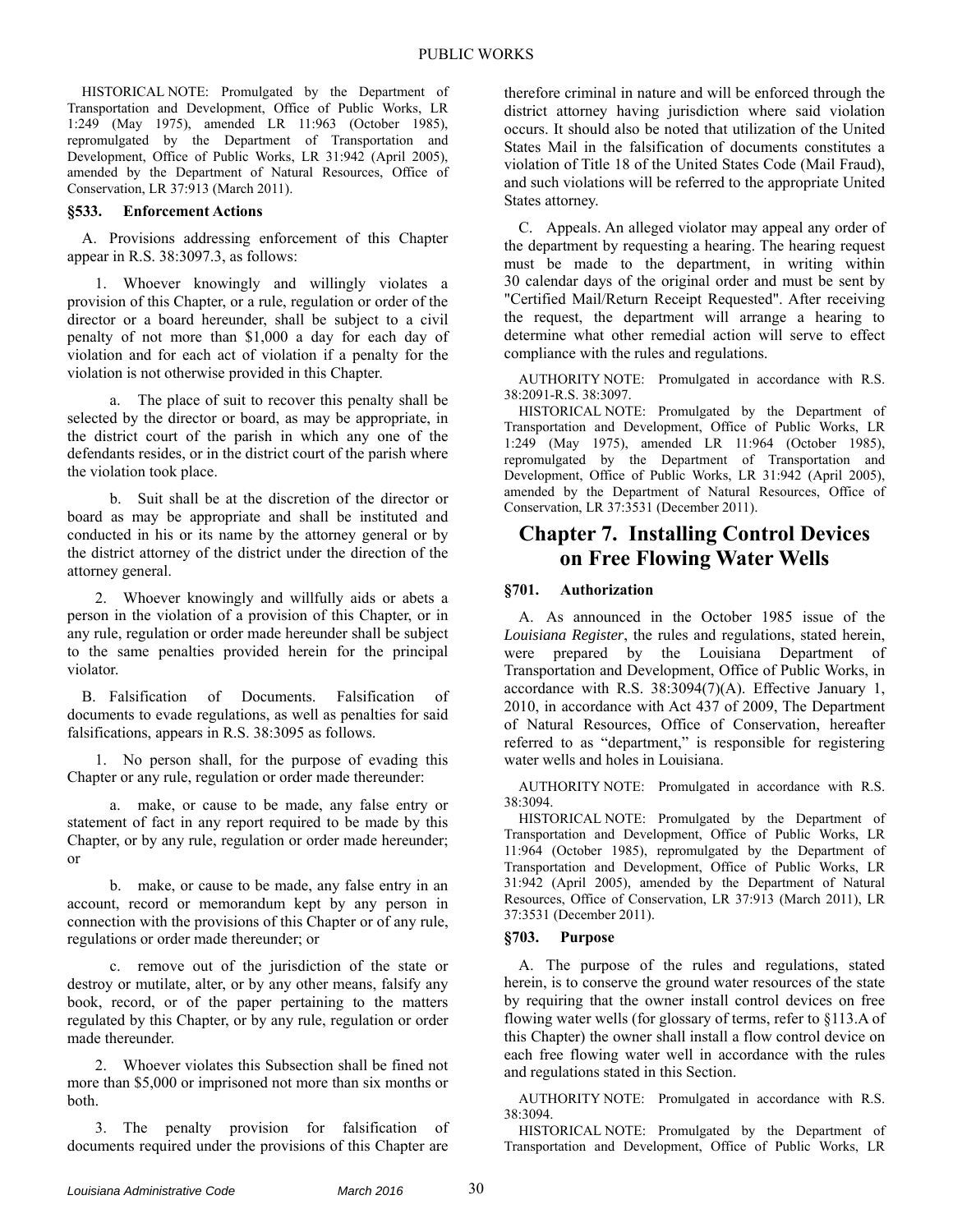HISTORICAL NOTE: Promulgated by the Department of Transportation and Development, Office of Public Works, LR 1:249 (May 1975), amended LR 11:963 (October 1985), repromulgated by the Department of Transportation and Development, Office of Public Works, LR 31:942 (April 2005), amended by the Department of Natural Resources, Office of Conservation, LR 37:913 (March 2011).

## **§533. Enforcement Actions**

A. Provisions addressing enforcement of this Chapter appear in R.S. 38:3097.3, as follows:

1. Whoever knowingly and willingly violates a provision of this Chapter, or a rule, regulation or order of the director or a board hereunder, shall be subject to a civil penalty of not more than \$1,000 a day for each day of violation and for each act of violation if a penalty for the violation is not otherwise provided in this Chapter.

a. The place of suit to recover this penalty shall be selected by the director or board, as may be appropriate, in the district court of the parish in which any one of the defendants resides, or in the district court of the parish where the violation took place.

b. Suit shall be at the discretion of the director or board as may be appropriate and shall be instituted and conducted in his or its name by the attorney general or by the district attorney of the district under the direction of the attorney general.

2. Whoever knowingly and willfully aids or abets a person in the violation of a provision of this Chapter, or in any rule, regulation or order made hereunder shall be subject to the same penalties provided herein for the principal violator.

B. Falsification of Documents. Falsification of documents to evade regulations, as well as penalties for said falsifications, appears in R.S. 38:3095 as follows.

1. No person shall, for the purpose of evading this Chapter or any rule, regulation or order made thereunder:

a. make, or cause to be made, any false entry or statement of fact in any report required to be made by this Chapter, or by any rule, regulation or order made hereunder; or

b. make, or cause to be made, any false entry in an account, record or memorandum kept by any person in connection with the provisions of this Chapter or of any rule, regulations or order made thereunder; or

c. remove out of the jurisdiction of the state or destroy or mutilate, alter, or by any other means, falsify any book, record, or of the paper pertaining to the matters regulated by this Chapter, or by any rule, regulation or order made thereunder.

2. Whoever violates this Subsection shall be fined not more than \$5,000 or imprisoned not more than six months or both.

3. The penalty provision for falsification of documents required under the provisions of this Chapter are therefore criminal in nature and will be enforced through the district attorney having jurisdiction where said violation occurs. It should also be noted that utilization of the United States Mail in the falsification of documents constitutes a violation of Title 18 of the United States Code (Mail Fraud), and such violations will be referred to the appropriate United States attorney.

C. Appeals. An alleged violator may appeal any order of the department by requesting a hearing. The hearing request must be made to the department, in writing within 30 calendar days of the original order and must be sent by "Certified Mail/Return Receipt Requested". After receiving the request, the department will arrange a hearing to determine what other remedial action will serve to effect compliance with the rules and regulations.

AUTHORITY NOTE: Promulgated in accordance with R.S. 38:2091-R.S. 38:3097.

HISTORICAL NOTE: Promulgated by the Department of Transportation and Development, Office of Public Works, LR 1:249 (May 1975), amended LR 11:964 (October 1985), repromulgated by the Department of Transportation and Development, Office of Public Works, LR 31:942 (April 2005), amended by the Department of Natural Resources, Office of Conservation, LR 37:3531 (December 2011).

## **Chapter 7. Installing Control Devices on Free Flowing Water Wells**

## **§701. Authorization**

A. As announced in the October 1985 issue of the *Louisiana Register*, the rules and regulations, stated herein, were prepared by the Louisiana Department of Transportation and Development, Office of Public Works, in accordance with R.S. 38:3094(7)(A). Effective January 1, 2010, in accordance with Act 437 of 2009, The Department of Natural Resources, Office of Conservation, hereafter referred to as "department," is responsible for registering water wells and holes in Louisiana.

AUTHORITY NOTE: Promulgated in accordance with R.S. 38:3094.

HISTORICAL NOTE: Promulgated by the Department of Transportation and Development, Office of Public Works, LR 11:964 (October 1985), repromulgated by the Department of Transportation and Development, Office of Public Works, LR 31:942 (April 2005), amended by the Department of Natural Resources, Office of Conservation, LR 37:913 (March 2011), LR 37:3531 (December 2011).

## **§703. Purpose**

A. The purpose of the rules and regulations, stated herein, is to conserve the ground water resources of the state by requiring that the owner install control devices on free flowing water wells (for glossary of terms, refer to §113.A of this Chapter) the owner shall install a flow control device on each free flowing water well in accordance with the rules and regulations stated in this Section.

AUTHORITY NOTE: Promulgated in accordance with R.S. 38:3094.

HISTORICAL NOTE: Promulgated by the Department of Transportation and Development, Office of Public Works, LR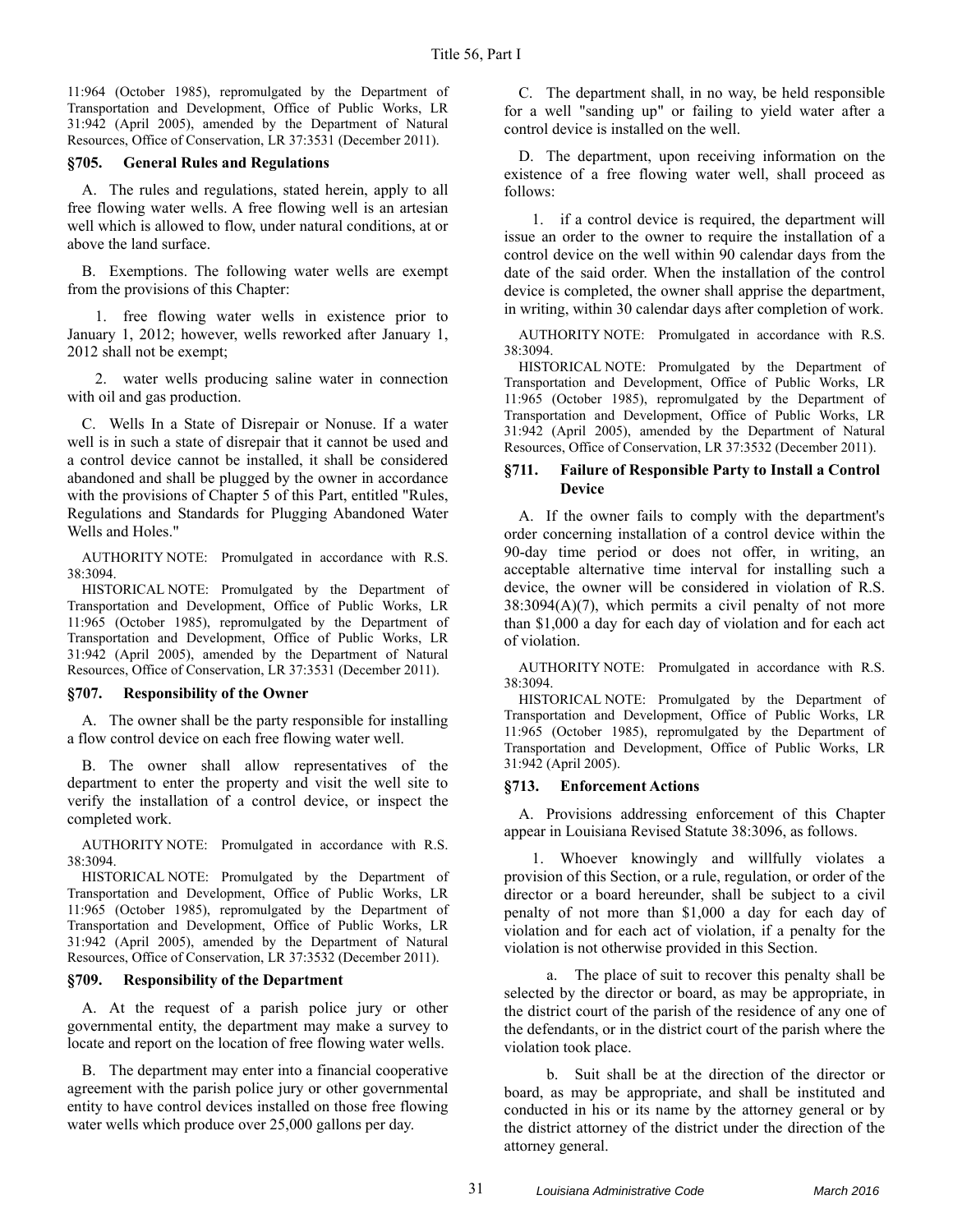11:964 (October 1985), repromulgated by the Department of Transportation and Development, Office of Public Works, LR 31:942 (April 2005), amended by the Department of Natural Resources, Office of Conservation, LR 37:3531 (December 2011).

## **§705. General Rules and Regulations**

A. The rules and regulations, stated herein, apply to all free flowing water wells. A free flowing well is an artesian well which is allowed to flow, under natural conditions, at or above the land surface.

B. Exemptions. The following water wells are exempt from the provisions of this Chapter:

1. free flowing water wells in existence prior to January 1, 2012; however, wells reworked after January 1, 2012 shall not be exempt;

2. water wells producing saline water in connection with oil and gas production.

C. Wells In a State of Disrepair or Nonuse. If a water well is in such a state of disrepair that it cannot be used and a control device cannot be installed, it shall be considered abandoned and shall be plugged by the owner in accordance with the provisions of Chapter 5 of this Part, entitled "Rules, Regulations and Standards for Plugging Abandoned Water Wells and Holes."

AUTHORITY NOTE: Promulgated in accordance with R.S. 38:3094.

HISTORICAL NOTE: Promulgated by the Department of Transportation and Development, Office of Public Works, LR 11:965 (October 1985), repromulgated by the Department of Transportation and Development, Office of Public Works, LR 31:942 (April 2005), amended by the Department of Natural Resources, Office of Conservation, LR 37:3531 (December 2011).

## **§707. Responsibility of the Owner**

A. The owner shall be the party responsible for installing a flow control device on each free flowing water well.

B. The owner shall allow representatives of the department to enter the property and visit the well site to verify the installation of a control device, or inspect the completed work.

AUTHORITY NOTE: Promulgated in accordance with R.S. 38:3094.

HISTORICAL NOTE: Promulgated by the Department of Transportation and Development, Office of Public Works, LR 11:965 (October 1985), repromulgated by the Department of Transportation and Development, Office of Public Works, LR 31:942 (April 2005), amended by the Department of Natural Resources, Office of Conservation, LR 37:3532 (December 2011).

## **§709. Responsibility of the Department**

A. At the request of a parish police jury or other governmental entity, the department may make a survey to locate and report on the location of free flowing water wells.

B. The department may enter into a financial cooperative agreement with the parish police jury or other governmental entity to have control devices installed on those free flowing water wells which produce over 25,000 gallons per day.

C. The department shall, in no way, be held responsible for a well "sanding up" or failing to yield water after a control device is installed on the well.

D. The department, upon receiving information on the existence of a free flowing water well, shall proceed as follows:

1. if a control device is required, the department will issue an order to the owner to require the installation of a control device on the well within 90 calendar days from the date of the said order. When the installation of the control device is completed, the owner shall apprise the department, in writing, within 30 calendar days after completion of work.

AUTHORITY NOTE: Promulgated in accordance with R.S. 38:3094.

HISTORICAL NOTE: Promulgated by the Department of Transportation and Development, Office of Public Works, LR 11:965 (October 1985), repromulgated by the Department of Transportation and Development, Office of Public Works, LR 31:942 (April 2005), amended by the Department of Natural Resources, Office of Conservation, LR 37:3532 (December 2011).

## **§711. Failure of Responsible Party to Install a Control Device**

A. If the owner fails to comply with the department's order concerning installation of a control device within the 90-day time period or does not offer, in writing, an acceptable alternative time interval for installing such a device, the owner will be considered in violation of R.S.  $38:3094(A)(7)$ , which permits a civil penalty of not more than \$1,000 a day for each day of violation and for each act of violation.

AUTHORITY NOTE: Promulgated in accordance with R.S. 38:3094.

HISTORICAL NOTE: Promulgated by the Department of Transportation and Development, Office of Public Works, LR 11:965 (October 1985), repromulgated by the Department of Transportation and Development, Office of Public Works, LR 31:942 (April 2005).

## **§713. Enforcement Actions**

A. Provisions addressing enforcement of this Chapter appear in Louisiana Revised Statute 38:3096, as follows.

1. Whoever knowingly and willfully violates a provision of this Section, or a rule, regulation, or order of the director or a board hereunder, shall be subject to a civil penalty of not more than \$1,000 a day for each day of violation and for each act of violation, if a penalty for the violation is not otherwise provided in this Section.

a. The place of suit to recover this penalty shall be selected by the director or board, as may be appropriate, in the district court of the parish of the residence of any one of the defendants, or in the district court of the parish where the violation took place.

b. Suit shall be at the direction of the director or board, as may be appropriate, and shall be instituted and conducted in his or its name by the attorney general or by the district attorney of the district under the direction of the attorney general.